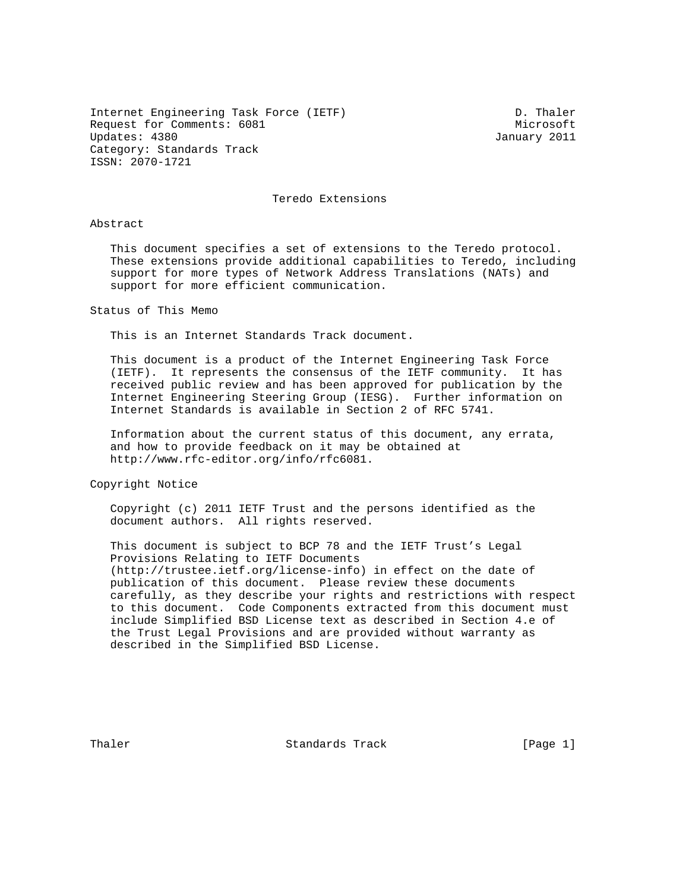Internet Engineering Task Force (IETF) D. Thaler Request for Comments: 6081 Microsoft Updates: 4380 January 2011 Category: Standards Track ISSN: 2070-1721

Teredo Extensions

Abstract

 This document specifies a set of extensions to the Teredo protocol. These extensions provide additional capabilities to Teredo, including support for more types of Network Address Translations (NATs) and support for more efficient communication.

Status of This Memo

This is an Internet Standards Track document.

 This document is a product of the Internet Engineering Task Force (IETF). It represents the consensus of the IETF community. It has received public review and has been approved for publication by the Internet Engineering Steering Group (IESG). Further information on Internet Standards is available in Section 2 of RFC 5741.

 Information about the current status of this document, any errata, and how to provide feedback on it may be obtained at http://www.rfc-editor.org/info/rfc6081.

Copyright Notice

 Copyright (c) 2011 IETF Trust and the persons identified as the document authors. All rights reserved.

 This document is subject to BCP 78 and the IETF Trust's Legal Provisions Relating to IETF Documents (http://trustee.ietf.org/license-info) in effect on the date of publication of this document. Please review these documents carefully, as they describe your rights and restrictions with respect to this document. Code Components extracted from this document must include Simplified BSD License text as described in Section 4.e of the Trust Legal Provisions and are provided without warranty as described in the Simplified BSD License.

Thaler **Standards Track** (Page 1)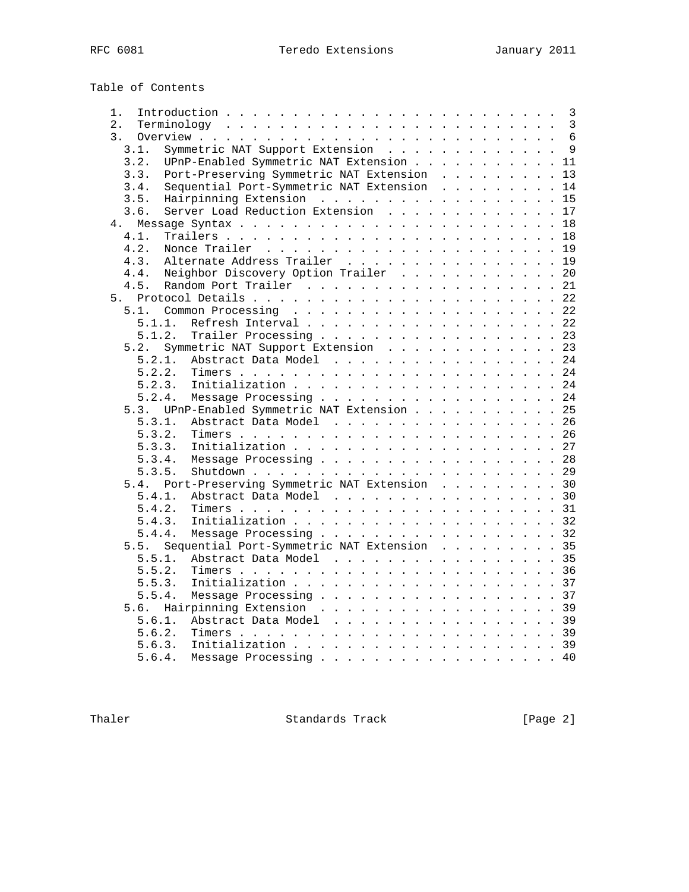| Table of Contents |  |
|-------------------|--|
|-------------------|--|

| 1.               |        |        |                                            |  |  |  |  |  |  |                      | 3                  |
|------------------|--------|--------|--------------------------------------------|--|--|--|--|--|--|----------------------|--------------------|
| 2.               |        |        |                                            |  |  |  |  |  |  |                      | 3                  |
| $\overline{3}$ . |        |        |                                            |  |  |  |  |  |  |                      | $6\phantom{1}6$    |
|                  | 3.1.   |        | Symmetric NAT Support Extension            |  |  |  |  |  |  |                      | 9                  |
|                  | 3.2.   |        | UPnP-Enabled Symmetric NAT Extension       |  |  |  |  |  |  |                      | 11                 |
|                  | 3.3.   |        | Port-Preserving Symmetric NAT Extension    |  |  |  |  |  |  |                      | 13                 |
|                  | 3.4.   |        | Sequential Port-Symmetric NAT Extension    |  |  |  |  |  |  |                      | 14                 |
|                  | 3.5.   |        | Hairpinning Extension                      |  |  |  |  |  |  | $\ddot{\phantom{a}}$ | 15                 |
|                  | 3.6.   |        | Server Load Reduction Extension            |  |  |  |  |  |  |                      | 17                 |
|                  | 4.     |        |                                            |  |  |  |  |  |  |                      | 18                 |
|                  | 4.1.   |        |                                            |  |  |  |  |  |  |                      | 18                 |
|                  | 4.2.   |        |                                            |  |  |  |  |  |  |                      | 19                 |
|                  | 4.3.   |        | Alternate Address Trailer                  |  |  |  |  |  |  |                      | 19                 |
|                  | 4.4.   |        | Neighbor Discovery Option Trailer          |  |  |  |  |  |  |                      | 20                 |
|                  | 4.5.   |        |                                            |  |  |  |  |  |  |                      |                    |
|                  |        |        |                                            |  |  |  |  |  |  |                      | 21                 |
| 5 <sub>1</sub>   |        |        |                                            |  |  |  |  |  |  |                      | 22                 |
|                  | 5.1.   |        |                                            |  |  |  |  |  |  |                      | 22                 |
|                  |        | 5.1.1. |                                            |  |  |  |  |  |  |                      | 22                 |
|                  |        | 5.1.2. |                                            |  |  |  |  |  |  |                      | 23                 |
|                  | 5.2.   |        | Symmetric NAT Support Extension            |  |  |  |  |  |  |                      | 23                 |
|                  |        | 5.2.1. | Abstract Data Model                        |  |  |  |  |  |  |                      | 24                 |
|                  | 5.2.2. |        |                                            |  |  |  |  |  |  |                      | 24                 |
|                  | 5.2.3. |        |                                            |  |  |  |  |  |  |                      | 24                 |
|                  | 5.2.4. |        | Message Processing                         |  |  |  |  |  |  |                      | 24                 |
|                  | 5.3.   |        | UPnP-Enabled Symmetric NAT Extension       |  |  |  |  |  |  |                      | 25                 |
|                  | 5.3.1. |        | Abstract Data Model                        |  |  |  |  |  |  |                      | 26                 |
|                  | 5.3.2. |        |                                            |  |  |  |  |  |  |                      |                    |
|                  | 5.3.3. |        |                                            |  |  |  |  |  |  |                      | 27                 |
|                  | 5.3.4. |        | Message Processing                         |  |  |  |  |  |  |                      | 28                 |
|                  | 5.3.5. |        |                                            |  |  |  |  |  |  |                      |                    |
|                  | 5.4.   |        | Port-Preserving Symmetric NAT Extension 30 |  |  |  |  |  |  |                      |                    |
|                  | 5.4.1. |        | Abstract Data Model 30                     |  |  |  |  |  |  |                      |                    |
|                  | 5.4.2. |        |                                            |  |  |  |  |  |  |                      |                    |
|                  | 5.4.3. |        |                                            |  |  |  |  |  |  |                      |                    |
|                  | 5.4.4. |        | Message Processing 32                      |  |  |  |  |  |  |                      |                    |
|                  | 5.5.   |        | Sequential Port-Symmetric NAT Extension 35 |  |  |  |  |  |  |                      |                    |
|                  | 5.5.1. |        | Abstract Data Model 35                     |  |  |  |  |  |  |                      |                    |
|                  | 5.5.2. |        |                                            |  |  |  |  |  |  |                      |                    |
|                  | 5.5.3. |        |                                            |  |  |  |  |  |  |                      |                    |
|                  | 5.5.4. |        | Message Processing 37                      |  |  |  |  |  |  |                      |                    |
|                  | 5.6.   |        | Hairpinning Extension 39                   |  |  |  |  |  |  |                      |                    |
|                  | 5.6.1. |        | Abstract Data Model 39                     |  |  |  |  |  |  |                      |                    |
|                  | 5.6.2. |        |                                            |  |  |  |  |  |  |                      |                    |
|                  | 5.6.3. |        |                                            |  |  |  |  |  |  |                      |                    |
|                  |        |        |                                            |  |  |  |  |  |  |                      |                    |
|                  | 5.6.4. |        | Message Processing                         |  |  |  |  |  |  |                      | $\cdot$ $\cdot$ 40 |

Thaler Standards Track [Page 2]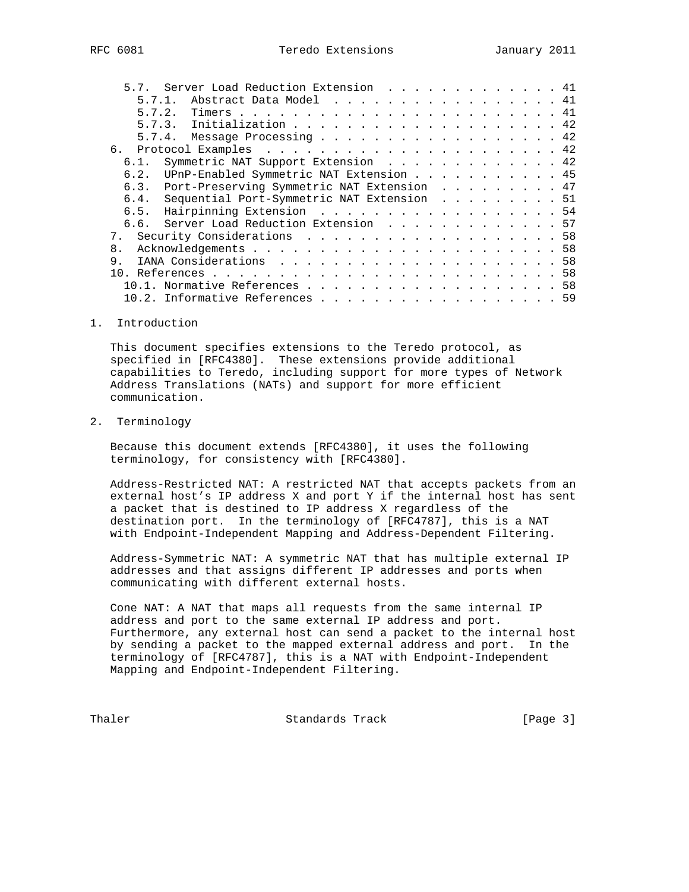| IFC 6081 |  |
|----------|--|
|          |  |

| 5.7. Server Load Reduction Extension  41        |  |
|-------------------------------------------------|--|
| Abstract Data Model 41<br>5.7.1.                |  |
| 5.7.2.                                          |  |
| 5.7.3. Initialization 42                        |  |
| 5.7.4. Message Processing 42                    |  |
| б.                                              |  |
| Symmetric NAT Support Extension 42<br>6.1.      |  |
| 6.2. UPnP-Enabled Symmetric NAT Extension 45    |  |
| 6.3. Port-Preserving Symmetric NAT Extension 47 |  |
| 6.4. Sequential Port-Symmetric NAT Extension 51 |  |
| Hairpinning Extension 54<br>6.5.                |  |
| 6.6. Server Load Reduction Extension 57         |  |
|                                                 |  |
| 8.                                              |  |
| 9.                                              |  |
| 1 N                                             |  |
| Normative References 58                         |  |
| 10.2. Informative References 59                 |  |

1. Introduction

 This document specifies extensions to the Teredo protocol, as specified in [RFC4380]. These extensions provide additional capabilities to Teredo, including support for more types of Network Address Translations (NATs) and support for more efficient communication.

# 2. Terminology

 Because this document extends [RFC4380], it uses the following terminology, for consistency with [RFC4380].

 Address-Restricted NAT: A restricted NAT that accepts packets from an external host's IP address X and port Y if the internal host has sent a packet that is destined to IP address X regardless of the destination port. In the terminology of [RFC4787], this is a NAT with Endpoint-Independent Mapping and Address-Dependent Filtering.

 Address-Symmetric NAT: A symmetric NAT that has multiple external IP addresses and that assigns different IP addresses and ports when communicating with different external hosts.

 Cone NAT: A NAT that maps all requests from the same internal IP address and port to the same external IP address and port. Furthermore, any external host can send a packet to the internal host by sending a packet to the mapped external address and port. In the terminology of [RFC4787], this is a NAT with Endpoint-Independent Mapping and Endpoint-Independent Filtering.

Thaler **Standards Track** [Page 3]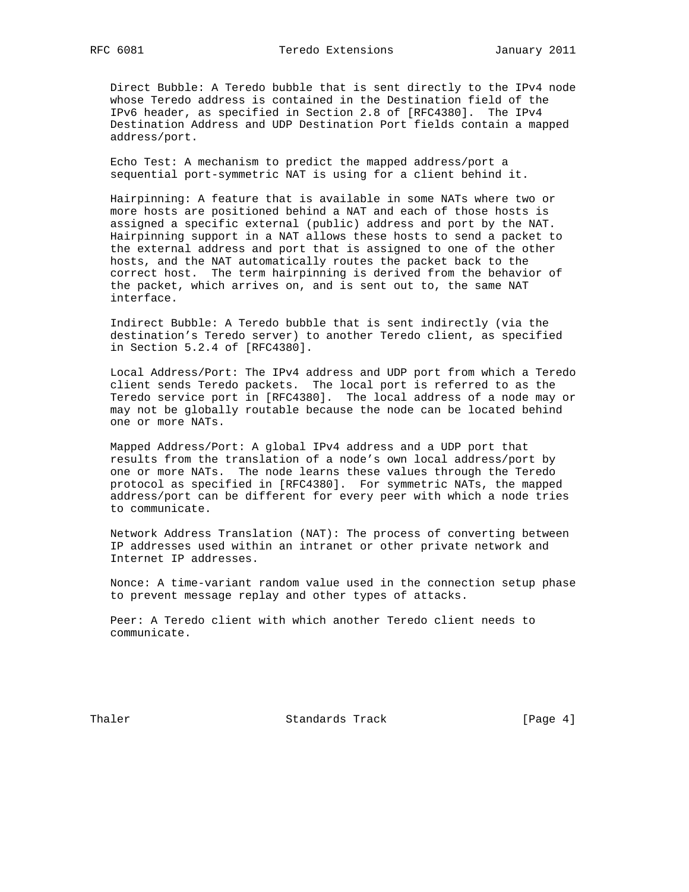Direct Bubble: A Teredo bubble that is sent directly to the IPv4 node whose Teredo address is contained in the Destination field of the IPv6 header, as specified in Section 2.8 of [RFC4380]. The IPv4 Destination Address and UDP Destination Port fields contain a mapped address/port.

 Echo Test: A mechanism to predict the mapped address/port a sequential port-symmetric NAT is using for a client behind it.

 Hairpinning: A feature that is available in some NATs where two or more hosts are positioned behind a NAT and each of those hosts is assigned a specific external (public) address and port by the NAT. Hairpinning support in a NAT allows these hosts to send a packet to the external address and port that is assigned to one of the other hosts, and the NAT automatically routes the packet back to the correct host. The term hairpinning is derived from the behavior of the packet, which arrives on, and is sent out to, the same NAT interface.

 Indirect Bubble: A Teredo bubble that is sent indirectly (via the destination's Teredo server) to another Teredo client, as specified in Section 5.2.4 of [RFC4380].

 Local Address/Port: The IPv4 address and UDP port from which a Teredo client sends Teredo packets. The local port is referred to as the Teredo service port in [RFC4380]. The local address of a node may or may not be globally routable because the node can be located behind one or more NATs.

 Mapped Address/Port: A global IPv4 address and a UDP port that results from the translation of a node's own local address/port by one or more NATs. The node learns these values through the Teredo protocol as specified in [RFC4380]. For symmetric NATs, the mapped address/port can be different for every peer with which a node tries to communicate.

 Network Address Translation (NAT): The process of converting between IP addresses used within an intranet or other private network and Internet IP addresses.

 Nonce: A time-variant random value used in the connection setup phase to prevent message replay and other types of attacks.

 Peer: A Teredo client with which another Teredo client needs to communicate.

Thaler **Standards Track** [Page 4]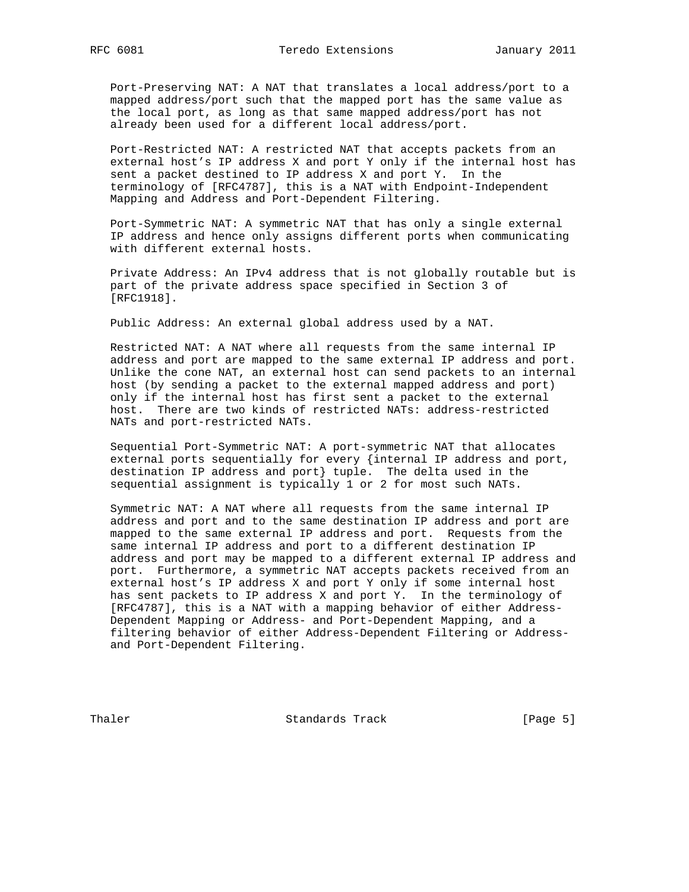Port-Preserving NAT: A NAT that translates a local address/port to a mapped address/port such that the mapped port has the same value as the local port, as long as that same mapped address/port has not already been used for a different local address/port.

 Port-Restricted NAT: A restricted NAT that accepts packets from an external host's IP address X and port Y only if the internal host has sent a packet destined to IP address X and port Y. In the terminology of [RFC4787], this is a NAT with Endpoint-Independent Mapping and Address and Port-Dependent Filtering.

 Port-Symmetric NAT: A symmetric NAT that has only a single external IP address and hence only assigns different ports when communicating with different external hosts.

 Private Address: An IPv4 address that is not globally routable but is part of the private address space specified in Section 3 of [RFC1918].

Public Address: An external global address used by a NAT.

 Restricted NAT: A NAT where all requests from the same internal IP address and port are mapped to the same external IP address and port. Unlike the cone NAT, an external host can send packets to an internal host (by sending a packet to the external mapped address and port) only if the internal host has first sent a packet to the external host. There are two kinds of restricted NATs: address-restricted NATs and port-restricted NATs.

 Sequential Port-Symmetric NAT: A port-symmetric NAT that allocates external ports sequentially for every {internal IP address and port, destination IP address and port} tuple. The delta used in the sequential assignment is typically 1 or 2 for most such NATs.

 Symmetric NAT: A NAT where all requests from the same internal IP address and port and to the same destination IP address and port are mapped to the same external IP address and port. Requests from the same internal IP address and port to a different destination IP address and port may be mapped to a different external IP address and port. Furthermore, a symmetric NAT accepts packets received from an external host's IP address X and port Y only if some internal host has sent packets to IP address X and port Y. In the terminology of [RFC4787], this is a NAT with a mapping behavior of either Address- Dependent Mapping or Address- and Port-Dependent Mapping, and a filtering behavior of either Address-Dependent Filtering or Address and Port-Dependent Filtering.

Thaler **Standards Track** Standards Track [Page 5]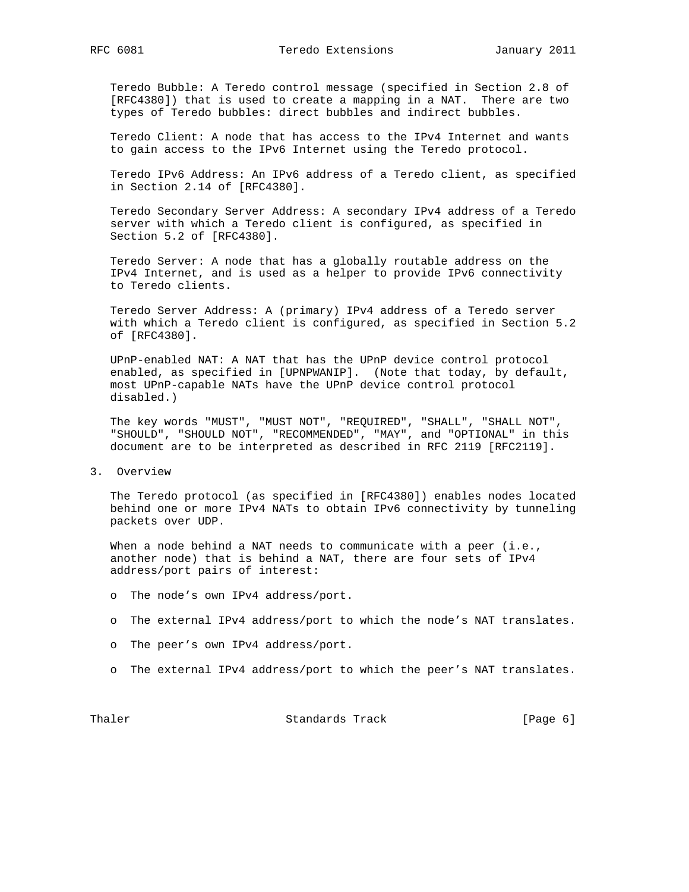Teredo Bubble: A Teredo control message (specified in Section 2.8 of [RFC4380]) that is used to create a mapping in a NAT. There are two types of Teredo bubbles: direct bubbles and indirect bubbles.

 Teredo Client: A node that has access to the IPv4 Internet and wants to gain access to the IPv6 Internet using the Teredo protocol.

 Teredo IPv6 Address: An IPv6 address of a Teredo client, as specified in Section 2.14 of [RFC4380].

 Teredo Secondary Server Address: A secondary IPv4 address of a Teredo server with which a Teredo client is configured, as specified in Section 5.2 of [RFC4380].

 Teredo Server: A node that has a globally routable address on the IPv4 Internet, and is used as a helper to provide IPv6 connectivity to Teredo clients.

 Teredo Server Address: A (primary) IPv4 address of a Teredo server with which a Teredo client is configured, as specified in Section 5.2 of [RFC4380].

 UPnP-enabled NAT: A NAT that has the UPnP device control protocol enabled, as specified in [UPNPWANIP]. (Note that today, by default, most UPnP-capable NATs have the UPnP device control protocol disabled.)

 The key words "MUST", "MUST NOT", "REQUIRED", "SHALL", "SHALL NOT", "SHOULD", "SHOULD NOT", "RECOMMENDED", "MAY", and "OPTIONAL" in this document are to be interpreted as described in RFC 2119 [RFC2119].

3. Overview

 The Teredo protocol (as specified in [RFC4380]) enables nodes located behind one or more IPv4 NATs to obtain IPv6 connectivity by tunneling packets over UDP.

When a node behind a NAT needs to communicate with a peer (i.e., another node) that is behind a NAT, there are four sets of IPv4 address/port pairs of interest:

- o The node's own IPv4 address/port.
- o The external IPv4 address/port to which the node's NAT translates.
- o The peer's own IPv4 address/port.
- o The external IPv4 address/port to which the peer's NAT translates.

Thaler **Standards Track** [Page 6]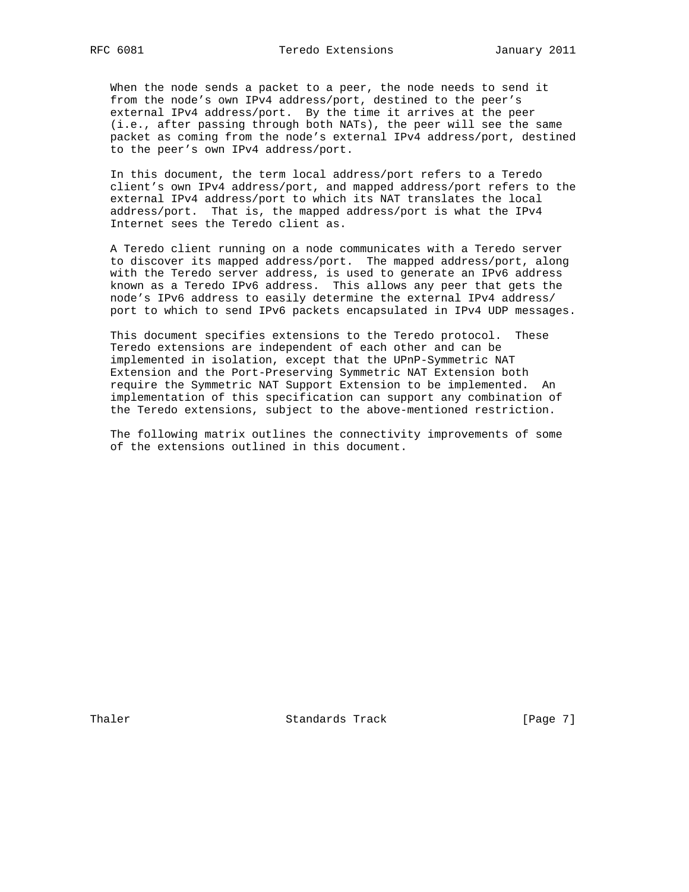When the node sends a packet to a peer, the node needs to send it from the node's own IPv4 address/port, destined to the peer's external IPv4 address/port. By the time it arrives at the peer (i.e., after passing through both NATs), the peer will see the same packet as coming from the node's external IPv4 address/port, destined to the peer's own IPv4 address/port.

 In this document, the term local address/port refers to a Teredo client's own IPv4 address/port, and mapped address/port refers to the external IPv4 address/port to which its NAT translates the local address/port. That is, the mapped address/port is what the IPv4 Internet sees the Teredo client as.

 A Teredo client running on a node communicates with a Teredo server to discover its mapped address/port. The mapped address/port, along with the Teredo server address, is used to generate an IPv6 address known as a Teredo IPv6 address. This allows any peer that gets the node's IPv6 address to easily determine the external IPv4 address/ port to which to send IPv6 packets encapsulated in IPv4 UDP messages.

 This document specifies extensions to the Teredo protocol. These Teredo extensions are independent of each other and can be implemented in isolation, except that the UPnP-Symmetric NAT Extension and the Port-Preserving Symmetric NAT Extension both require the Symmetric NAT Support Extension to be implemented. An implementation of this specification can support any combination of the Teredo extensions, subject to the above-mentioned restriction.

 The following matrix outlines the connectivity improvements of some of the extensions outlined in this document.

Thaler **Standards Track** [Page 7]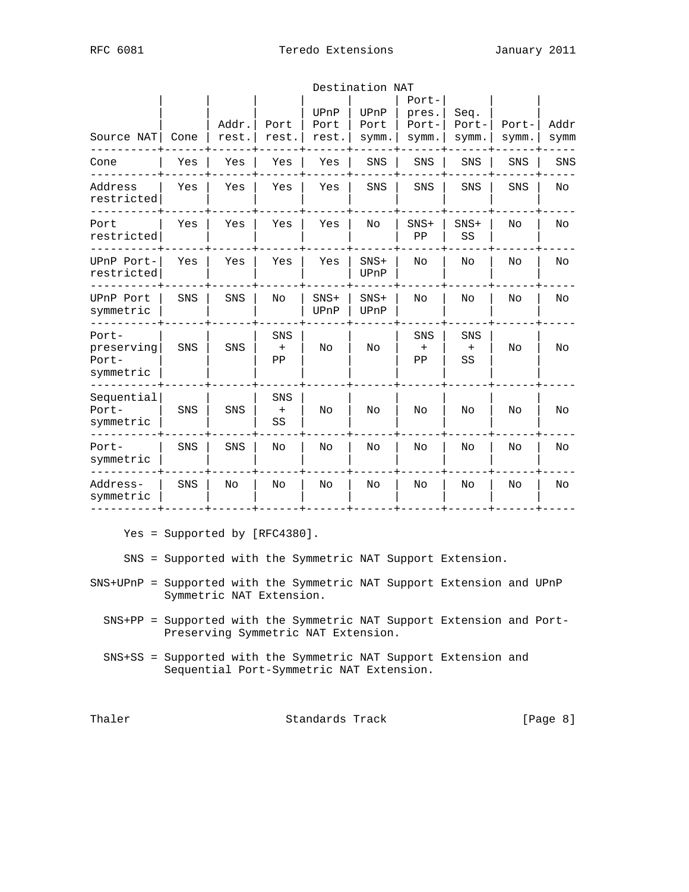| RFC | 6081 |
|-----|------|
|-----|------|

|                                           | Destination NAT |                |                              |                       |                       |                                  |                        |                |              |  |  |  |  |
|-------------------------------------------|-----------------|----------------|------------------------------|-----------------------|-----------------------|----------------------------------|------------------------|----------------|--------------|--|--|--|--|
| Source NAT                                | Cone            | Addr.<br>rest. | Port<br>rest.                | UPnP<br>Port<br>rest. | UPnP<br>Port<br>symm. | Port-<br>pres.<br>Port-<br>symm. | Seq.<br>Port-<br>symm. | Port-<br>symm. | Addr<br>symm |  |  |  |  |
| Cone                                      | Yes             | Yes            | Yes                          | Yes                   | SNS                   | SNS                              | SNS                    | SNS            | SNS          |  |  |  |  |
| Address<br>restricted                     | Yes             | Yes            | Yes                          | Yes                   | SNS                   | SNS                              | SNS                    | SNS            | No           |  |  |  |  |
| Port<br>restricted                        | Yes             | Yes            | Yes                          | Yes                   | No                    | $SNS+$<br>PP                     | $SNS+$<br>SS           | No             | No           |  |  |  |  |
| UPnP Port-<br>restricted                  | Yes             | Yes            | Yes                          | Yes                   | $SNS+$<br>UPnP        | No                               | No                     | No             | No           |  |  |  |  |
| UPnP Port<br>symmetric                    | SNS             | SNS            | No                           | $SNS+$<br>UPnP        | $SNS+$<br>UPnP        | No                               | No                     | No             | No           |  |  |  |  |
| Port-<br>preserving<br>Port-<br>symmetric | SNS             | SNS            | SNS<br>$\ddot{}$<br>ΡP       | No                    | No                    | SNS<br>$\ddot{}$<br>ΡP           | SNS<br>$\ddot{}$<br>SS | No             | No           |  |  |  |  |
| Sequential<br>$Port -$<br>symmetric       | SNS             | SNS            | SNS<br>$^{\mathrm{+}}$<br>SS | No                    | No                    | No                               | No                     | No             | No           |  |  |  |  |
| Port-<br>symmetric                        | SNS             | SNS            | No                           | No                    | No                    | No                               | No                     | No             | No           |  |  |  |  |
| Address-<br>symmetric                     | SNS             | No             | No                           | No                    | No                    | No                               | No                     | No             | No           |  |  |  |  |
|                                           |                 |                |                              |                       |                       |                                  |                        |                |              |  |  |  |  |

Yes = Supported by [RFC4380].

SNS = Supported with the Symmetric NAT Support Extension.

- SNS+UPnP = Supported with the Symmetric NAT Support Extension and UPnP Symmetric NAT Extension.
	- SNS+PP = Supported with the Symmetric NAT Support Extension and Port- Preserving Symmetric NAT Extension.
	- SNS+SS = Supported with the Symmetric NAT Support Extension and Sequential Port-Symmetric NAT Extension.

Thaler Standards Track [Page 8]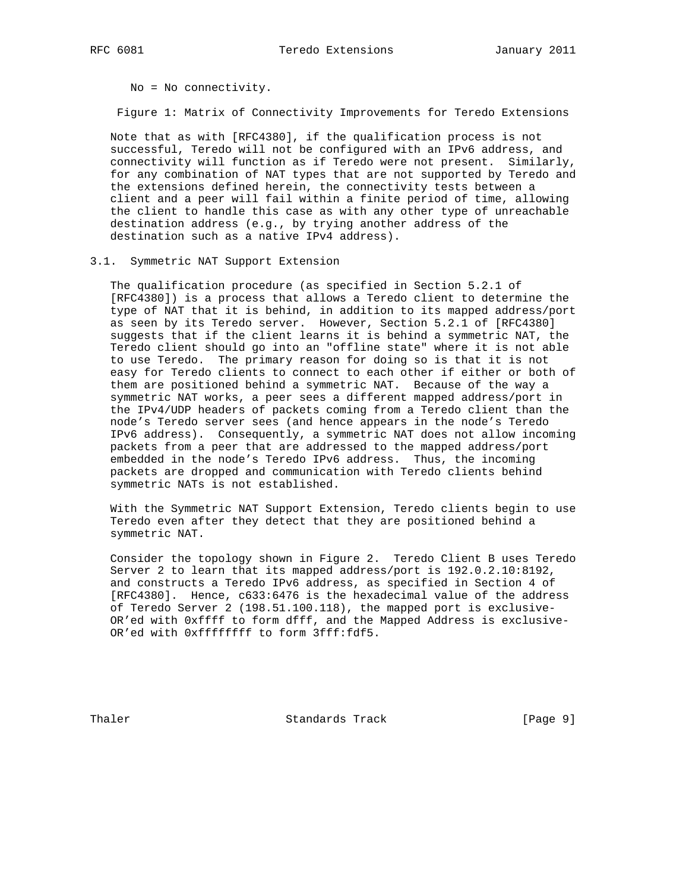No = No connectivity.

Figure 1: Matrix of Connectivity Improvements for Teredo Extensions

 Note that as with [RFC4380], if the qualification process is not successful, Teredo will not be configured with an IPv6 address, and connectivity will function as if Teredo were not present. Similarly, for any combination of NAT types that are not supported by Teredo and the extensions defined herein, the connectivity tests between a client and a peer will fail within a finite period of time, allowing the client to handle this case as with any other type of unreachable destination address (e.g., by trying another address of the destination such as a native IPv4 address).

## 3.1. Symmetric NAT Support Extension

 The qualification procedure (as specified in Section 5.2.1 of [RFC4380]) is a process that allows a Teredo client to determine the type of NAT that it is behind, in addition to its mapped address/port as seen by its Teredo server. However, Section 5.2.1 of [RFC4380] suggests that if the client learns it is behind a symmetric NAT, the Teredo client should go into an "offline state" where it is not able to use Teredo. The primary reason for doing so is that it is not easy for Teredo clients to connect to each other if either or both of them are positioned behind a symmetric NAT. Because of the way a symmetric NAT works, a peer sees a different mapped address/port in the IPv4/UDP headers of packets coming from a Teredo client than the node's Teredo server sees (and hence appears in the node's Teredo IPv6 address). Consequently, a symmetric NAT does not allow incoming packets from a peer that are addressed to the mapped address/port embedded in the node's Teredo IPv6 address. Thus, the incoming packets are dropped and communication with Teredo clients behind symmetric NATs is not established.

 With the Symmetric NAT Support Extension, Teredo clients begin to use Teredo even after they detect that they are positioned behind a symmetric NAT.

 Consider the topology shown in Figure 2. Teredo Client B uses Teredo Server 2 to learn that its mapped address/port is 192.0.2.10:8192, and constructs a Teredo IPv6 address, as specified in Section 4 of [RFC4380]. Hence, c633:6476 is the hexadecimal value of the address of Teredo Server 2 (198.51.100.118), the mapped port is exclusive- OR'ed with 0xffff to form dfff, and the Mapped Address is exclusive- OR'ed with 0xffffffff to form 3fff:fdf5.

Thaler **Standards Track** [Page 9]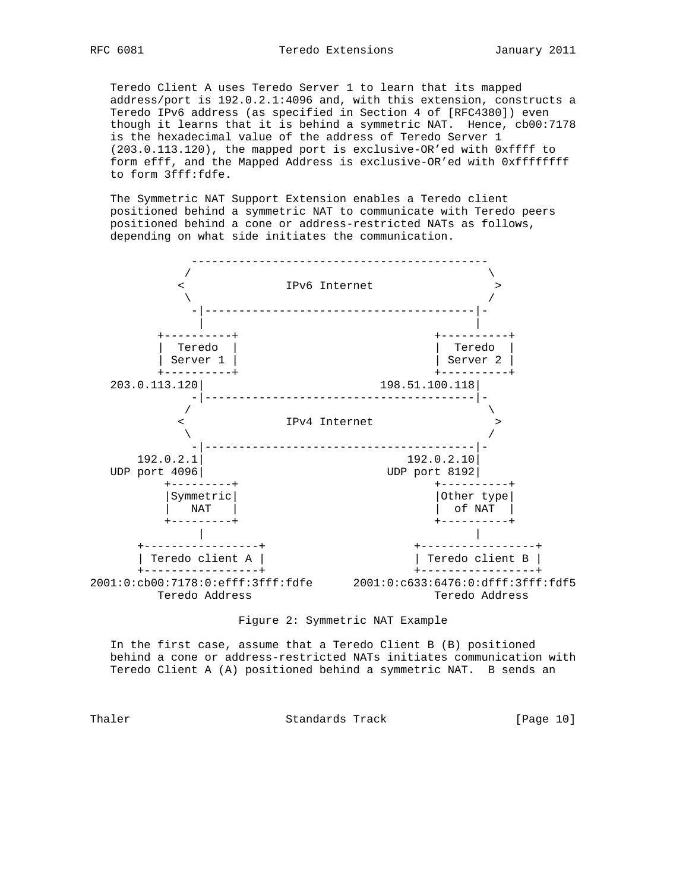Teredo Client A uses Teredo Server 1 to learn that its mapped address/port is 192.0.2.1:4096 and, with this extension, constructs a Teredo IPv6 address (as specified in Section 4 of [RFC4380]) even though it learns that it is behind a symmetric NAT. Hence, cb00:7178 is the hexadecimal value of the address of Teredo Server 1 (203.0.113.120), the mapped port is exclusive-OR'ed with 0xffff to form efff, and the Mapped Address is exclusive-OR'ed with 0xffffffff to form 3fff:fdfe.

 The Symmetric NAT Support Extension enables a Teredo client positioned behind a symmetric NAT to communicate with Teredo peers positioned behind a cone or address-restricted NATs as follows, depending on what side initiates the communication.



Figure 2: Symmetric NAT Example

 In the first case, assume that a Teredo Client B (B) positioned behind a cone or address-restricted NATs initiates communication with Teredo Client A (A) positioned behind a symmetric NAT. B sends an

Thaler **Standards Track** [Page 10]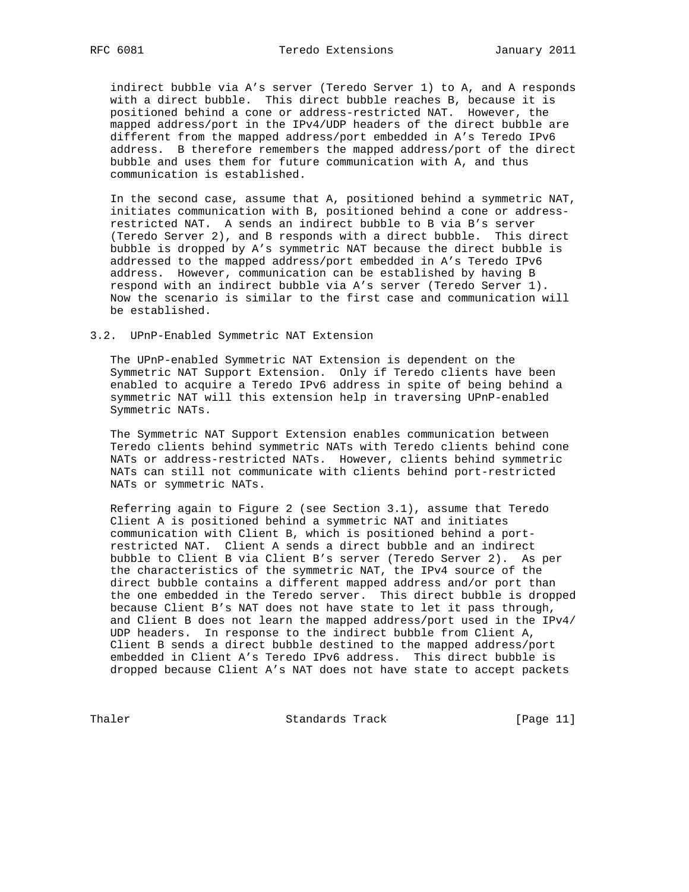indirect bubble via A's server (Teredo Server 1) to A, and A responds with a direct bubble. This direct bubble reaches B, because it is positioned behind a cone or address-restricted NAT. However, the mapped address/port in the IPv4/UDP headers of the direct bubble are different from the mapped address/port embedded in A's Teredo IPv6 address. B therefore remembers the mapped address/port of the direct bubble and uses them for future communication with A, and thus communication is established.

 In the second case, assume that A, positioned behind a symmetric NAT, initiates communication with B, positioned behind a cone or address restricted NAT. A sends an indirect bubble to B via B's server (Teredo Server 2), and B responds with a direct bubble. This direct bubble is dropped by A's symmetric NAT because the direct bubble is addressed to the mapped address/port embedded in A's Teredo IPv6 address. However, communication can be established by having B respond with an indirect bubble via A's server (Teredo Server 1). Now the scenario is similar to the first case and communication will be established.

## 3.2. UPnP-Enabled Symmetric NAT Extension

 The UPnP-enabled Symmetric NAT Extension is dependent on the Symmetric NAT Support Extension. Only if Teredo clients have been enabled to acquire a Teredo IPv6 address in spite of being behind a symmetric NAT will this extension help in traversing UPnP-enabled Symmetric NATs.

 The Symmetric NAT Support Extension enables communication between Teredo clients behind symmetric NATs with Teredo clients behind cone NATs or address-restricted NATs. However, clients behind symmetric NATs can still not communicate with clients behind port-restricted NATs or symmetric NATs.

 Referring again to Figure 2 (see Section 3.1), assume that Teredo Client A is positioned behind a symmetric NAT and initiates communication with Client B, which is positioned behind a port restricted NAT. Client A sends a direct bubble and an indirect bubble to Client B via Client B's server (Teredo Server 2). As per the characteristics of the symmetric NAT, the IPv4 source of the direct bubble contains a different mapped address and/or port than the one embedded in the Teredo server. This direct bubble is dropped because Client B's NAT does not have state to let it pass through, and Client B does not learn the mapped address/port used in the IPv4/ UDP headers. In response to the indirect bubble from Client A, Client B sends a direct bubble destined to the mapped address/port embedded in Client A's Teredo IPv6 address. This direct bubble is dropped because Client A's NAT does not have state to accept packets

Thaler **Standards Track** [Page 11]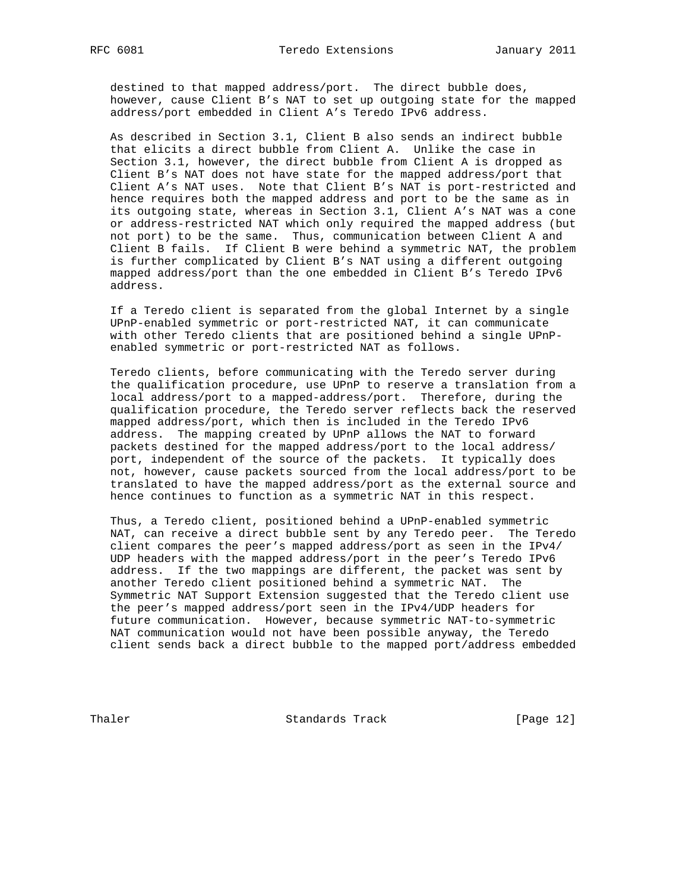destined to that mapped address/port. The direct bubble does, however, cause Client B's NAT to set up outgoing state for the mapped address/port embedded in Client A's Teredo IPv6 address.

 As described in Section 3.1, Client B also sends an indirect bubble that elicits a direct bubble from Client A. Unlike the case in Section 3.1, however, the direct bubble from Client A is dropped as Client B's NAT does not have state for the mapped address/port that Client A's NAT uses. Note that Client B's NAT is port-restricted and hence requires both the mapped address and port to be the same as in its outgoing state, whereas in Section 3.1, Client A's NAT was a cone or address-restricted NAT which only required the mapped address (but not port) to be the same. Thus, communication between Client A and Client B fails. If Client B were behind a symmetric NAT, the problem is further complicated by Client B's NAT using a different outgoing mapped address/port than the one embedded in Client B's Teredo IPv6 address.

 If a Teredo client is separated from the global Internet by a single UPnP-enabled symmetric or port-restricted NAT, it can communicate with other Teredo clients that are positioned behind a single UPnP enabled symmetric or port-restricted NAT as follows.

 Teredo clients, before communicating with the Teredo server during the qualification procedure, use UPnP to reserve a translation from a local address/port to a mapped-address/port. Therefore, during the qualification procedure, the Teredo server reflects back the reserved mapped address/port, which then is included in the Teredo IPv6 address. The mapping created by UPnP allows the NAT to forward packets destined for the mapped address/port to the local address/ port, independent of the source of the packets. It typically does not, however, cause packets sourced from the local address/port to be translated to have the mapped address/port as the external source and hence continues to function as a symmetric NAT in this respect.

 Thus, a Teredo client, positioned behind a UPnP-enabled symmetric NAT, can receive a direct bubble sent by any Teredo peer. The Teredo client compares the peer's mapped address/port as seen in the IPv4/ UDP headers with the mapped address/port in the peer's Teredo IPv6 address. If the two mappings are different, the packet was sent by another Teredo client positioned behind a symmetric NAT. The Symmetric NAT Support Extension suggested that the Teredo client use the peer's mapped address/port seen in the IPv4/UDP headers for future communication. However, because symmetric NAT-to-symmetric NAT communication would not have been possible anyway, the Teredo client sends back a direct bubble to the mapped port/address embedded

Thaler **Standards Track** [Page 12]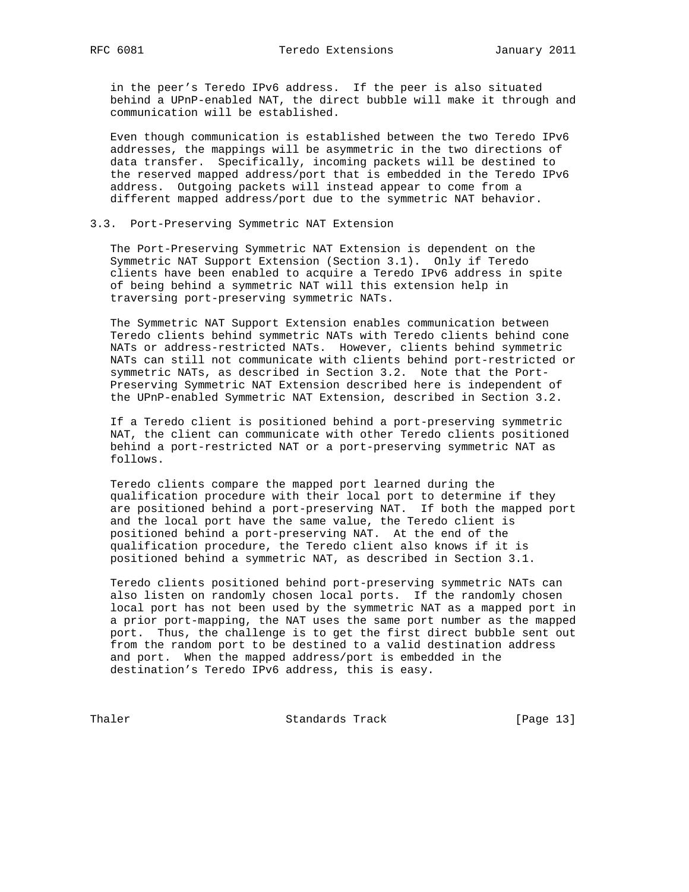in the peer's Teredo IPv6 address. If the peer is also situated behind a UPnP-enabled NAT, the direct bubble will make it through and communication will be established.

 Even though communication is established between the two Teredo IPv6 addresses, the mappings will be asymmetric in the two directions of data transfer. Specifically, incoming packets will be destined to the reserved mapped address/port that is embedded in the Teredo IPv6 address. Outgoing packets will instead appear to come from a different mapped address/port due to the symmetric NAT behavior.

## 3.3. Port-Preserving Symmetric NAT Extension

 The Port-Preserving Symmetric NAT Extension is dependent on the Symmetric NAT Support Extension (Section 3.1). Only if Teredo clients have been enabled to acquire a Teredo IPv6 address in spite of being behind a symmetric NAT will this extension help in traversing port-preserving symmetric NATs.

 The Symmetric NAT Support Extension enables communication between Teredo clients behind symmetric NATs with Teredo clients behind cone NATs or address-restricted NATs. However, clients behind symmetric NATs can still not communicate with clients behind port-restricted or symmetric NATs, as described in Section 3.2. Note that the Port- Preserving Symmetric NAT Extension described here is independent of the UPnP-enabled Symmetric NAT Extension, described in Section 3.2.

 If a Teredo client is positioned behind a port-preserving symmetric NAT, the client can communicate with other Teredo clients positioned behind a port-restricted NAT or a port-preserving symmetric NAT as follows.

 Teredo clients compare the mapped port learned during the qualification procedure with their local port to determine if they are positioned behind a port-preserving NAT. If both the mapped port and the local port have the same value, the Teredo client is positioned behind a port-preserving NAT. At the end of the qualification procedure, the Teredo client also knows if it is positioned behind a symmetric NAT, as described in Section 3.1.

 Teredo clients positioned behind port-preserving symmetric NATs can also listen on randomly chosen local ports. If the randomly chosen local port has not been used by the symmetric NAT as a mapped port in a prior port-mapping, the NAT uses the same port number as the mapped port. Thus, the challenge is to get the first direct bubble sent out from the random port to be destined to a valid destination address and port. When the mapped address/port is embedded in the destination's Teredo IPv6 address, this is easy.

Thaler Standards Track [Page 13]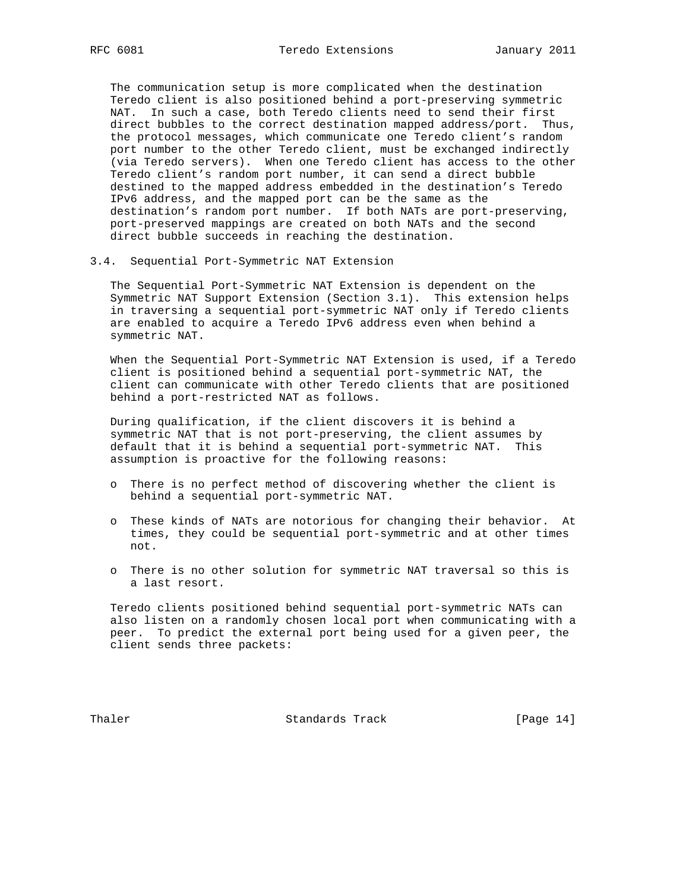The communication setup is more complicated when the destination Teredo client is also positioned behind a port-preserving symmetric NAT. In such a case, both Teredo clients need to send their first direct bubbles to the correct destination mapped address/port. Thus, the protocol messages, which communicate one Teredo client's random port number to the other Teredo client, must be exchanged indirectly (via Teredo servers). When one Teredo client has access to the other Teredo client's random port number, it can send a direct bubble destined to the mapped address embedded in the destination's Teredo IPv6 address, and the mapped port can be the same as the destination's random port number. If both NATs are port-preserving, port-preserved mappings are created on both NATs and the second direct bubble succeeds in reaching the destination.

## 3.4. Sequential Port-Symmetric NAT Extension

 The Sequential Port-Symmetric NAT Extension is dependent on the Symmetric NAT Support Extension (Section 3.1). This extension helps in traversing a sequential port-symmetric NAT only if Teredo clients are enabled to acquire a Teredo IPv6 address even when behind a symmetric NAT.

 When the Sequential Port-Symmetric NAT Extension is used, if a Teredo client is positioned behind a sequential port-symmetric NAT, the client can communicate with other Teredo clients that are positioned behind a port-restricted NAT as follows.

 During qualification, if the client discovers it is behind a symmetric NAT that is not port-preserving, the client assumes by default that it is behind a sequential port-symmetric NAT. This assumption is proactive for the following reasons:

- o There is no perfect method of discovering whether the client is behind a sequential port-symmetric NAT.
- o These kinds of NATs are notorious for changing their behavior. At times, they could be sequential port-symmetric and at other times not.
- o There is no other solution for symmetric NAT traversal so this is a last resort.

 Teredo clients positioned behind sequential port-symmetric NATs can also listen on a randomly chosen local port when communicating with a peer. To predict the external port being used for a given peer, the client sends three packets:

Thaler **Standards Track** [Page 14]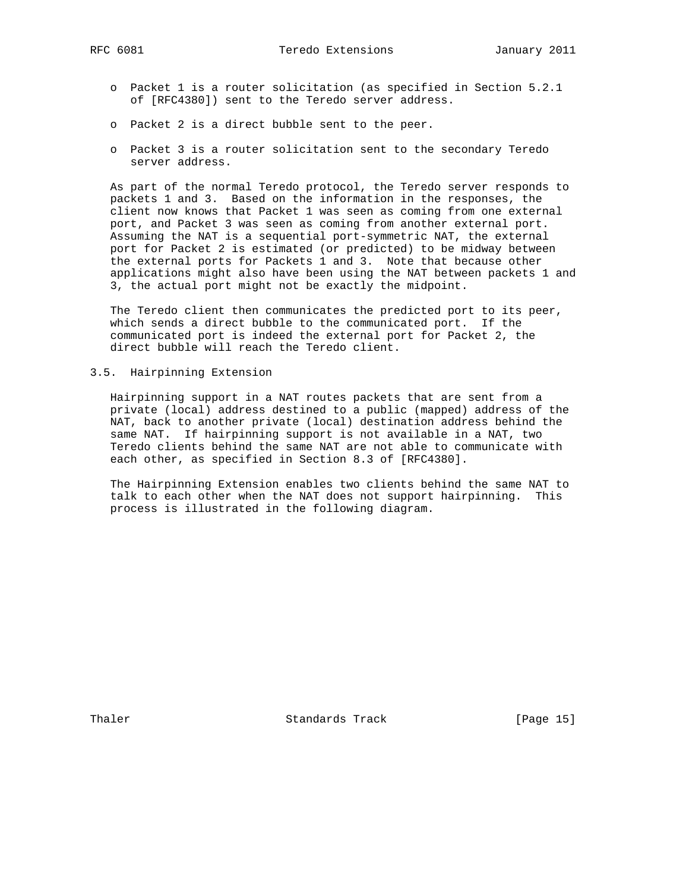- o Packet 1 is a router solicitation (as specified in Section 5.2.1 of [RFC4380]) sent to the Teredo server address.
- o Packet 2 is a direct bubble sent to the peer.
- o Packet 3 is a router solicitation sent to the secondary Teredo server address.

 As part of the normal Teredo protocol, the Teredo server responds to packets 1 and 3. Based on the information in the responses, the client now knows that Packet 1 was seen as coming from one external port, and Packet 3 was seen as coming from another external port. Assuming the NAT is a sequential port-symmetric NAT, the external port for Packet 2 is estimated (or predicted) to be midway between the external ports for Packets 1 and 3. Note that because other applications might also have been using the NAT between packets 1 and 3, the actual port might not be exactly the midpoint.

 The Teredo client then communicates the predicted port to its peer, which sends a direct bubble to the communicated port. If the communicated port is indeed the external port for Packet 2, the direct bubble will reach the Teredo client.

3.5. Hairpinning Extension

 Hairpinning support in a NAT routes packets that are sent from a private (local) address destined to a public (mapped) address of the NAT, back to another private (local) destination address behind the same NAT. If hairpinning support is not available in a NAT, two Teredo clients behind the same NAT are not able to communicate with each other, as specified in Section 8.3 of [RFC4380].

 The Hairpinning Extension enables two clients behind the same NAT to talk to each other when the NAT does not support hairpinning. This process is illustrated in the following diagram.

Thaler **Standards Track** [Page 15]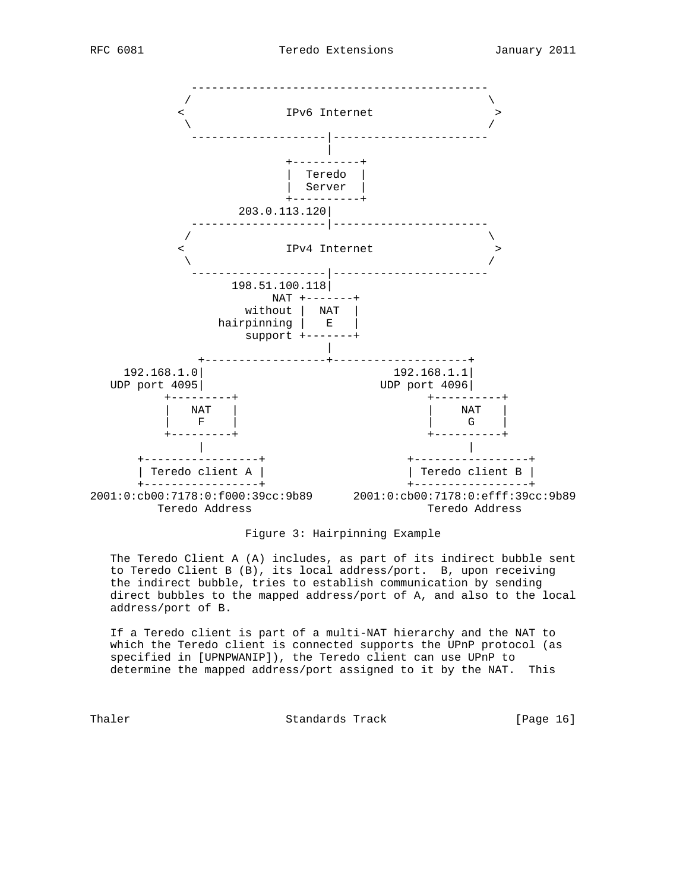

# Figure 3: Hairpinning Example

 The Teredo Client A (A) includes, as part of its indirect bubble sent to Teredo Client B (B), its local address/port. B, upon receiving the indirect bubble, tries to establish communication by sending direct bubbles to the mapped address/port of A, and also to the local address/port of B.

 If a Teredo client is part of a multi-NAT hierarchy and the NAT to which the Teredo client is connected supports the UPnP protocol (as specified in [UPNPWANIP]), the Teredo client can use UPnP to determine the mapped address/port assigned to it by the NAT. This

Thaler **Standards Track** [Page 16]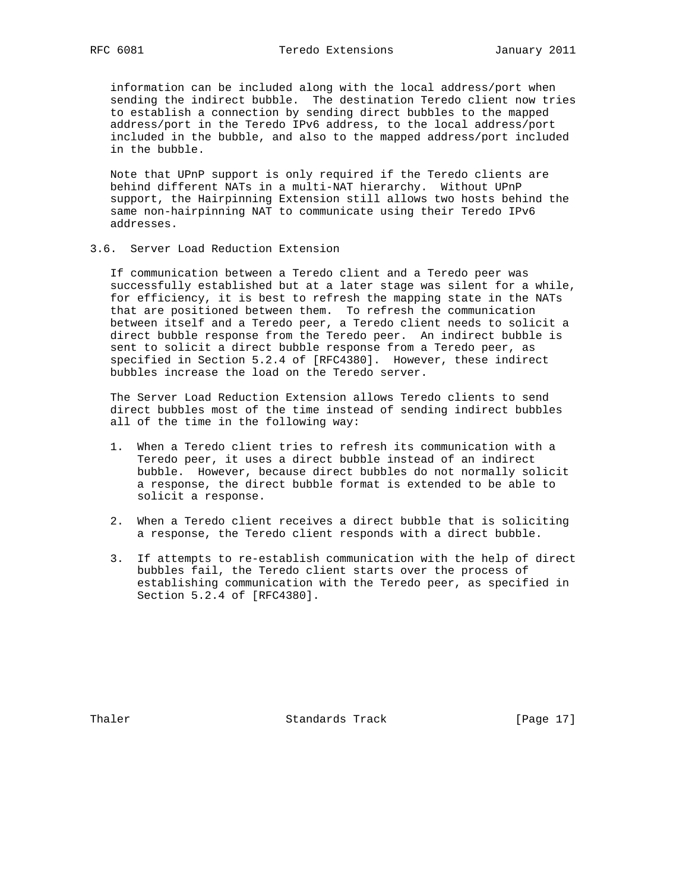information can be included along with the local address/port when sending the indirect bubble. The destination Teredo client now tries to establish a connection by sending direct bubbles to the mapped address/port in the Teredo IPv6 address, to the local address/port included in the bubble, and also to the mapped address/port included in the bubble.

 Note that UPnP support is only required if the Teredo clients are behind different NATs in a multi-NAT hierarchy. Without UPnP support, the Hairpinning Extension still allows two hosts behind the same non-hairpinning NAT to communicate using their Teredo IPv6 addresses.

## 3.6. Server Load Reduction Extension

 If communication between a Teredo client and a Teredo peer was successfully established but at a later stage was silent for a while, for efficiency, it is best to refresh the mapping state in the NATs that are positioned between them. To refresh the communication between itself and a Teredo peer, a Teredo client needs to solicit a direct bubble response from the Teredo peer. An indirect bubble is sent to solicit a direct bubble response from a Teredo peer, as specified in Section 5.2.4 of [RFC4380]. However, these indirect bubbles increase the load on the Teredo server.

 The Server Load Reduction Extension allows Teredo clients to send direct bubbles most of the time instead of sending indirect bubbles all of the time in the following way:

- 1. When a Teredo client tries to refresh its communication with a Teredo peer, it uses a direct bubble instead of an indirect bubble. However, because direct bubbles do not normally solicit a response, the direct bubble format is extended to be able to solicit a response.
- 2. When a Teredo client receives a direct bubble that is soliciting a response, the Teredo client responds with a direct bubble.
- 3. If attempts to re-establish communication with the help of direct bubbles fail, the Teredo client starts over the process of establishing communication with the Teredo peer, as specified in Section 5.2.4 of [RFC4380].

Thaler **Standards Track** [Page 17]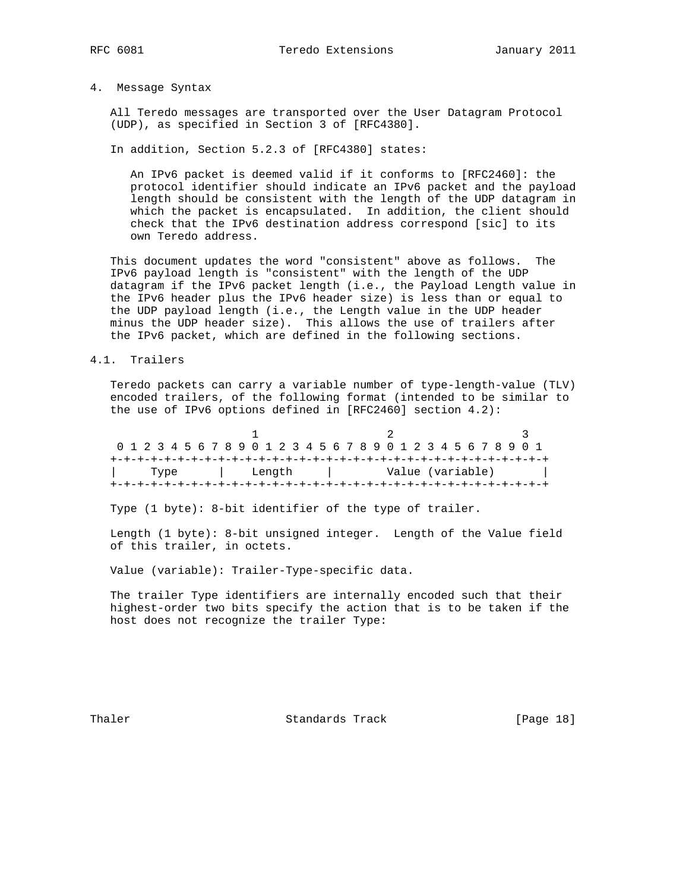# 4. Message Syntax

 All Teredo messages are transported over the User Datagram Protocol (UDP), as specified in Section 3 of [RFC4380].

In addition, Section 5.2.3 of [RFC4380] states:

 An IPv6 packet is deemed valid if it conforms to [RFC2460]: the protocol identifier should indicate an IPv6 packet and the payload length should be consistent with the length of the UDP datagram in which the packet is encapsulated. In addition, the client should check that the IPv6 destination address correspond [sic] to its own Teredo address.

 This document updates the word "consistent" above as follows. The IPv6 payload length is "consistent" with the length of the UDP datagram if the IPv6 packet length (i.e., the Payload Length value in the IPv6 header plus the IPv6 header size) is less than or equal to the UDP payload length (i.e., the Length value in the UDP header minus the UDP header size). This allows the use of trailers after the IPv6 packet, which are defined in the following sections.

4.1. Trailers

 Teredo packets can carry a variable number of type-length-value (TLV) encoded trailers, of the following format (intended to be similar to the use of IPv6 options defined in [RFC2460] section 4.2):

|  |  |  |  |  |      |  |  |  |        |  |  |  |  |  |  |  | 0 1 2 3 4 5 6 7 8 9 0 1 2 3 4 5 6 7 8 9 0 1 2 3 4 5 6 7 8 9 0 1 |  |  |  |  |  |  |  |
|--|--|--|--|--|------|--|--|--|--------|--|--|--|--|--|--|--|-----------------------------------------------------------------|--|--|--|--|--|--|--|
|  |  |  |  |  |      |  |  |  |        |  |  |  |  |  |  |  |                                                                 |  |  |  |  |  |  |  |
|  |  |  |  |  | Type |  |  |  | Length |  |  |  |  |  |  |  | Value (variable)                                                |  |  |  |  |  |  |  |
|  |  |  |  |  |      |  |  |  |        |  |  |  |  |  |  |  |                                                                 |  |  |  |  |  |  |  |

Type (1 byte): 8-bit identifier of the type of trailer.

 Length (1 byte): 8-bit unsigned integer. Length of the Value field of this trailer, in octets.

Value (variable): Trailer-Type-specific data.

 The trailer Type identifiers are internally encoded such that their highest-order two bits specify the action that is to be taken if the host does not recognize the trailer Type:

Thaler **Standards** Track [Page 18]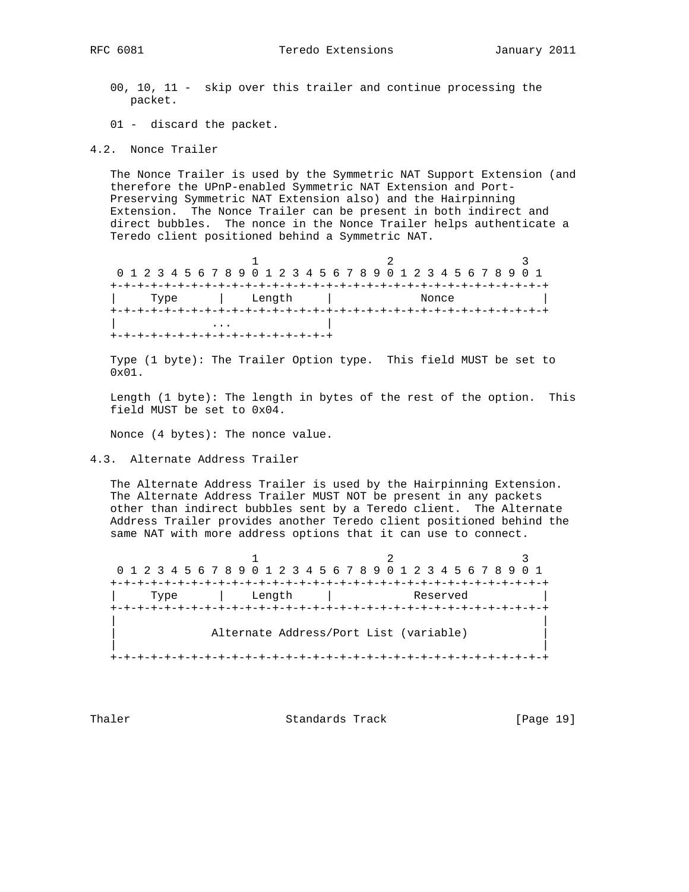- 00, 10, 11 skip over this trailer and continue processing the packet.
- 01 discard the packet.
- 4.2. Nonce Trailer

 The Nonce Trailer is used by the Symmetric NAT Support Extension (and therefore the UPnP-enabled Symmetric NAT Extension and Port- Preserving Symmetric NAT Extension also) and the Hairpinning Extension. The Nonce Trailer can be present in both indirect and direct bubbles. The nonce in the Nonce Trailer helps authenticate a Teredo client positioned behind a Symmetric NAT.

1 2 3 0 1 2 3 4 5 6 7 8 9 0 1 2 3 4 5 6 7 8 9 0 1 2 3 4 5 6 7 8 9 0 1 +-+-+-+-+-+-+-+-+-+-+-+-+-+-+-+-+-+-+-+-+-+-+-+-+-+-+-+-+-+-+-+-+ | Type | Length | Nonce | +-+-+-+-+-+-+-+-+-+-+-+-+-+-+-+-+-+-+-+-+-+-+-+-+-+-+-+-+-+-+-+-+ | ... | ... | ... | ... | ... | ... | ... | ... | ... | ... | ... | ... | ... | ... | ... | ... | ... | ... | ... | ... | ... | ... | ... | ... | ... | ... | ... | ... | ... | ... | ... | ... | ... | ... | ... | ... | ... +-+-+-+-+-+-+-+-+-+-+-+-+-+-+-+-+

 Type (1 byte): The Trailer Option type. This field MUST be set to  $0 \times 01$ 

 Length (1 byte): The length in bytes of the rest of the option. This field MUST be set to 0x04.

Nonce (4 bytes): The nonce value.

4.3. Alternate Address Trailer

 The Alternate Address Trailer is used by the Hairpinning Extension. The Alternate Address Trailer MUST NOT be present in any packets other than indirect bubbles sent by a Teredo client. The Alternate Address Trailer provides another Teredo client positioned behind the same NAT with more address options that it can use to connect.

1 2 3 0 1 2 3 4 5 6 7 8 9 0 1 2 3 4 5 6 7 8 9 0 1 2 3 4 5 6 7 8 9 0 1 +-+-+-+-+-+-+-+-+-+-+-+-+-+-+-+-+-+-+-+-+-+-+-+-+-+-+-+-+-+-+-+-+ | Type | Length | Reserved | +-+-+-+-+-+-+-+-+-+-+-+-+-+-+-+-+-+-+-+-+-+-+-+-+-+-+-+-+-+-+-+-+ | | Alternate Address/Port List (variable) | | +-+-+-+-+-+-+-+-+-+-+-+-+-+-+-+-+-+-+-+-+-+-+-+-+-+-+-+-+-+-+-+-+

Thaler **Standards Track** [Page 19]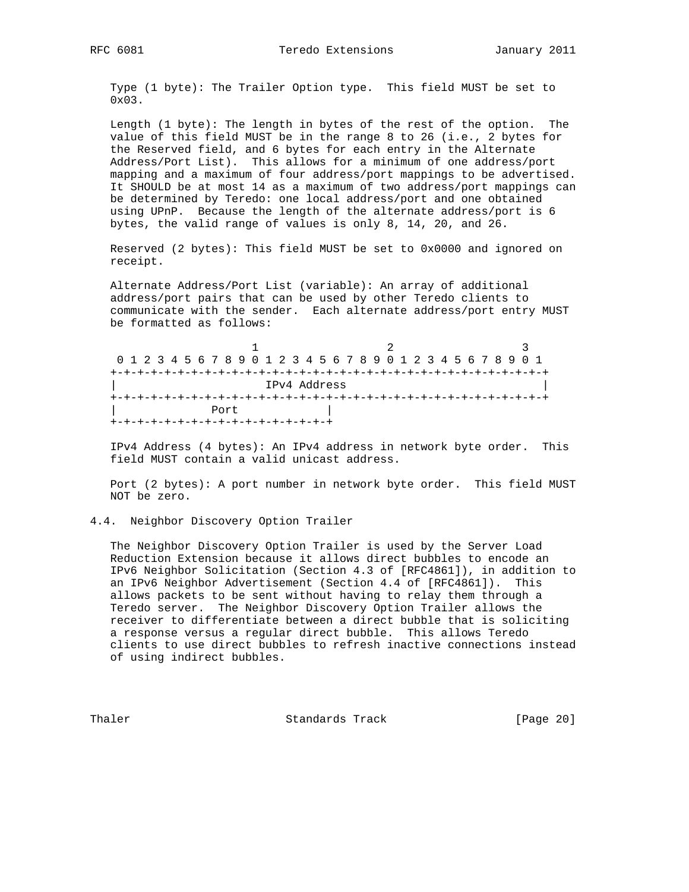Type (1 byte): The Trailer Option type. This field MUST be set to 0x03.

 Length (1 byte): The length in bytes of the rest of the option. The value of this field MUST be in the range 8 to 26 (i.e., 2 bytes for the Reserved field, and 6 bytes for each entry in the Alternate Address/Port List). This allows for a minimum of one address/port mapping and a maximum of four address/port mappings to be advertised. It SHOULD be at most 14 as a maximum of two address/port mappings can be determined by Teredo: one local address/port and one obtained using UPnP. Because the length of the alternate address/port is 6 bytes, the valid range of values is only 8, 14, 20, and 26.

 Reserved (2 bytes): This field MUST be set to 0x0000 and ignored on receipt.

 Alternate Address/Port List (variable): An array of additional address/port pairs that can be used by other Teredo clients to communicate with the sender. Each alternate address/port entry MUST be formatted as follows:

1 2 3 0 1 2 3 4 5 6 7 8 9 0 1 2 3 4 5 6 7 8 9 0 1 2 3 4 5 6 7 8 9 0 1 +-+-+-+-+-+-+-+-+-+-+-+-+-+-+-+-+-+-+-+-+-+-+-+-+-+-+-+-+-+-+-+-+ | IPv4 Address | +-+-+-+-+-+-+-+-+-+-+-+-+-+-+-+-+-+-+-+-+-+-+-+-+-+-+-+-+-+-+-+-+ Port  $|$ +-+-+-+-+-+-+-+-+-+-+-+-+-+-+-+-+

 IPv4 Address (4 bytes): An IPv4 address in network byte order. This field MUST contain a valid unicast address.

 Port (2 bytes): A port number in network byte order. This field MUST NOT be zero.

#### 4.4. Neighbor Discovery Option Trailer

 The Neighbor Discovery Option Trailer is used by the Server Load Reduction Extension because it allows direct bubbles to encode an IPv6 Neighbor Solicitation (Section 4.3 of [RFC4861]), in addition to an IPv6 Neighbor Advertisement (Section 4.4 of [RFC4861]). This allows packets to be sent without having to relay them through a Teredo server. The Neighbor Discovery Option Trailer allows the receiver to differentiate between a direct bubble that is soliciting a response versus a regular direct bubble. This allows Teredo clients to use direct bubbles to refresh inactive connections instead of using indirect bubbles.

Thaler **Standards Track** [Page 20]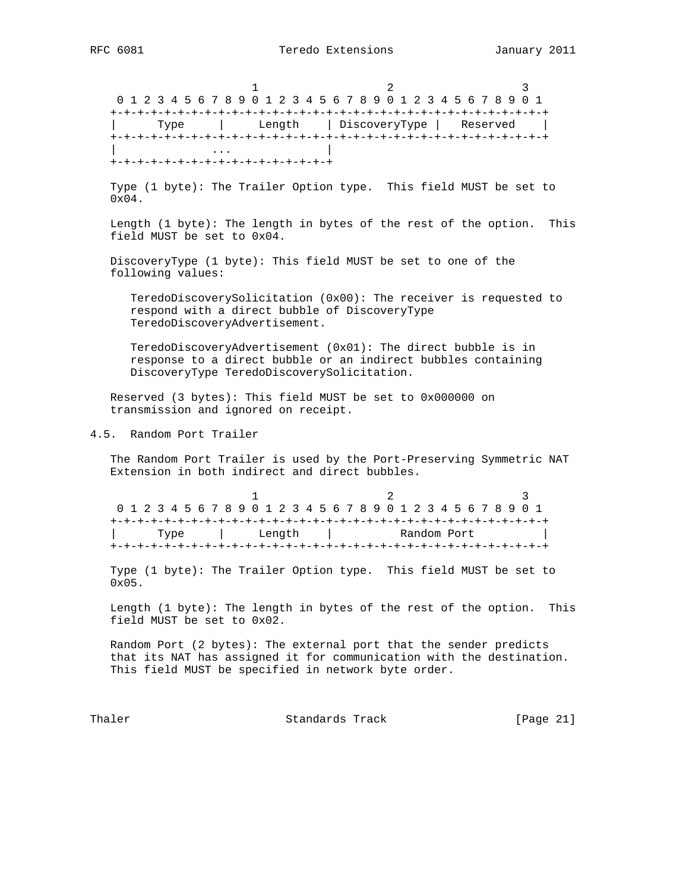1 2 3 0 1 2 3 4 5 6 7 8 9 0 1 2 3 4 5 6 7 8 9 0 1 2 3 4 5 6 7 8 9 0 1 +-+-+-+-+-+-+-+-+-+-+-+-+-+-+-+-+-+-+-+-+-+-+-+-+-+-+-+-+-+-+-+-+ | Type | Length | DiscoveryType | Reserved | +-+-+-+-+-+-+-+-+-+-+-+-+-+-+-+-+-+-+-+-+-+-+-+-+-+-+-+-+-+-+-+-+ | ... | ... | ... | ... | ... | ... | ... | ... | ... | ... | ... | ... | ... | ... | ... | ... | ... | ... | ... | ... | ... | ... | ... | ... | ... | ... | ... | ... | ... | ... | ... | ... | ... | ... | ... | ... | ... +-+-+-+-+-+-+-+-+-+-+-+-+-+-+-+-+ Type (1 byte): The Trailer Option type. This field MUST be set to 0x04. Length (1 byte): The length in bytes of the rest of the option. This field MUST be set to 0x04. DiscoveryType (1 byte): This field MUST be set to one of the following values: TeredoDiscoverySolicitation (0x00): The receiver is requested to respond with a direct bubble of DiscoveryType TeredoDiscoveryAdvertisement. TeredoDiscoveryAdvertisement (0x01): The direct bubble is in response to a direct bubble or an indirect bubbles containing DiscoveryType TeredoDiscoverySolicitation. Reserved (3 bytes): This field MUST be set to 0x000000 on transmission and ignored on receipt. 4.5. Random Port Trailer The Random Port Trailer is used by the Port-Preserving Symmetric NAT Extension in both indirect and direct bubbles. 1 2 3 0 1 2 3 4 5 6 7 8 9 0 1 2 3 4 5 6 7 8 9 0 1 2 3 4 5 6 7 8 9 0 1 +-+-+-+-+-+-+-+-+-+-+-+-+-+-+-+-+-+-+-+-+-+-+-+-+-+-+-+-+-+-+-+-+ Length | +-+-+-+-+-+-+-+-+-+-+-+-+-+-+-+-+-+-+-+-+-+-+-+-+-+-+-+-+-+-+-+-+ Type (1 byte): The Trailer Option type. This field MUST be set to 0x05. Length (1 byte): The length in bytes of the rest of the option. This field MUST be set to 0x02. Random Port (2 bytes): The external port that the sender predicts that its NAT has assigned it for communication with the destination. This field MUST be specified in network byte order. Thaler **Standards Track** [Page 21]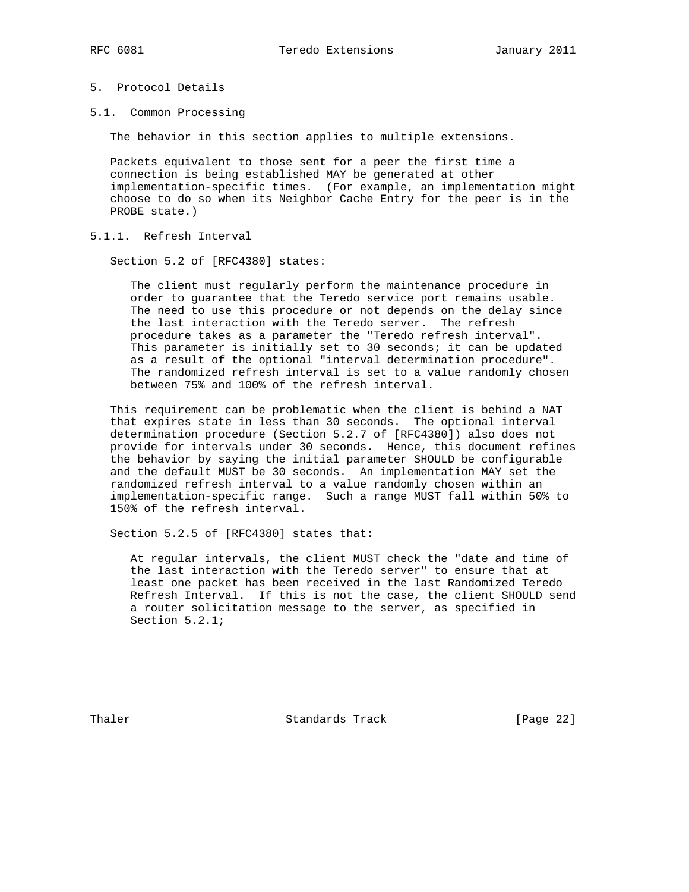# 5. Protocol Details

5.1. Common Processing

The behavior in this section applies to multiple extensions.

 Packets equivalent to those sent for a peer the first time a connection is being established MAY be generated at other implementation-specific times. (For example, an implementation might choose to do so when its Neighbor Cache Entry for the peer is in the PROBE state.)

5.1.1. Refresh Interval

Section 5.2 of [RFC4380] states:

 The client must regularly perform the maintenance procedure in order to guarantee that the Teredo service port remains usable. The need to use this procedure or not depends on the delay since the last interaction with the Teredo server. The refresh procedure takes as a parameter the "Teredo refresh interval". This parameter is initially set to 30 seconds; it can be updated as a result of the optional "interval determination procedure". The randomized refresh interval is set to a value randomly chosen between 75% and 100% of the refresh interval.

 This requirement can be problematic when the client is behind a NAT that expires state in less than 30 seconds. The optional interval determination procedure (Section 5.2.7 of [RFC4380]) also does not provide for intervals under 30 seconds. Hence, this document refines the behavior by saying the initial parameter SHOULD be configurable and the default MUST be 30 seconds. An implementation MAY set the randomized refresh interval to a value randomly chosen within an implementation-specific range. Such a range MUST fall within 50% to 150% of the refresh interval.

Section 5.2.5 of [RFC4380] states that:

 At regular intervals, the client MUST check the "date and time of the last interaction with the Teredo server" to ensure that at least one packet has been received in the last Randomized Teredo Refresh Interval. If this is not the case, the client SHOULD send a router solicitation message to the server, as specified in Section 5.2.1;

Thaler **Standards Track** [Page 22]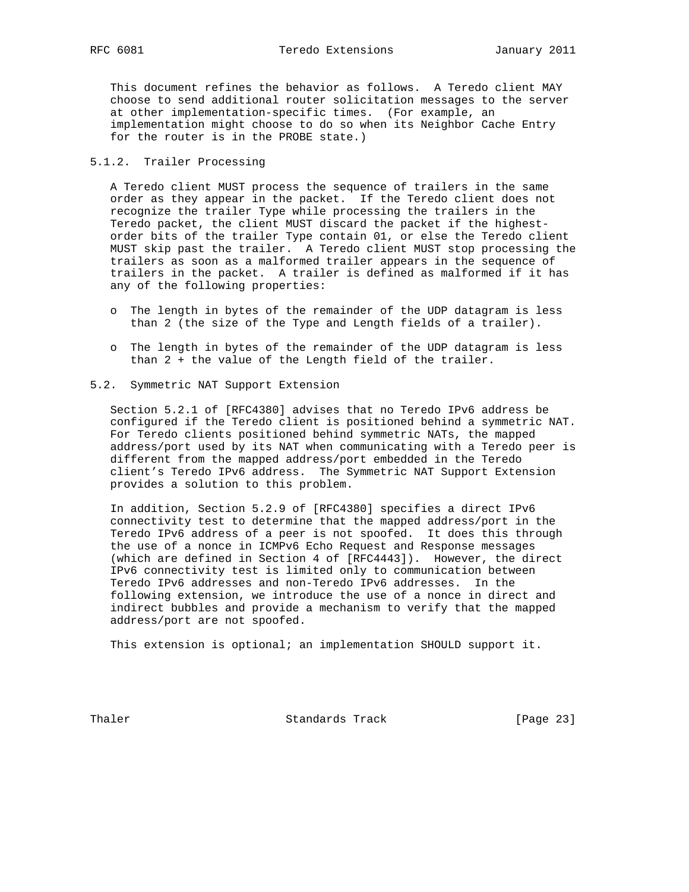This document refines the behavior as follows. A Teredo client MAY choose to send additional router solicitation messages to the server at other implementation-specific times. (For example, an implementation might choose to do so when its Neighbor Cache Entry for the router is in the PROBE state.)

## 5.1.2. Trailer Processing

 A Teredo client MUST process the sequence of trailers in the same order as they appear in the packet. If the Teredo client does not recognize the trailer Type while processing the trailers in the Teredo packet, the client MUST discard the packet if the highest order bits of the trailer Type contain 01, or else the Teredo client MUST skip past the trailer. A Teredo client MUST stop processing the trailers as soon as a malformed trailer appears in the sequence of trailers in the packet. A trailer is defined as malformed if it has any of the following properties:

- o The length in bytes of the remainder of the UDP datagram is less than 2 (the size of the Type and Length fields of a trailer).
- o The length in bytes of the remainder of the UDP datagram is less than 2 + the value of the Length field of the trailer.
- 5.2. Symmetric NAT Support Extension

 Section 5.2.1 of [RFC4380] advises that no Teredo IPv6 address be configured if the Teredo client is positioned behind a symmetric NAT. For Teredo clients positioned behind symmetric NATs, the mapped address/port used by its NAT when communicating with a Teredo peer is different from the mapped address/port embedded in the Teredo client's Teredo IPv6 address. The Symmetric NAT Support Extension provides a solution to this problem.

 In addition, Section 5.2.9 of [RFC4380] specifies a direct IPv6 connectivity test to determine that the mapped address/port in the Teredo IPv6 address of a peer is not spoofed. It does this through the use of a nonce in ICMPv6 Echo Request and Response messages (which are defined in Section 4 of [RFC4443]). However, the direct IPv6 connectivity test is limited only to communication between Teredo IPv6 addresses and non-Teredo IPv6 addresses. In the following extension, we introduce the use of a nonce in direct and indirect bubbles and provide a mechanism to verify that the mapped address/port are not spoofed.

This extension is optional; an implementation SHOULD support it.

Thaler **Standards Track** [Page 23]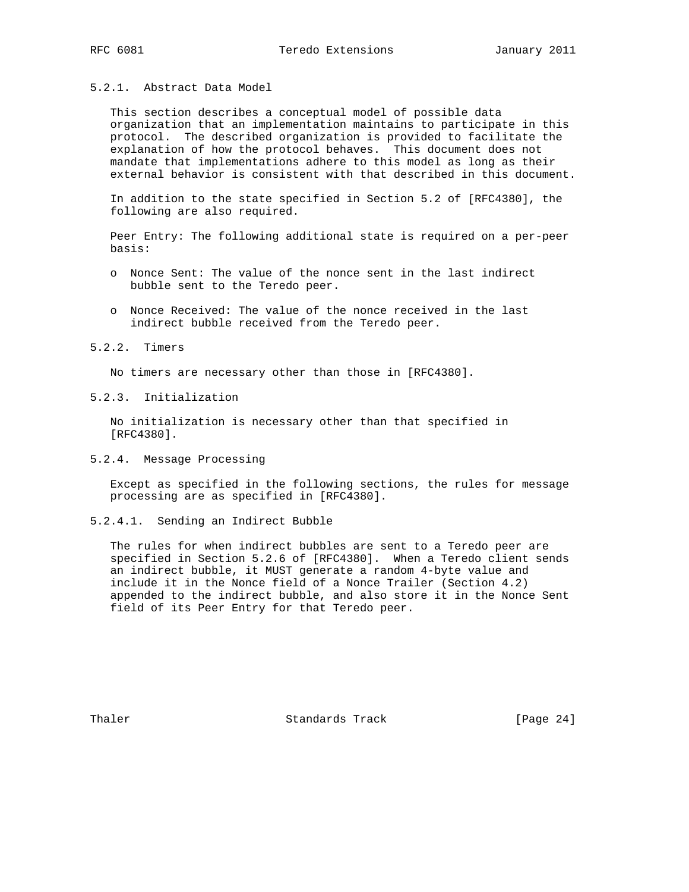# 5.2.1. Abstract Data Model

 This section describes a conceptual model of possible data organization that an implementation maintains to participate in this protocol. The described organization is provided to facilitate the explanation of how the protocol behaves. This document does not mandate that implementations adhere to this model as long as their external behavior is consistent with that described in this document.

 In addition to the state specified in Section 5.2 of [RFC4380], the following are also required.

 Peer Entry: The following additional state is required on a per-peer basis:

- o Nonce Sent: The value of the nonce sent in the last indirect bubble sent to the Teredo peer.
- o Nonce Received: The value of the nonce received in the last indirect bubble received from the Teredo peer.

## 5.2.2. Timers

No timers are necessary other than those in [RFC4380].

## 5.2.3. Initialization

 No initialization is necessary other than that specified in [RFC4380].

## 5.2.4. Message Processing

 Except as specified in the following sections, the rules for message processing are as specified in [RFC4380].

## 5.2.4.1. Sending an Indirect Bubble

 The rules for when indirect bubbles are sent to a Teredo peer are specified in Section 5.2.6 of [RFC4380]. When a Teredo client sends an indirect bubble, it MUST generate a random 4-byte value and include it in the Nonce field of a Nonce Trailer (Section 4.2) appended to the indirect bubble, and also store it in the Nonce Sent field of its Peer Entry for that Teredo peer.

Thaler **Standards Track** [Page 24]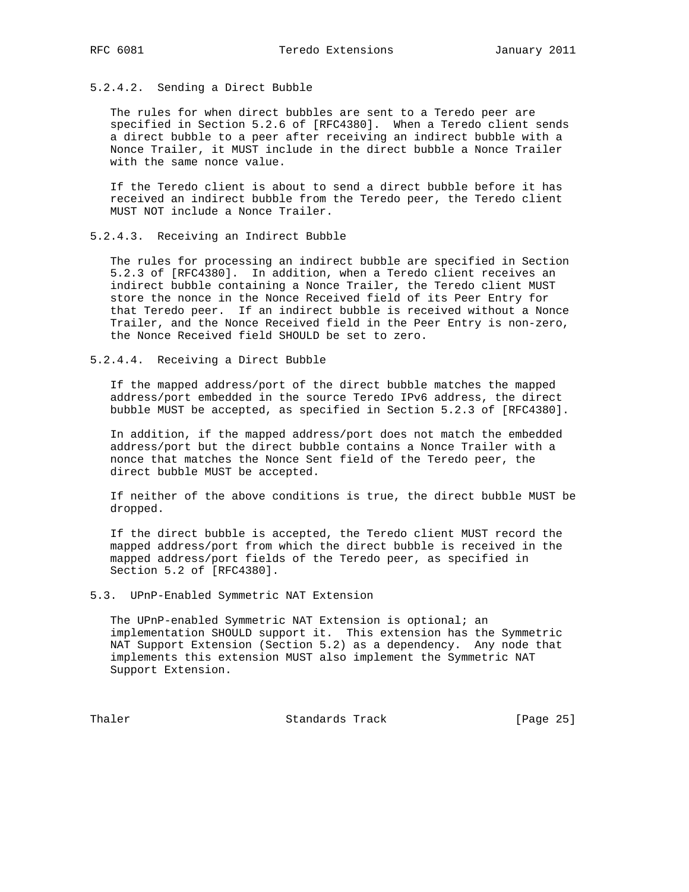# 5.2.4.2. Sending a Direct Bubble

 The rules for when direct bubbles are sent to a Teredo peer are specified in Section 5.2.6 of [RFC4380]. When a Teredo client sends a direct bubble to a peer after receiving an indirect bubble with a Nonce Trailer, it MUST include in the direct bubble a Nonce Trailer with the same nonce value.

 If the Teredo client is about to send a direct bubble before it has received an indirect bubble from the Teredo peer, the Teredo client MUST NOT include a Nonce Trailer.

## 5.2.4.3. Receiving an Indirect Bubble

 The rules for processing an indirect bubble are specified in Section 5.2.3 of [RFC4380]. In addition, when a Teredo client receives an indirect bubble containing a Nonce Trailer, the Teredo client MUST store the nonce in the Nonce Received field of its Peer Entry for that Teredo peer. If an indirect bubble is received without a Nonce Trailer, and the Nonce Received field in the Peer Entry is non-zero, the Nonce Received field SHOULD be set to zero.

5.2.4.4. Receiving a Direct Bubble

 If the mapped address/port of the direct bubble matches the mapped address/port embedded in the source Teredo IPv6 address, the direct bubble MUST be accepted, as specified in Section 5.2.3 of [RFC4380].

 In addition, if the mapped address/port does not match the embedded address/port but the direct bubble contains a Nonce Trailer with a nonce that matches the Nonce Sent field of the Teredo peer, the direct bubble MUST be accepted.

 If neither of the above conditions is true, the direct bubble MUST be dropped.

 If the direct bubble is accepted, the Teredo client MUST record the mapped address/port from which the direct bubble is received in the mapped address/port fields of the Teredo peer, as specified in Section 5.2 of [RFC4380].

5.3. UPnP-Enabled Symmetric NAT Extension

 The UPnP-enabled Symmetric NAT Extension is optional; an implementation SHOULD support it. This extension has the Symmetric NAT Support Extension (Section 5.2) as a dependency. Any node that implements this extension MUST also implement the Symmetric NAT Support Extension.

Thaler **Standards Track** [Page 25]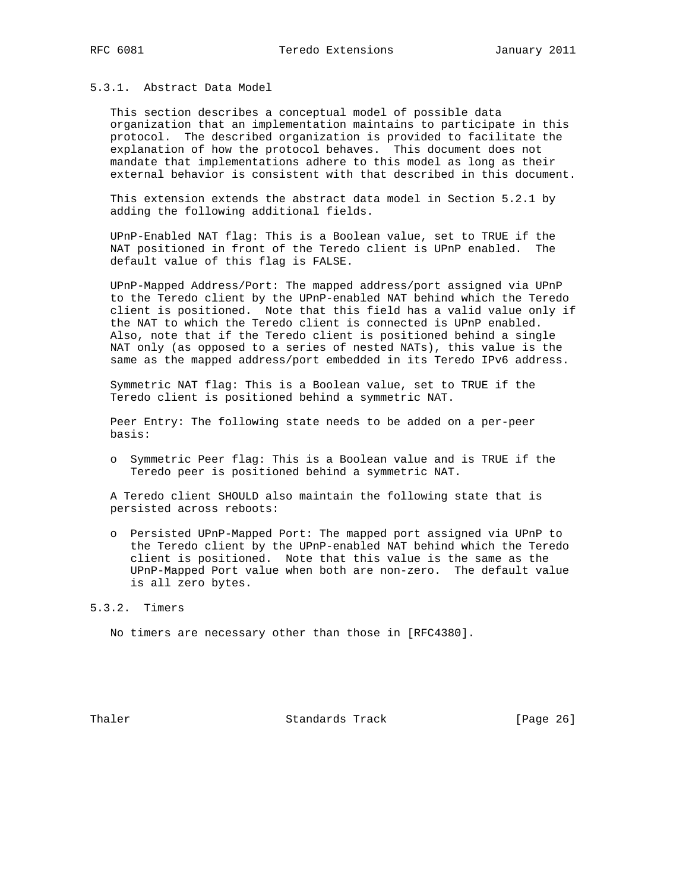# 5.3.1. Abstract Data Model

 This section describes a conceptual model of possible data organization that an implementation maintains to participate in this protocol. The described organization is provided to facilitate the explanation of how the protocol behaves. This document does not mandate that implementations adhere to this model as long as their external behavior is consistent with that described in this document.

 This extension extends the abstract data model in Section 5.2.1 by adding the following additional fields.

 UPnP-Enabled NAT flag: This is a Boolean value, set to TRUE if the NAT positioned in front of the Teredo client is UPnP enabled. The default value of this flag is FALSE.

 UPnP-Mapped Address/Port: The mapped address/port assigned via UPnP to the Teredo client by the UPnP-enabled NAT behind which the Teredo client is positioned. Note that this field has a valid value only if the NAT to which the Teredo client is connected is UPnP enabled. Also, note that if the Teredo client is positioned behind a single NAT only (as opposed to a series of nested NATs), this value is the same as the mapped address/port embedded in its Teredo IPv6 address.

 Symmetric NAT flag: This is a Boolean value, set to TRUE if the Teredo client is positioned behind a symmetric NAT.

 Peer Entry: The following state needs to be added on a per-peer basis:

 o Symmetric Peer flag: This is a Boolean value and is TRUE if the Teredo peer is positioned behind a symmetric NAT.

 A Teredo client SHOULD also maintain the following state that is persisted across reboots:

 o Persisted UPnP-Mapped Port: The mapped port assigned via UPnP to the Teredo client by the UPnP-enabled NAT behind which the Teredo client is positioned. Note that this value is the same as the UPnP-Mapped Port value when both are non-zero. The default value is all zero bytes.

## 5.3.2. Timers

No timers are necessary other than those in [RFC4380].

Thaler **Standards Track** [Page 26]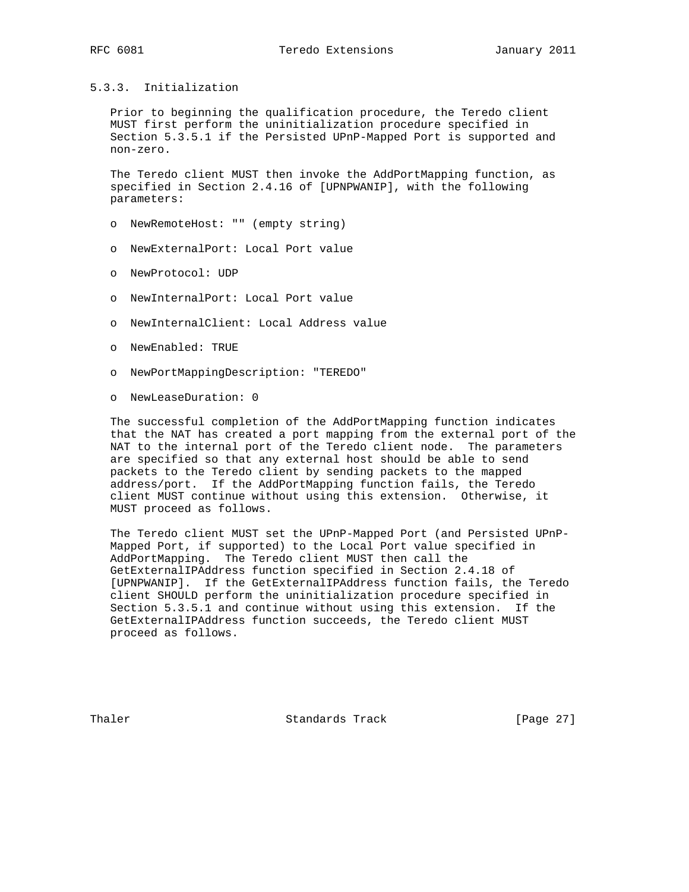# 5.3.3. Initialization

 Prior to beginning the qualification procedure, the Teredo client MUST first perform the uninitialization procedure specified in Section 5.3.5.1 if the Persisted UPnP-Mapped Port is supported and non-zero.

 The Teredo client MUST then invoke the AddPortMapping function, as specified in Section 2.4.16 of [UPNPWANIP], with the following parameters:

- o NewRemoteHost: "" (empty string)
- o NewExternalPort: Local Port value
- o NewProtocol: UDP
- o NewInternalPort: Local Port value
- o NewInternalClient: Local Address value
- o NewEnabled: TRUE
- o NewPortMappingDescription: "TEREDO"
- o NewLeaseDuration: 0

 The successful completion of the AddPortMapping function indicates that the NAT has created a port mapping from the external port of the NAT to the internal port of the Teredo client node. The parameters are specified so that any external host should be able to send packets to the Teredo client by sending packets to the mapped address/port. If the AddPortMapping function fails, the Teredo client MUST continue without using this extension. Otherwise, it MUST proceed as follows.

 The Teredo client MUST set the UPnP-Mapped Port (and Persisted UPnP- Mapped Port, if supported) to the Local Port value specified in AddPortMapping. The Teredo client MUST then call the GetExternalIPAddress function specified in Section 2.4.18 of [UPNPWANIP]. If the GetExternalIPAddress function fails, the Teredo client SHOULD perform the uninitialization procedure specified in Section 5.3.5.1 and continue without using this extension. If the GetExternalIPAddress function succeeds, the Teredo client MUST proceed as follows.

Thaler **Standards Track** [Page 27]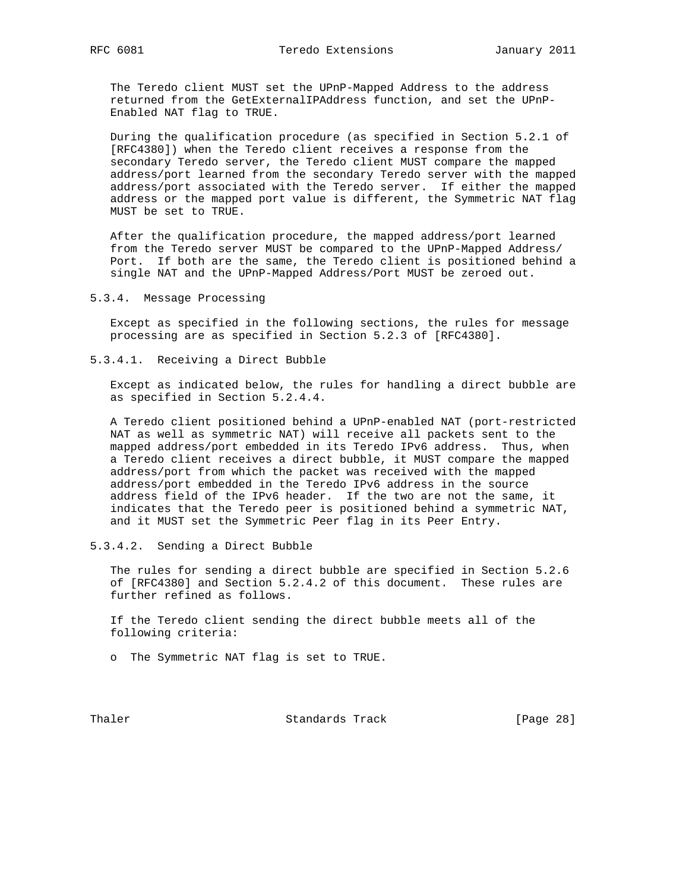The Teredo client MUST set the UPnP-Mapped Address to the address returned from the GetExternalIPAddress function, and set the UPnP- Enabled NAT flag to TRUE.

 During the qualification procedure (as specified in Section 5.2.1 of [RFC4380]) when the Teredo client receives a response from the secondary Teredo server, the Teredo client MUST compare the mapped address/port learned from the secondary Teredo server with the mapped address/port associated with the Teredo server. If either the mapped address or the mapped port value is different, the Symmetric NAT flag MUST be set to TRUE.

 After the qualification procedure, the mapped address/port learned from the Teredo server MUST be compared to the UPnP-Mapped Address/ Port. If both are the same, the Teredo client is positioned behind a single NAT and the UPnP-Mapped Address/Port MUST be zeroed out.

5.3.4. Message Processing

 Except as specified in the following sections, the rules for message processing are as specified in Section 5.2.3 of [RFC4380].

5.3.4.1. Receiving a Direct Bubble

 Except as indicated below, the rules for handling a direct bubble are as specified in Section 5.2.4.4.

 A Teredo client positioned behind a UPnP-enabled NAT (port-restricted NAT as well as symmetric NAT) will receive all packets sent to the mapped address/port embedded in its Teredo IPv6 address. Thus, when a Teredo client receives a direct bubble, it MUST compare the mapped address/port from which the packet was received with the mapped address/port embedded in the Teredo IPv6 address in the source address field of the IPv6 header. If the two are not the same, it indicates that the Teredo peer is positioned behind a symmetric NAT, and it MUST set the Symmetric Peer flag in its Peer Entry.

5.3.4.2. Sending a Direct Bubble

 The rules for sending a direct bubble are specified in Section 5.2.6 of [RFC4380] and Section 5.2.4.2 of this document. These rules are further refined as follows.

 If the Teredo client sending the direct bubble meets all of the following criteria:

o The Symmetric NAT flag is set to TRUE.

Thaler **Standards Track** [Page 28]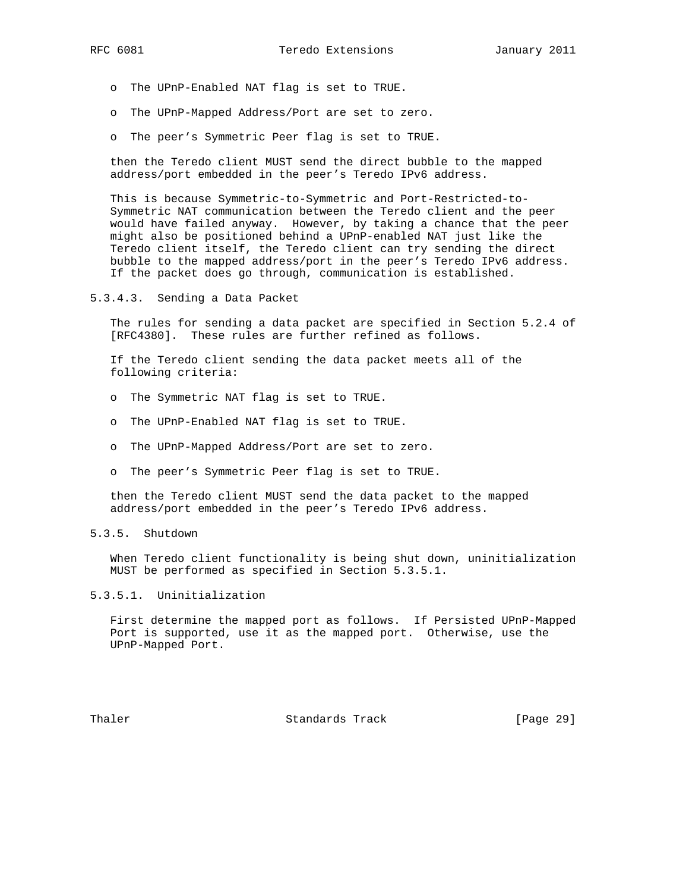- o The UPnP-Enabled NAT flag is set to TRUE.
- o The UPnP-Mapped Address/Port are set to zero.
- o The peer's Symmetric Peer flag is set to TRUE.

 then the Teredo client MUST send the direct bubble to the mapped address/port embedded in the peer's Teredo IPv6 address.

 This is because Symmetric-to-Symmetric and Port-Restricted-to- Symmetric NAT communication between the Teredo client and the peer would have failed anyway. However, by taking a chance that the peer might also be positioned behind a UPnP-enabled NAT just like the Teredo client itself, the Teredo client can try sending the direct bubble to the mapped address/port in the peer's Teredo IPv6 address. If the packet does go through, communication is established.

5.3.4.3. Sending a Data Packet

 The rules for sending a data packet are specified in Section 5.2.4 of [RFC4380]. These rules are further refined as follows.

 If the Teredo client sending the data packet meets all of the following criteria:

- o The Symmetric NAT flag is set to TRUE.
- o The UPnP-Enabled NAT flag is set to TRUE.
- o The UPnP-Mapped Address/Port are set to zero.
- o The peer's Symmetric Peer flag is set to TRUE.

 then the Teredo client MUST send the data packet to the mapped address/port embedded in the peer's Teredo IPv6 address.

# 5.3.5. Shutdown

 When Teredo client functionality is being shut down, uninitialization MUST be performed as specified in Section 5.3.5.1.

## 5.3.5.1. Uninitialization

 First determine the mapped port as follows. If Persisted UPnP-Mapped Port is supported, use it as the mapped port. Otherwise, use the UPnP-Mapped Port.

Thaler **Standards Track** [Page 29]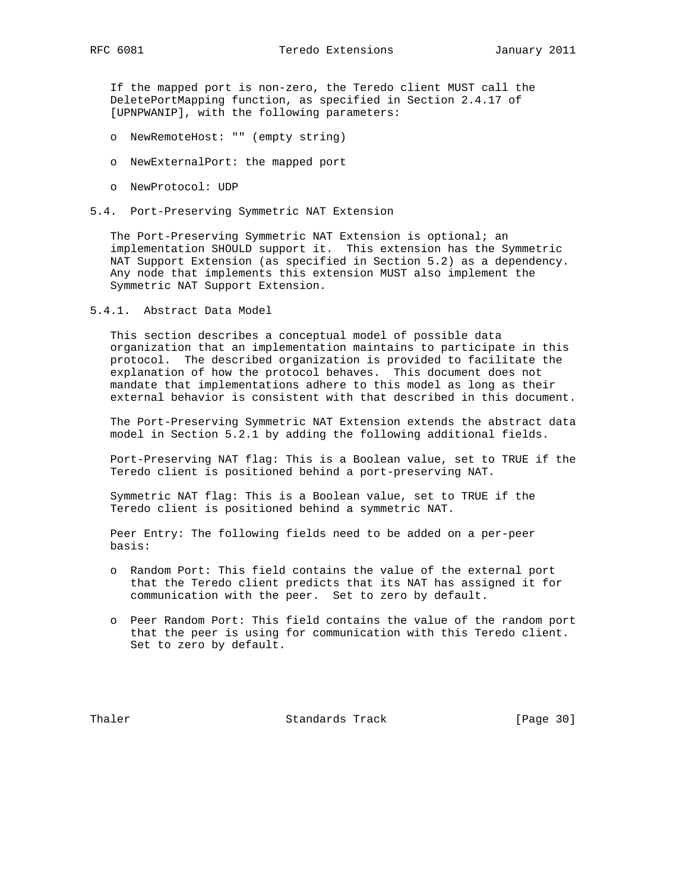If the mapped port is non-zero, the Teredo client MUST call the DeletePortMapping function, as specified in Section 2.4.17 of [UPNPWANIP], with the following parameters:

- o NewRemoteHost: "" (empty string)
- o NewExternalPort: the mapped port
- o NewProtocol: UDP
- 5.4. Port-Preserving Symmetric NAT Extension

 The Port-Preserving Symmetric NAT Extension is optional; an implementation SHOULD support it. This extension has the Symmetric NAT Support Extension (as specified in Section 5.2) as a dependency. Any node that implements this extension MUST also implement the Symmetric NAT Support Extension.

5.4.1. Abstract Data Model

 This section describes a conceptual model of possible data organization that an implementation maintains to participate in this protocol. The described organization is provided to facilitate the explanation of how the protocol behaves. This document does not mandate that implementations adhere to this model as long as their external behavior is consistent with that described in this document.

 The Port-Preserving Symmetric NAT Extension extends the abstract data model in Section 5.2.1 by adding the following additional fields.

 Port-Preserving NAT flag: This is a Boolean value, set to TRUE if the Teredo client is positioned behind a port-preserving NAT.

 Symmetric NAT flag: This is a Boolean value, set to TRUE if the Teredo client is positioned behind a symmetric NAT.

 Peer Entry: The following fields need to be added on a per-peer basis:

- o Random Port: This field contains the value of the external port that the Teredo client predicts that its NAT has assigned it for communication with the peer. Set to zero by default.
- o Peer Random Port: This field contains the value of the random port that the peer is using for communication with this Teredo client. Set to zero by default.

Thaler **Standards Track** [Page 30]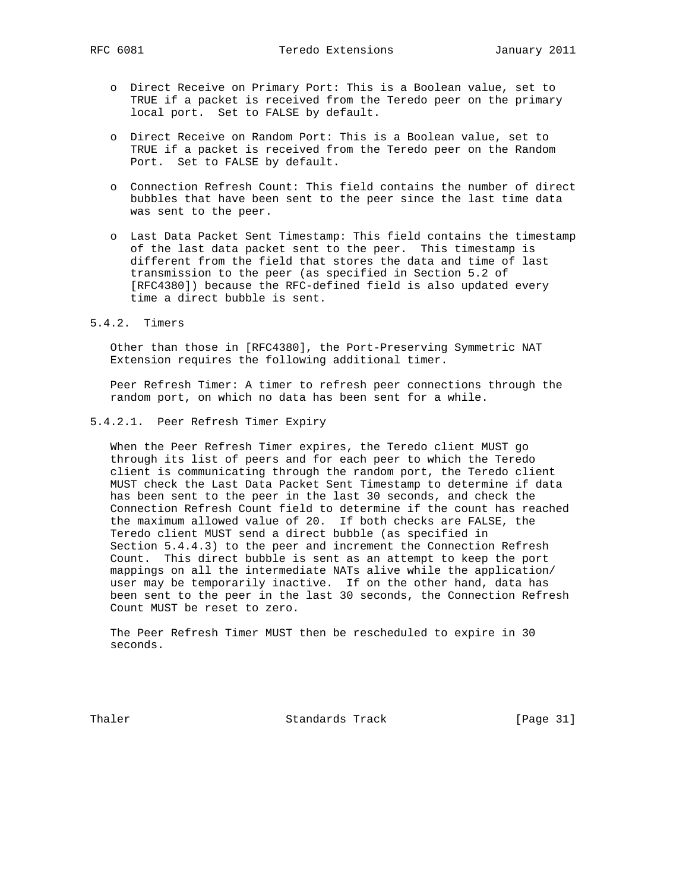- o Direct Receive on Primary Port: This is a Boolean value, set to TRUE if a packet is received from the Teredo peer on the primary local port. Set to FALSE by default.
- o Direct Receive on Random Port: This is a Boolean value, set to TRUE if a packet is received from the Teredo peer on the Random Port. Set to FALSE by default.
- o Connection Refresh Count: This field contains the number of direct bubbles that have been sent to the peer since the last time data was sent to the peer.
- o Last Data Packet Sent Timestamp: This field contains the timestamp of the last data packet sent to the peer. This timestamp is different from the field that stores the data and time of last transmission to the peer (as specified in Section 5.2 of [RFC4380]) because the RFC-defined field is also updated every time a direct bubble is sent.
- 5.4.2. Timers

 Other than those in [RFC4380], the Port-Preserving Symmetric NAT Extension requires the following additional timer.

 Peer Refresh Timer: A timer to refresh peer connections through the random port, on which no data has been sent for a while.

5.4.2.1. Peer Refresh Timer Expiry

 When the Peer Refresh Timer expires, the Teredo client MUST go through its list of peers and for each peer to which the Teredo client is communicating through the random port, the Teredo client MUST check the Last Data Packet Sent Timestamp to determine if data has been sent to the peer in the last 30 seconds, and check the Connection Refresh Count field to determine if the count has reached the maximum allowed value of 20. If both checks are FALSE, the Teredo client MUST send a direct bubble (as specified in Section 5.4.4.3) to the peer and increment the Connection Refresh Count. This direct bubble is sent as an attempt to keep the port mappings on all the intermediate NATs alive while the application/ user may be temporarily inactive. If on the other hand, data has been sent to the peer in the last 30 seconds, the Connection Refresh Count MUST be reset to zero.

 The Peer Refresh Timer MUST then be rescheduled to expire in 30 seconds.

Thaler **Standards Track** [Page 31]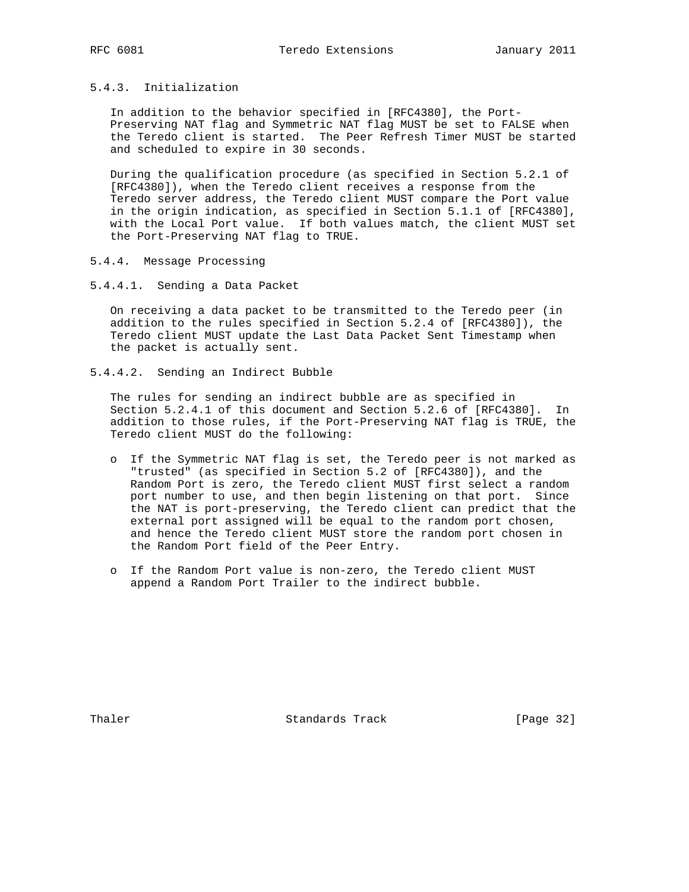## 5.4.3. Initialization

 In addition to the behavior specified in [RFC4380], the Port- Preserving NAT flag and Symmetric NAT flag MUST be set to FALSE when the Teredo client is started. The Peer Refresh Timer MUST be started and scheduled to expire in 30 seconds.

 During the qualification procedure (as specified in Section 5.2.1 of [RFC4380]), when the Teredo client receives a response from the Teredo server address, the Teredo client MUST compare the Port value in the origin indication, as specified in Section 5.1.1 of [RFC4380], with the Local Port value. If both values match, the client MUST set the Port-Preserving NAT flag to TRUE.

# 5.4.4. Message Processing

5.4.4.1. Sending a Data Packet

 On receiving a data packet to be transmitted to the Teredo peer (in addition to the rules specified in Section 5.2.4 of [RFC4380]), the Teredo client MUST update the Last Data Packet Sent Timestamp when the packet is actually sent.

5.4.4.2. Sending an Indirect Bubble

 The rules for sending an indirect bubble are as specified in Section 5.2.4.1 of this document and Section 5.2.6 of [RFC4380]. In addition to those rules, if the Port-Preserving NAT flag is TRUE, the Teredo client MUST do the following:

- o If the Symmetric NAT flag is set, the Teredo peer is not marked as "trusted" (as specified in Section 5.2 of [RFC4380]), and the Random Port is zero, the Teredo client MUST first select a random port number to use, and then begin listening on that port. Since the NAT is port-preserving, the Teredo client can predict that the external port assigned will be equal to the random port chosen, and hence the Teredo client MUST store the random port chosen in the Random Port field of the Peer Entry.
- o If the Random Port value is non-zero, the Teredo client MUST append a Random Port Trailer to the indirect bubble.

Thaler Standards Track [Page 32]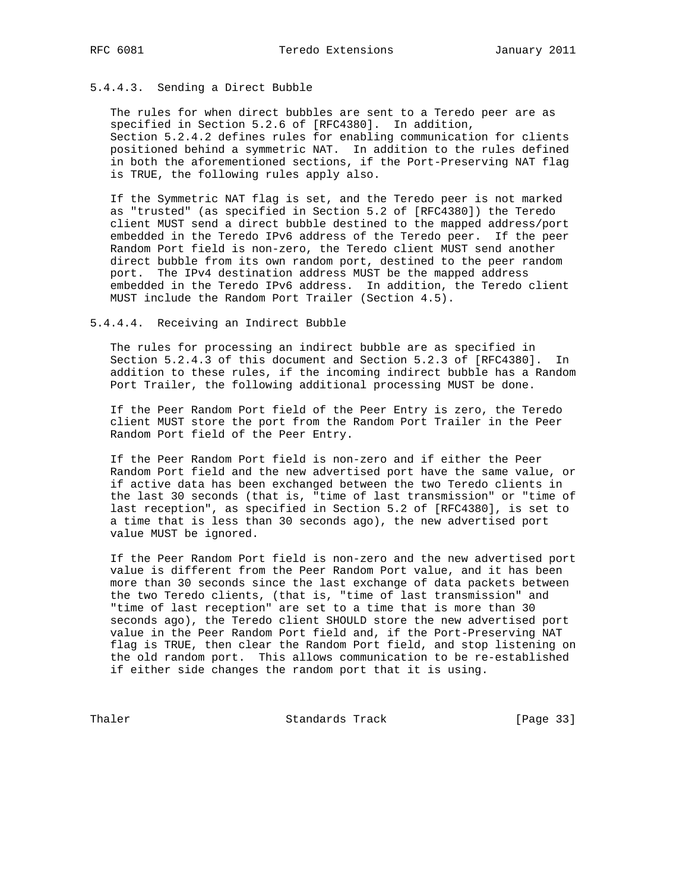# 5.4.4.3. Sending a Direct Bubble

 The rules for when direct bubbles are sent to a Teredo peer are as specified in Section 5.2.6 of [RFC4380]. In addition, Section 5.2.4.2 defines rules for enabling communication for clients positioned behind a symmetric NAT. In addition to the rules defined in both the aforementioned sections, if the Port-Preserving NAT flag is TRUE, the following rules apply also.

 If the Symmetric NAT flag is set, and the Teredo peer is not marked as "trusted" (as specified in Section 5.2 of [RFC4380]) the Teredo client MUST send a direct bubble destined to the mapped address/port embedded in the Teredo IPv6 address of the Teredo peer. If the peer Random Port field is non-zero, the Teredo client MUST send another direct bubble from its own random port, destined to the peer random port. The IPv4 destination address MUST be the mapped address embedded in the Teredo IPv6 address. In addition, the Teredo client MUST include the Random Port Trailer (Section 4.5).

#### 5.4.4.4. Receiving an Indirect Bubble

 The rules for processing an indirect bubble are as specified in Section 5.2.4.3 of this document and Section 5.2.3 of [RFC4380]. In addition to these rules, if the incoming indirect bubble has a Random Port Trailer, the following additional processing MUST be done.

 If the Peer Random Port field of the Peer Entry is zero, the Teredo client MUST store the port from the Random Port Trailer in the Peer Random Port field of the Peer Entry.

 If the Peer Random Port field is non-zero and if either the Peer Random Port field and the new advertised port have the same value, or if active data has been exchanged between the two Teredo clients in the last 30 seconds (that is, "time of last transmission" or "time of last reception", as specified in Section 5.2 of [RFC4380], is set to a time that is less than 30 seconds ago), the new advertised port value MUST be ignored.

 If the Peer Random Port field is non-zero and the new advertised port value is different from the Peer Random Port value, and it has been more than 30 seconds since the last exchange of data packets between the two Teredo clients, (that is, "time of last transmission" and "time of last reception" are set to a time that is more than 30 seconds ago), the Teredo client SHOULD store the new advertised port value in the Peer Random Port field and, if the Port-Preserving NAT flag is TRUE, then clear the Random Port field, and stop listening on the old random port. This allows communication to be re-established if either side changes the random port that it is using.

Thaler Standards Track [Page 33]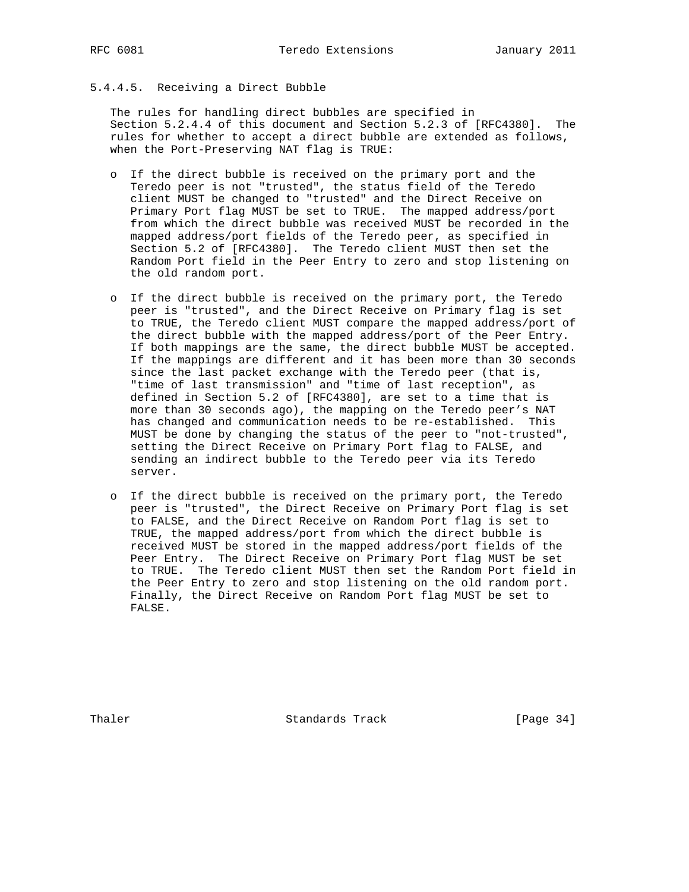# 5.4.4.5. Receiving a Direct Bubble

 The rules for handling direct bubbles are specified in Section 5.2.4.4 of this document and Section 5.2.3 of [RFC4380]. The rules for whether to accept a direct bubble are extended as follows, when the Port-Preserving NAT flag is TRUE:

- o If the direct bubble is received on the primary port and the Teredo peer is not "trusted", the status field of the Teredo client MUST be changed to "trusted" and the Direct Receive on Primary Port flag MUST be set to TRUE. The mapped address/port from which the direct bubble was received MUST be recorded in the mapped address/port fields of the Teredo peer, as specified in Section 5.2 of [RFC4380]. The Teredo client MUST then set the Random Port field in the Peer Entry to zero and stop listening on the old random port.
- o If the direct bubble is received on the primary port, the Teredo peer is "trusted", and the Direct Receive on Primary flag is set to TRUE, the Teredo client MUST compare the mapped address/port of the direct bubble with the mapped address/port of the Peer Entry. If both mappings are the same, the direct bubble MUST be accepted. If the mappings are different and it has been more than 30 seconds since the last packet exchange with the Teredo peer (that is, "time of last transmission" and "time of last reception", as defined in Section 5.2 of [RFC4380], are set to a time that is more than 30 seconds ago), the mapping on the Teredo peer's NAT has changed and communication needs to be re-established. This MUST be done by changing the status of the peer to "not-trusted", setting the Direct Receive on Primary Port flag to FALSE, and sending an indirect bubble to the Teredo peer via its Teredo server.
- o If the direct bubble is received on the primary port, the Teredo peer is "trusted", the Direct Receive on Primary Port flag is set to FALSE, and the Direct Receive on Random Port flag is set to TRUE, the mapped address/port from which the direct bubble is received MUST be stored in the mapped address/port fields of the Peer Entry. The Direct Receive on Primary Port flag MUST be set to TRUE. The Teredo client MUST then set the Random Port field in the Peer Entry to zero and stop listening on the old random port. Finally, the Direct Receive on Random Port flag MUST be set to FALSE.

Thaler Standards Track [Page 34]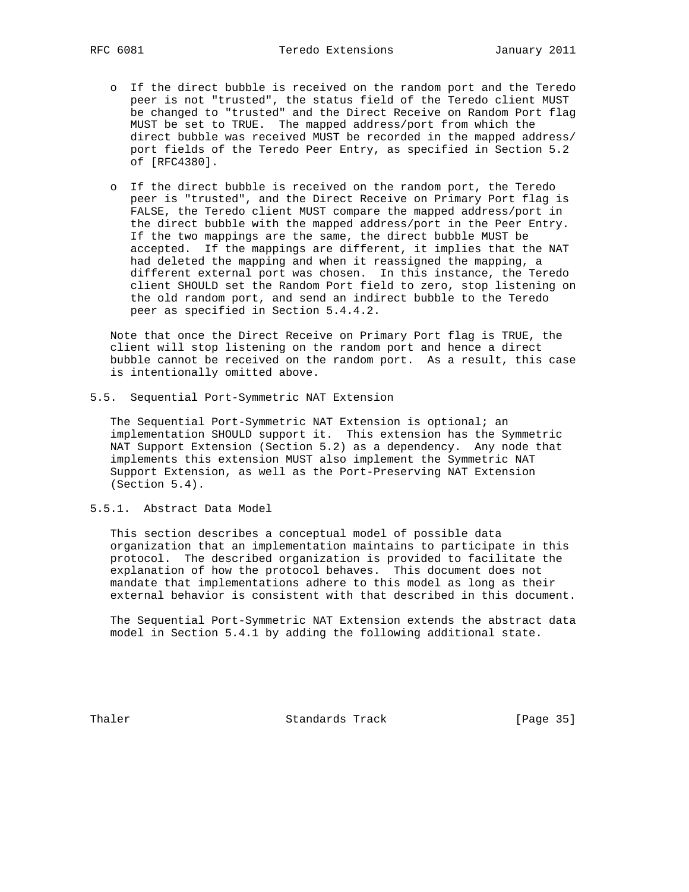- o If the direct bubble is received on the random port and the Teredo peer is not "trusted", the status field of the Teredo client MUST be changed to "trusted" and the Direct Receive on Random Port flag MUST be set to TRUE. The mapped address/port from which the direct bubble was received MUST be recorded in the mapped address/ port fields of the Teredo Peer Entry, as specified in Section 5.2 of [RFC4380].
- o If the direct bubble is received on the random port, the Teredo peer is "trusted", and the Direct Receive on Primary Port flag is FALSE, the Teredo client MUST compare the mapped address/port in the direct bubble with the mapped address/port in the Peer Entry. If the two mappings are the same, the direct bubble MUST be accepted. If the mappings are different, it implies that the NAT had deleted the mapping and when it reassigned the mapping, a different external port was chosen. In this instance, the Teredo client SHOULD set the Random Port field to zero, stop listening on the old random port, and send an indirect bubble to the Teredo peer as specified in Section 5.4.4.2.

 Note that once the Direct Receive on Primary Port flag is TRUE, the client will stop listening on the random port and hence a direct bubble cannot be received on the random port. As a result, this case is intentionally omitted above.

5.5. Sequential Port-Symmetric NAT Extension

 The Sequential Port-Symmetric NAT Extension is optional; an implementation SHOULD support it. This extension has the Symmetric NAT Support Extension (Section 5.2) as a dependency. Any node that implements this extension MUST also implement the Symmetric NAT Support Extension, as well as the Port-Preserving NAT Extension (Section 5.4).

5.5.1. Abstract Data Model

 This section describes a conceptual model of possible data organization that an implementation maintains to participate in this protocol. The described organization is provided to facilitate the explanation of how the protocol behaves. This document does not mandate that implementations adhere to this model as long as their external behavior is consistent with that described in this document.

 The Sequential Port-Symmetric NAT Extension extends the abstract data model in Section 5.4.1 by adding the following additional state.

Thaler **Standards Track** [Page 35]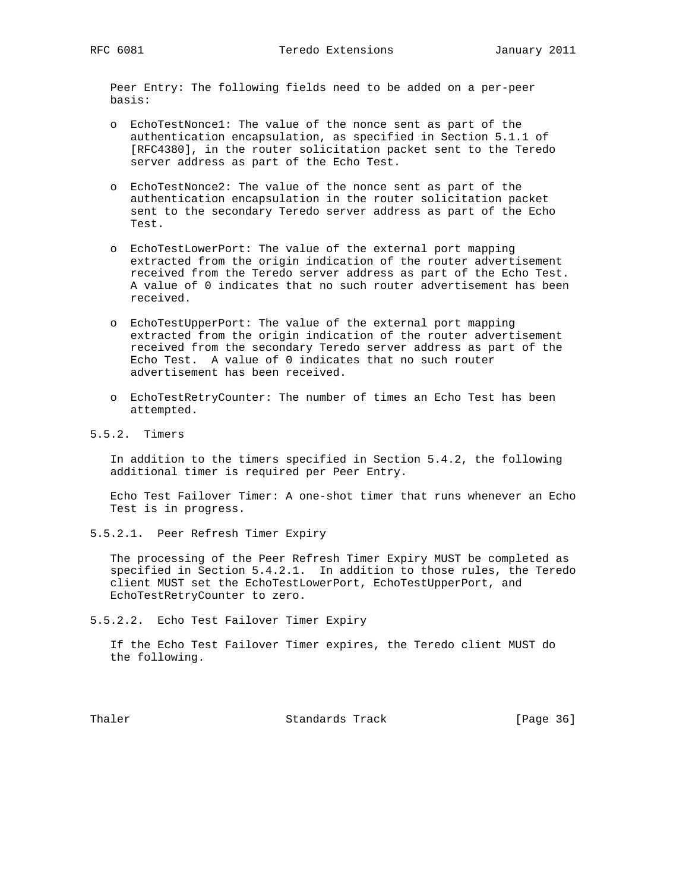Peer Entry: The following fields need to be added on a per-peer basis:

- o EchoTestNonce1: The value of the nonce sent as part of the authentication encapsulation, as specified in Section 5.1.1 of [RFC4380], in the router solicitation packet sent to the Teredo server address as part of the Echo Test.
- o EchoTestNonce2: The value of the nonce sent as part of the authentication encapsulation in the router solicitation packet sent to the secondary Teredo server address as part of the Echo Test.
- o EchoTestLowerPort: The value of the external port mapping extracted from the origin indication of the router advertisement received from the Teredo server address as part of the Echo Test. A value of 0 indicates that no such router advertisement has been received.
- o EchoTestUpperPort: The value of the external port mapping extracted from the origin indication of the router advertisement received from the secondary Teredo server address as part of the Echo Test. A value of 0 indicates that no such router advertisement has been received.
- o EchoTestRetryCounter: The number of times an Echo Test has been attempted.
- 5.5.2. Timers

 In addition to the timers specified in Section 5.4.2, the following additional timer is required per Peer Entry.

 Echo Test Failover Timer: A one-shot timer that runs whenever an Echo Test is in progress.

5.5.2.1. Peer Refresh Timer Expiry

 The processing of the Peer Refresh Timer Expiry MUST be completed as specified in Section 5.4.2.1. In addition to those rules, the Teredo client MUST set the EchoTestLowerPort, EchoTestUpperPort, and EchoTestRetryCounter to zero.

5.5.2.2. Echo Test Failover Timer Expiry

 If the Echo Test Failover Timer expires, the Teredo client MUST do the following.

Thaler **Standards Track** [Page 36]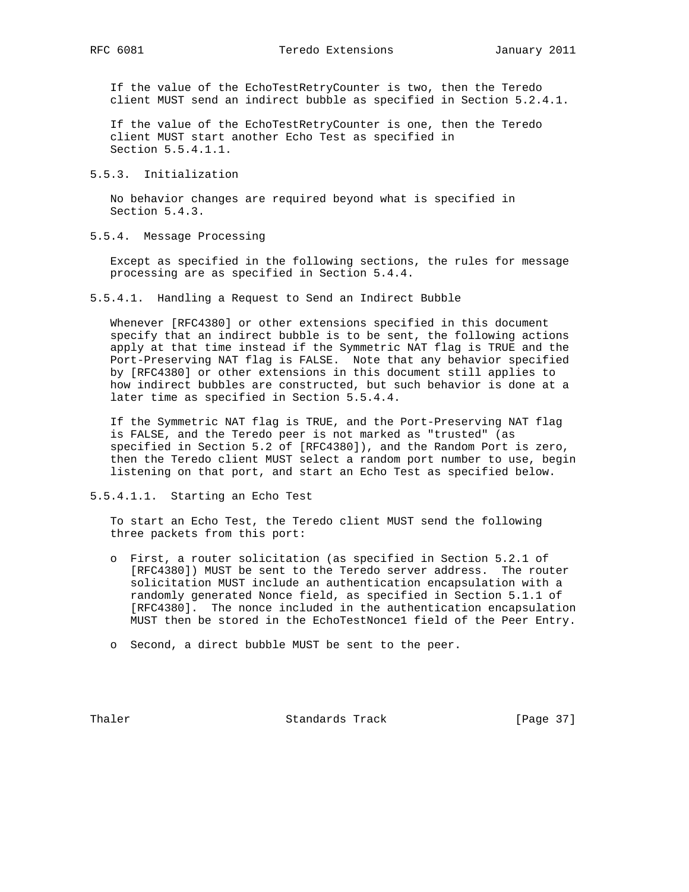If the value of the EchoTestRetryCounter is two, then the Teredo client MUST send an indirect bubble as specified in Section 5.2.4.1.

 If the value of the EchoTestRetryCounter is one, then the Teredo client MUST start another Echo Test as specified in Section 5.5.4.1.1.

## 5.5.3. Initialization

 No behavior changes are required beyond what is specified in Section 5.4.3.

# 5.5.4. Message Processing

 Except as specified in the following sections, the rules for message processing are as specified in Section 5.4.4.

5.5.4.1. Handling a Request to Send an Indirect Bubble

 Whenever [RFC4380] or other extensions specified in this document specify that an indirect bubble is to be sent, the following actions apply at that time instead if the Symmetric NAT flag is TRUE and the Port-Preserving NAT flag is FALSE. Note that any behavior specified by [RFC4380] or other extensions in this document still applies to how indirect bubbles are constructed, but such behavior is done at a later time as specified in Section 5.5.4.4.

 If the Symmetric NAT flag is TRUE, and the Port-Preserving NAT flag is FALSE, and the Teredo peer is not marked as "trusted" (as specified in Section 5.2 of [RFC4380]), and the Random Port is zero, then the Teredo client MUST select a random port number to use, begin listening on that port, and start an Echo Test as specified below.

## 5.5.4.1.1. Starting an Echo Test

 To start an Echo Test, the Teredo client MUST send the following three packets from this port:

- o First, a router solicitation (as specified in Section 5.2.1 of [RFC4380]) MUST be sent to the Teredo server address. The router solicitation MUST include an authentication encapsulation with a randomly generated Nonce field, as specified in Section 5.1.1 of [RFC4380]. The nonce included in the authentication encapsulation MUST then be stored in the EchoTestNonce1 field of the Peer Entry.
- o Second, a direct bubble MUST be sent to the peer.

Thaler **Standards Track** [Page 37]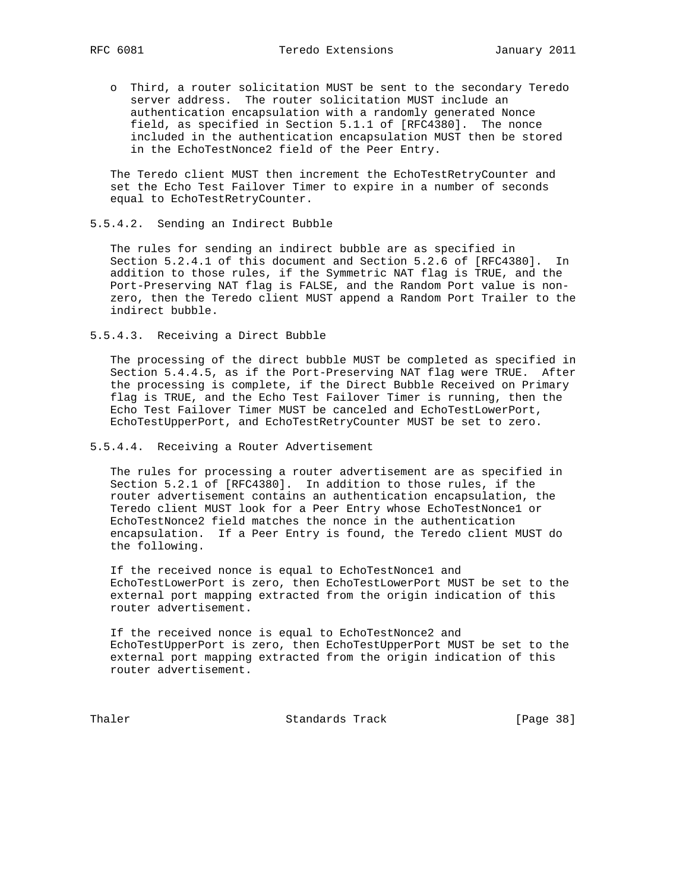o Third, a router solicitation MUST be sent to the secondary Teredo server address. The router solicitation MUST include an authentication encapsulation with a randomly generated Nonce field, as specified in Section 5.1.1 of [RFC4380]. The nonce included in the authentication encapsulation MUST then be stored in the EchoTestNonce2 field of the Peer Entry.

 The Teredo client MUST then increment the EchoTestRetryCounter and set the Echo Test Failover Timer to expire in a number of seconds equal to EchoTestRetryCounter.

## 5.5.4.2. Sending an Indirect Bubble

 The rules for sending an indirect bubble are as specified in Section 5.2.4.1 of this document and Section 5.2.6 of [RFC4380]. In addition to those rules, if the Symmetric NAT flag is TRUE, and the Port-Preserving NAT flag is FALSE, and the Random Port value is non zero, then the Teredo client MUST append a Random Port Trailer to the indirect bubble.

5.5.4.3. Receiving a Direct Bubble

 The processing of the direct bubble MUST be completed as specified in Section 5.4.4.5, as if the Port-Preserving NAT flag were TRUE. After the processing is complete, if the Direct Bubble Received on Primary flag is TRUE, and the Echo Test Failover Timer is running, then the Echo Test Failover Timer MUST be canceled and EchoTestLowerPort, EchoTestUpperPort, and EchoTestRetryCounter MUST be set to zero.

## 5.5.4.4. Receiving a Router Advertisement

 The rules for processing a router advertisement are as specified in Section 5.2.1 of [RFC4380]. In addition to those rules, if the router advertisement contains an authentication encapsulation, the Teredo client MUST look for a Peer Entry whose EchoTestNonce1 or EchoTestNonce2 field matches the nonce in the authentication encapsulation. If a Peer Entry is found, the Teredo client MUST do the following.

 If the received nonce is equal to EchoTestNonce1 and EchoTestLowerPort is zero, then EchoTestLowerPort MUST be set to the external port mapping extracted from the origin indication of this router advertisement.

 If the received nonce is equal to EchoTestNonce2 and EchoTestUpperPort is zero, then EchoTestUpperPort MUST be set to the external port mapping extracted from the origin indication of this router advertisement.

Thaler **Standards Track** [Page 38]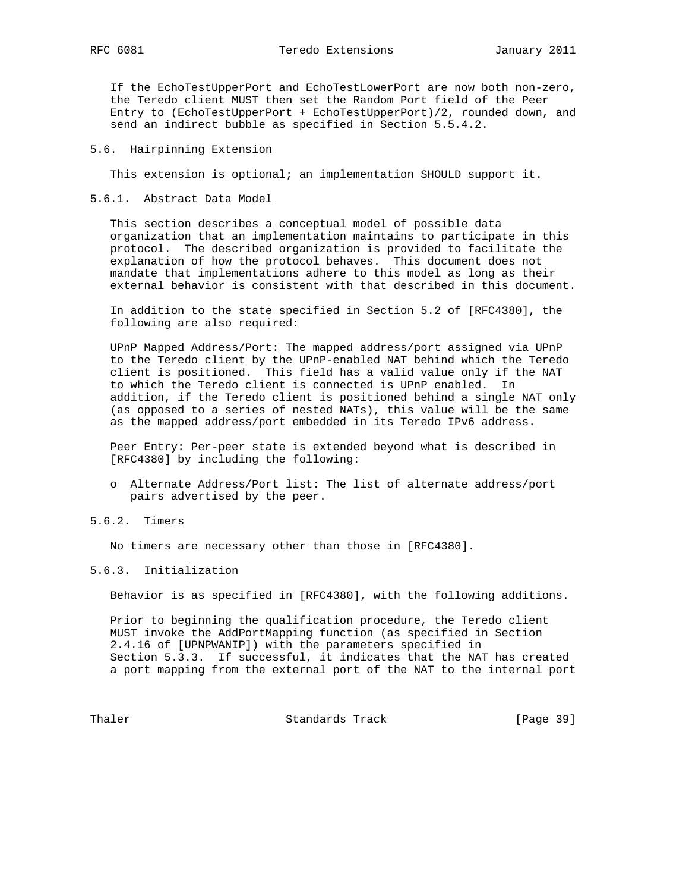RFC 6081 **Teredo Extensions** January 2011

 If the EchoTestUpperPort and EchoTestLowerPort are now both non-zero, the Teredo client MUST then set the Random Port field of the Peer Entry to (EchoTestUpperPort + EchoTestUpperPort)/2, rounded down, and send an indirect bubble as specified in Section 5.5.4.2.

# 5.6. Hairpinning Extension

This extension is optional; an implementation SHOULD support it.

## 5.6.1. Abstract Data Model

 This section describes a conceptual model of possible data organization that an implementation maintains to participate in this protocol. The described organization is provided to facilitate the explanation of how the protocol behaves. This document does not mandate that implementations adhere to this model as long as their external behavior is consistent with that described in this document.

 In addition to the state specified in Section 5.2 of [RFC4380], the following are also required:

 UPnP Mapped Address/Port: The mapped address/port assigned via UPnP to the Teredo client by the UPnP-enabled NAT behind which the Teredo client is positioned. This field has a valid value only if the NAT to which the Teredo client is connected is UPnP enabled. In addition, if the Teredo client is positioned behind a single NAT only (as opposed to a series of nested NATs), this value will be the same as the mapped address/port embedded in its Teredo IPv6 address.

 Peer Entry: Per-peer state is extended beyond what is described in [RFC4380] by including the following:

 o Alternate Address/Port list: The list of alternate address/port pairs advertised by the peer.

## 5.6.2. Timers

No timers are necessary other than those in [RFC4380].

## 5.6.3. Initialization

Behavior is as specified in [RFC4380], with the following additions.

 Prior to beginning the qualification procedure, the Teredo client MUST invoke the AddPortMapping function (as specified in Section 2.4.16 of [UPNPWANIP]) with the parameters specified in Section 5.3.3. If successful, it indicates that the NAT has created a port mapping from the external port of the NAT to the internal port

Thaler **Standards Track** [Page 39]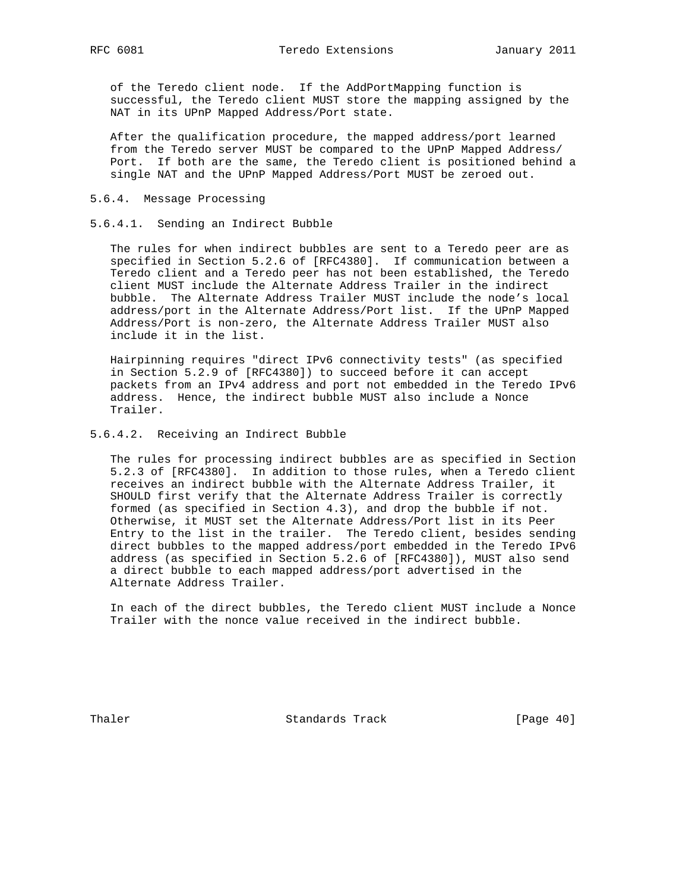of the Teredo client node. If the AddPortMapping function is successful, the Teredo client MUST store the mapping assigned by the NAT in its UPnP Mapped Address/Port state.

 After the qualification procedure, the mapped address/port learned from the Teredo server MUST be compared to the UPnP Mapped Address/ Port. If both are the same, the Teredo client is positioned behind a single NAT and the UPnP Mapped Address/Port MUST be zeroed out.

# 5.6.4. Message Processing

## 5.6.4.1. Sending an Indirect Bubble

 The rules for when indirect bubbles are sent to a Teredo peer are as specified in Section 5.2.6 of [RFC4380]. If communication between a Teredo client and a Teredo peer has not been established, the Teredo client MUST include the Alternate Address Trailer in the indirect bubble. The Alternate Address Trailer MUST include the node's local address/port in the Alternate Address/Port list. If the UPnP Mapped Address/Port is non-zero, the Alternate Address Trailer MUST also include it in the list.

 Hairpinning requires "direct IPv6 connectivity tests" (as specified in Section 5.2.9 of [RFC4380]) to succeed before it can accept packets from an IPv4 address and port not embedded in the Teredo IPv6 address. Hence, the indirect bubble MUST also include a Nonce Trailer.

## 5.6.4.2. Receiving an Indirect Bubble

 The rules for processing indirect bubbles are as specified in Section 5.2.3 of [RFC4380]. In addition to those rules, when a Teredo client receives an indirect bubble with the Alternate Address Trailer, it SHOULD first verify that the Alternate Address Trailer is correctly formed (as specified in Section 4.3), and drop the bubble if not. Otherwise, it MUST set the Alternate Address/Port list in its Peer Entry to the list in the trailer. The Teredo client, besides sending direct bubbles to the mapped address/port embedded in the Teredo IPv6 address (as specified in Section 5.2.6 of [RFC4380]), MUST also send a direct bubble to each mapped address/port advertised in the Alternate Address Trailer.

 In each of the direct bubbles, the Teredo client MUST include a Nonce Trailer with the nonce value received in the indirect bubble.

Thaler **Standards** Track [Page 40]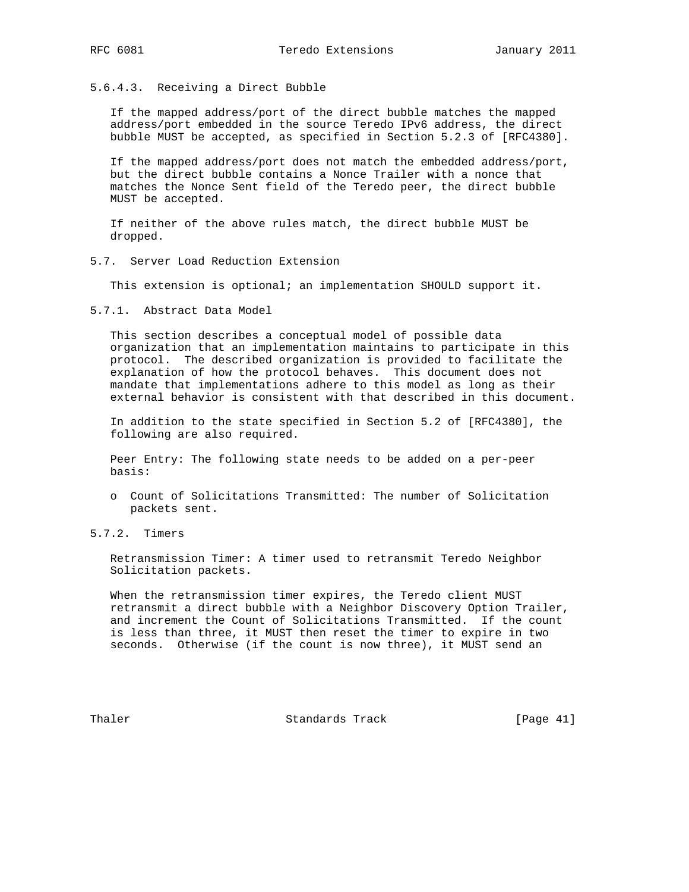# 5.6.4.3. Receiving a Direct Bubble

 If the mapped address/port of the direct bubble matches the mapped address/port embedded in the source Teredo IPv6 address, the direct bubble MUST be accepted, as specified in Section 5.2.3 of [RFC4380].

 If the mapped address/port does not match the embedded address/port, but the direct bubble contains a Nonce Trailer with a nonce that matches the Nonce Sent field of the Teredo peer, the direct bubble MUST be accepted.

 If neither of the above rules match, the direct bubble MUST be dropped.

## 5.7. Server Load Reduction Extension

This extension is optional; an implementation SHOULD support it.

## 5.7.1. Abstract Data Model

 This section describes a conceptual model of possible data organization that an implementation maintains to participate in this protocol. The described organization is provided to facilitate the explanation of how the protocol behaves. This document does not mandate that implementations adhere to this model as long as their external behavior is consistent with that described in this document.

 In addition to the state specified in Section 5.2 of [RFC4380], the following are also required.

 Peer Entry: The following state needs to be added on a per-peer basis:

- o Count of Solicitations Transmitted: The number of Solicitation packets sent.
- 5.7.2. Timers

 Retransmission Timer: A timer used to retransmit Teredo Neighbor Solicitation packets.

 When the retransmission timer expires, the Teredo client MUST retransmit a direct bubble with a Neighbor Discovery Option Trailer, and increment the Count of Solicitations Transmitted. If the count is less than three, it MUST then reset the timer to expire in two seconds. Otherwise (if the count is now three), it MUST send an

Thaler **Standards Track** [Page 41]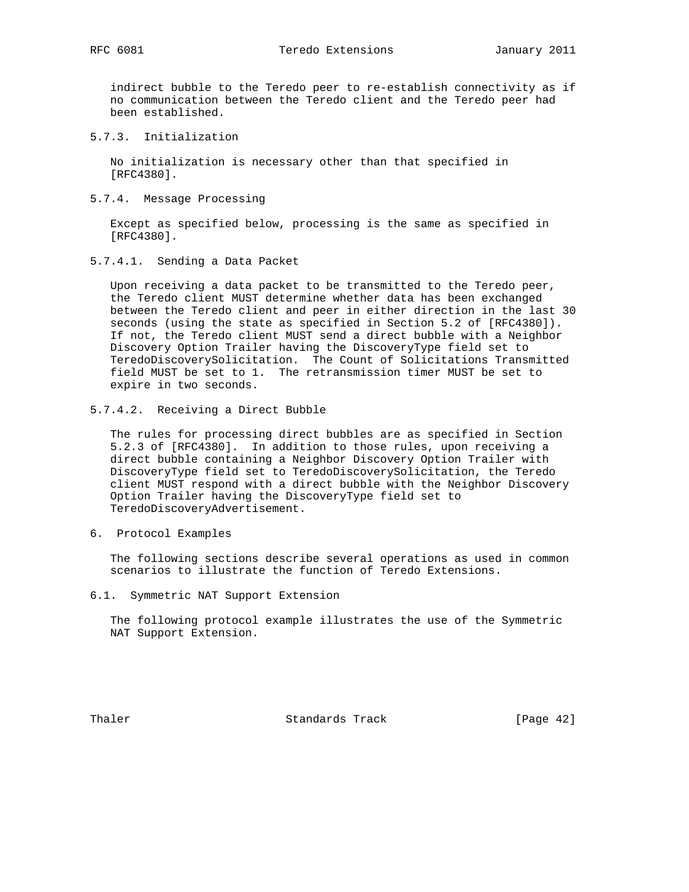indirect bubble to the Teredo peer to re-establish connectivity as if no communication between the Teredo client and the Teredo peer had been established.

5.7.3. Initialization

 No initialization is necessary other than that specified in [RFC4380].

5.7.4. Message Processing

 Except as specified below, processing is the same as specified in [RFC4380].

5.7.4.1. Sending a Data Packet

 Upon receiving a data packet to be transmitted to the Teredo peer, the Teredo client MUST determine whether data has been exchanged between the Teredo client and peer in either direction in the last 30 seconds (using the state as specified in Section 5.2 of [RFC4380]). If not, the Teredo client MUST send a direct bubble with a Neighbor Discovery Option Trailer having the DiscoveryType field set to TeredoDiscoverySolicitation. The Count of Solicitations Transmitted field MUST be set to 1. The retransmission timer MUST be set to expire in two seconds.

5.7.4.2. Receiving a Direct Bubble

 The rules for processing direct bubbles are as specified in Section 5.2.3 of [RFC4380]. In addition to those rules, upon receiving a direct bubble containing a Neighbor Discovery Option Trailer with DiscoveryType field set to TeredoDiscoverySolicitation, the Teredo client MUST respond with a direct bubble with the Neighbor Discovery Option Trailer having the DiscoveryType field set to TeredoDiscoveryAdvertisement.

6. Protocol Examples

 The following sections describe several operations as used in common scenarios to illustrate the function of Teredo Extensions.

6.1. Symmetric NAT Support Extension

 The following protocol example illustrates the use of the Symmetric NAT Support Extension.

Thaler **Standards** Track [Page 42]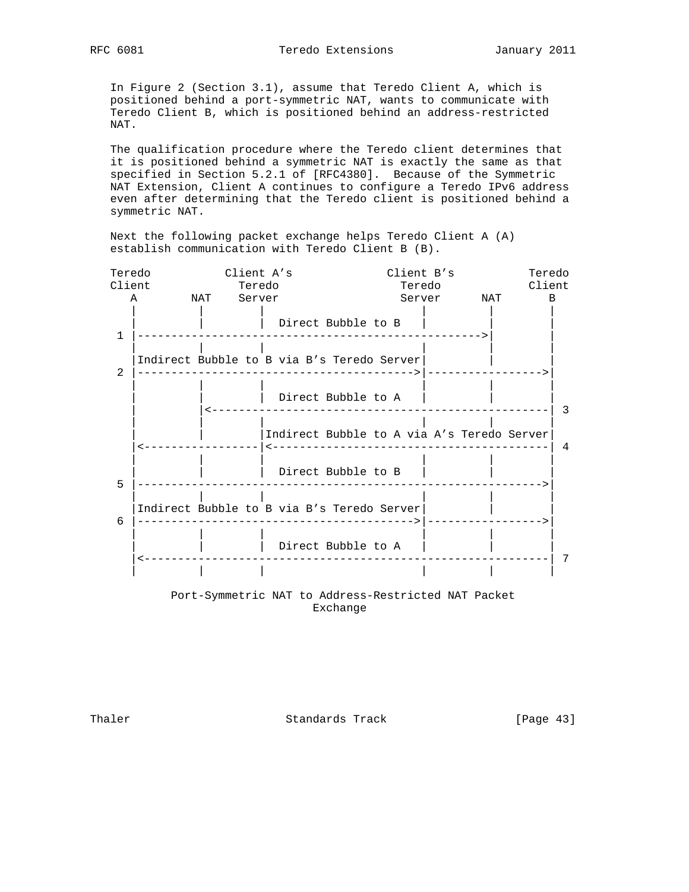In Figure 2 (Section 3.1), assume that Teredo Client A, which is positioned behind a port-symmetric NAT, wants to communicate with Teredo Client B, which is positioned behind an address-restricted NAT.

 The qualification procedure where the Teredo client determines that it is positioned behind a symmetric NAT is exactly the same as that specified in Section 5.2.1 of [RFC4380]. Because of the Symmetric NAT Extension, Client A continues to configure a Teredo IPv6 address even after determining that the Teredo client is positioned behind a symmetric NAT.

 Next the following packet exchange helps Teredo Client A (A) establish communication with Teredo Client B (B).

| Teredo       |                                            | Client A's |                                                       |        | Client B's | Teredo         |
|--------------|--------------------------------------------|------------|-------------------------------------------------------|--------|------------|----------------|
| Client       |                                            | Teredo     |                                                       | Teredo |            | Client         |
|              | A NAT Server                               |            |                                                       |        | Server NAT | $\overline{B}$ |
| $\mathbf{1}$ |                                            |            | Direct Bubble to B                                    |        |            |                |
| 2            |                                            |            | Indirect Bubble to B via B's Teredo Server            |        |            |                |
|              |                                            |            | Direct Bubble to A<br>------------------------------- |        |            | 3              |
|              |                                            |            | Indirect Bubble to A via A's Teredo Server            |        |            | $\overline{4}$ |
| 5            |                                            |            | Direct Bubble to B                                    |        |            |                |
| 6            | Indirect Bubble to B via B's Teredo Server |            |                                                       |        |            |                |
|              |                                            |            | Direct Bubble to A                                    |        |            | 7              |
|              |                                            |            |                                                       |        |            |                |
|              |                                            |            | Port-Symmetric NAT to Address-Restricted NAT Packet   |        |            |                |

Exchange

Thaler Standards Track [Page 43]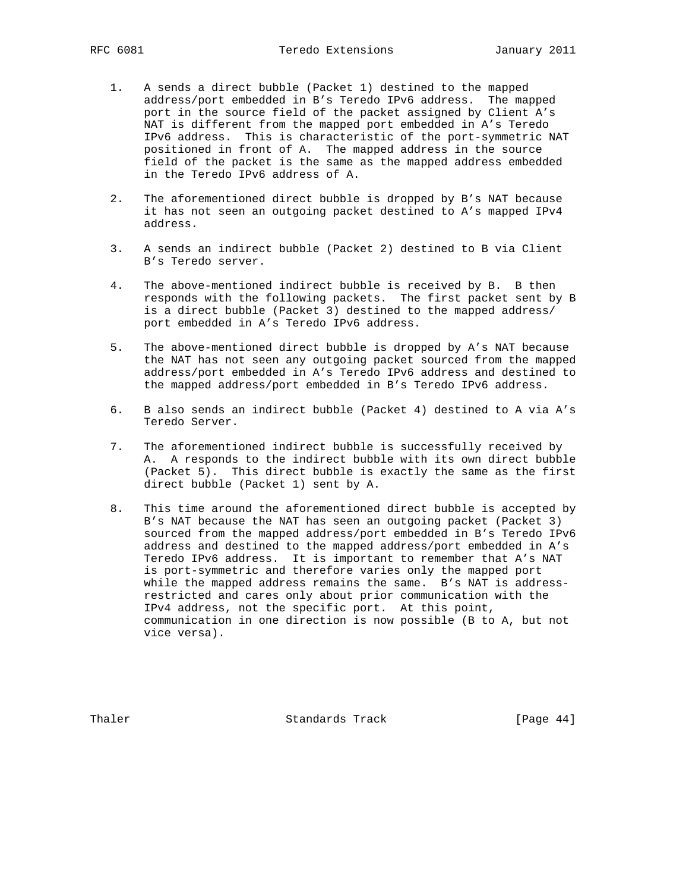- 1. A sends a direct bubble (Packet 1) destined to the mapped address/port embedded in B's Teredo IPv6 address. The mapped port in the source field of the packet assigned by Client A's NAT is different from the mapped port embedded in A's Teredo IPv6 address. This is characteristic of the port-symmetric NAT positioned in front of A. The mapped address in the source field of the packet is the same as the mapped address embedded in the Teredo IPv6 address of A.
- 2. The aforementioned direct bubble is dropped by B's NAT because it has not seen an outgoing packet destined to A's mapped IPv4 address.
- 3. A sends an indirect bubble (Packet 2) destined to B via Client B's Teredo server.
- 4. The above-mentioned indirect bubble is received by B. B then responds with the following packets. The first packet sent by B is a direct bubble (Packet 3) destined to the mapped address/ port embedded in A's Teredo IPv6 address.
- 5. The above-mentioned direct bubble is dropped by A's NAT because the NAT has not seen any outgoing packet sourced from the mapped address/port embedded in A's Teredo IPv6 address and destined to the mapped address/port embedded in B's Teredo IPv6 address.
- 6. B also sends an indirect bubble (Packet 4) destined to A via A's Teredo Server.
- 7. The aforementioned indirect bubble is successfully received by A. A responds to the indirect bubble with its own direct bubble (Packet 5). This direct bubble is exactly the same as the first direct bubble (Packet 1) sent by A.
- 8. This time around the aforementioned direct bubble is accepted by B's NAT because the NAT has seen an outgoing packet (Packet 3) sourced from the mapped address/port embedded in B's Teredo IPv6 address and destined to the mapped address/port embedded in A's Teredo IPv6 address. It is important to remember that A's NAT is port-symmetric and therefore varies only the mapped port while the mapped address remains the same. B's NAT is address restricted and cares only about prior communication with the IPv4 address, not the specific port. At this point, communication in one direction is now possible (B to A, but not vice versa).

Thaler Standards Track [Page 44]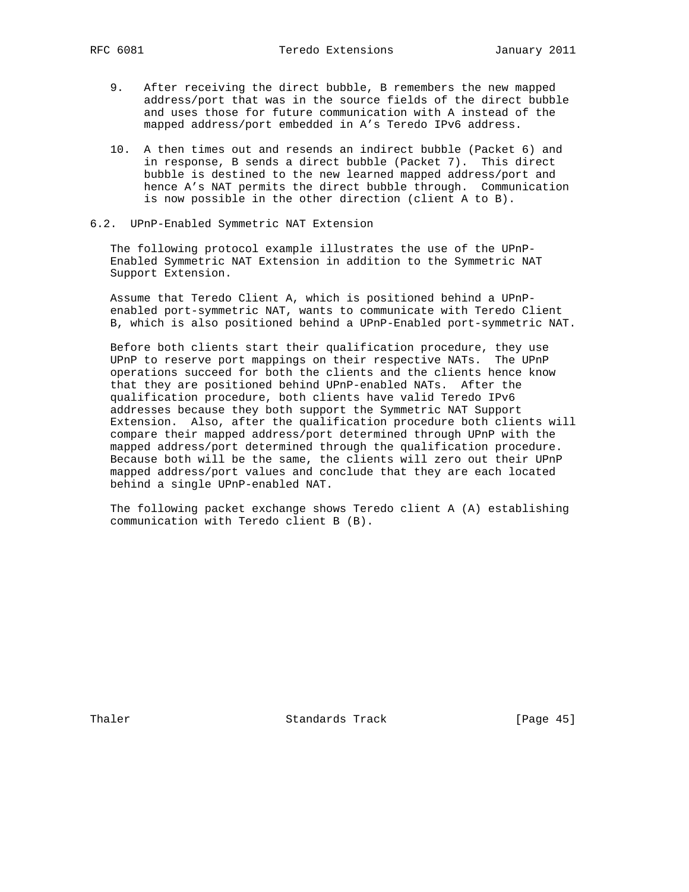- 9. After receiving the direct bubble, B remembers the new mapped address/port that was in the source fields of the direct bubble and uses those for future communication with A instead of the mapped address/port embedded in A's Teredo IPv6 address.
- 10. A then times out and resends an indirect bubble (Packet 6) and in response, B sends a direct bubble (Packet 7). This direct bubble is destined to the new learned mapped address/port and hence A's NAT permits the direct bubble through. Communication is now possible in the other direction (client A to B).
- 6.2. UPnP-Enabled Symmetric NAT Extension

 The following protocol example illustrates the use of the UPnP- Enabled Symmetric NAT Extension in addition to the Symmetric NAT Support Extension.

 Assume that Teredo Client A, which is positioned behind a UPnP enabled port-symmetric NAT, wants to communicate with Teredo Client B, which is also positioned behind a UPnP-Enabled port-symmetric NAT.

 Before both clients start their qualification procedure, they use UPnP to reserve port mappings on their respective NATs. The UPnP operations succeed for both the clients and the clients hence know that they are positioned behind UPnP-enabled NATs. After the qualification procedure, both clients have valid Teredo IPv6 addresses because they both support the Symmetric NAT Support Extension. Also, after the qualification procedure both clients will compare their mapped address/port determined through UPnP with the mapped address/port determined through the qualification procedure. Because both will be the same, the clients will zero out their UPnP mapped address/port values and conclude that they are each located behind a single UPnP-enabled NAT.

 The following packet exchange shows Teredo client A (A) establishing communication with Teredo client B (B).

Thaler **Standards Track** [Page 45]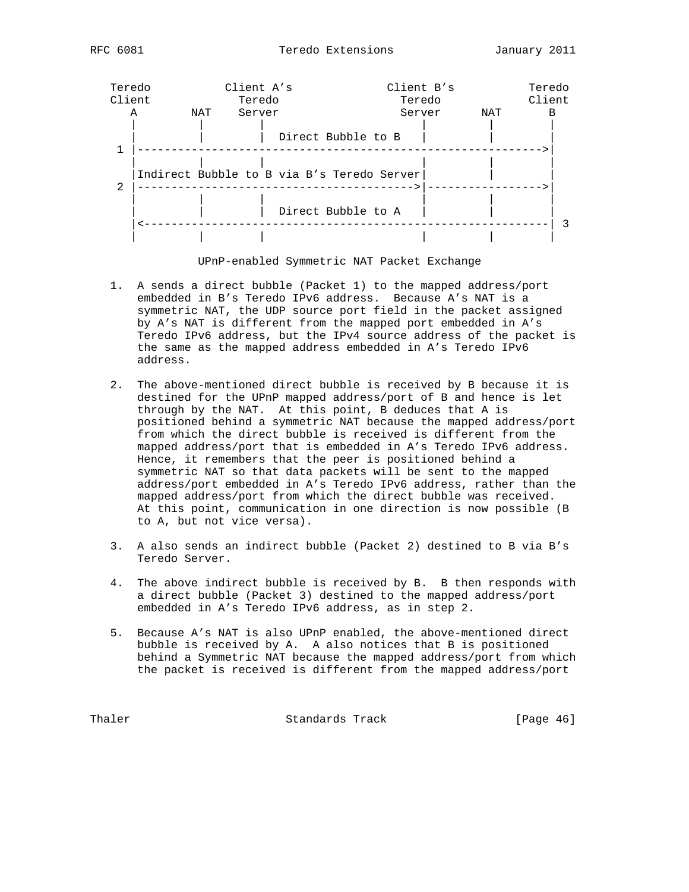

UPnP-enabled Symmetric NAT Packet Exchange

- 1. A sends a direct bubble (Packet 1) to the mapped address/port embedded in B's Teredo IPv6 address. Because A's NAT is a symmetric NAT, the UDP source port field in the packet assigned by A's NAT is different from the mapped port embedded in A's Teredo IPv6 address, but the IPv4 source address of the packet is the same as the mapped address embedded in A's Teredo IPv6 address.
- 2. The above-mentioned direct bubble is received by B because it is destined for the UPnP mapped address/port of B and hence is let through by the NAT. At this point, B deduces that A is positioned behind a symmetric NAT because the mapped address/port from which the direct bubble is received is different from the mapped address/port that is embedded in A's Teredo IPv6 address. Hence, it remembers that the peer is positioned behind a symmetric NAT so that data packets will be sent to the mapped address/port embedded in A's Teredo IPv6 address, rather than the mapped address/port from which the direct bubble was received. At this point, communication in one direction is now possible (B to A, but not vice versa).
- 3. A also sends an indirect bubble (Packet 2) destined to B via B's Teredo Server.
- 4. The above indirect bubble is received by B. B then responds with a direct bubble (Packet 3) destined to the mapped address/port embedded in A's Teredo IPv6 address, as in step 2.
- 5. Because A's NAT is also UPnP enabled, the above-mentioned direct bubble is received by A. A also notices that B is positioned behind a Symmetric NAT because the mapped address/port from which the packet is received is different from the mapped address/port

Thaler **Standards Track** [Page 46]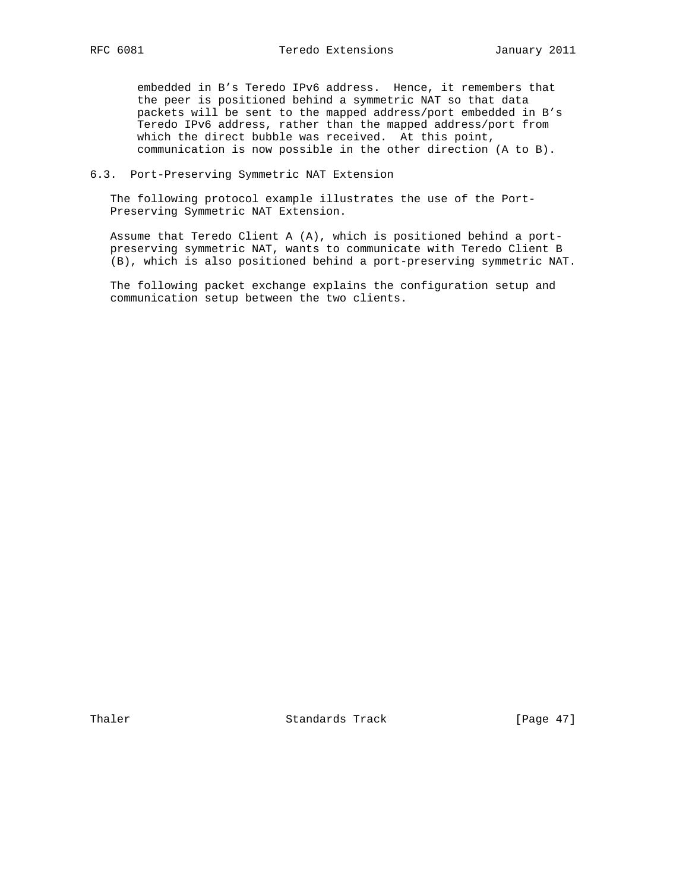embedded in B's Teredo IPv6 address. Hence, it remembers that the peer is positioned behind a symmetric NAT so that data packets will be sent to the mapped address/port embedded in B's Teredo IPv6 address, rather than the mapped address/port from which the direct bubble was received. At this point, communication is now possible in the other direction (A to B).

## 6.3. Port-Preserving Symmetric NAT Extension

 The following protocol example illustrates the use of the Port- Preserving Symmetric NAT Extension.

 Assume that Teredo Client A (A), which is positioned behind a port preserving symmetric NAT, wants to communicate with Teredo Client B (B), which is also positioned behind a port-preserving symmetric NAT.

 The following packet exchange explains the configuration setup and communication setup between the two clients.

Thaler Standards Track [Page 47]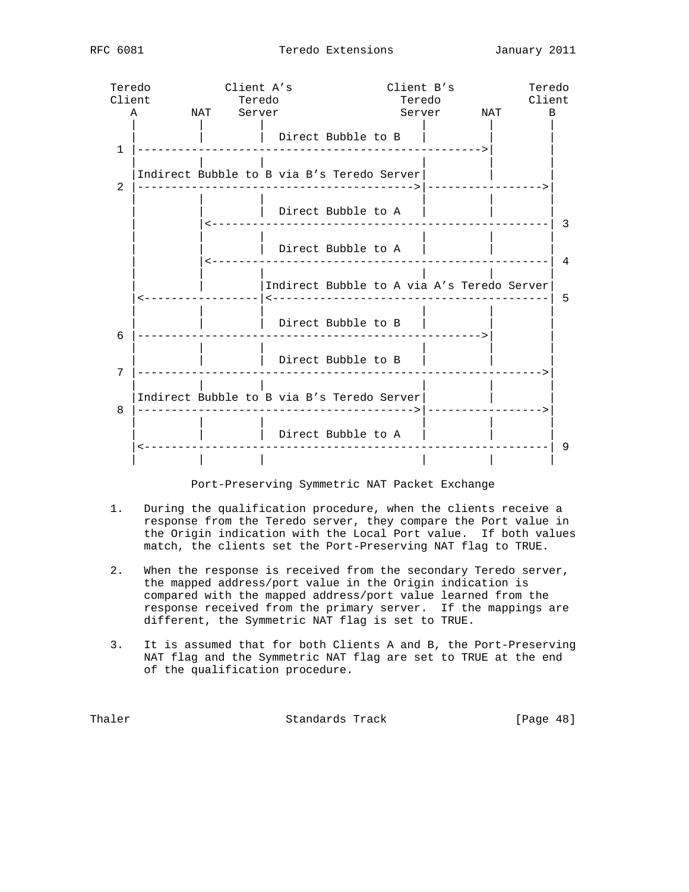| Teredo       |              | Client A's                                 |                                            |                                                             |        | Client B's | Teredo       |                         |
|--------------|--------------|--------------------------------------------|--------------------------------------------|-------------------------------------------------------------|--------|------------|--------------|-------------------------|
|              | Client       | Teredo                                     |                                            |                                                             | Teredo |            | Client       |                         |
|              | $\mathbf{A}$ | NAT Server                                 |                                            |                                                             |        |            | Server NAT B |                         |
| $\mathbf{1}$ |              |                                            |                                            | Direct Bubble to B                                          |        |            |              |                         |
| 2            |              | Indirect Bubble to B via B's Teredo Server |                                            |                                                             |        |            |              |                         |
|              |              | -------------------------------            |                                            | Direct Bubble to A                                          |        |            |              | $\overline{\mathbf{3}}$ |
|              |              |                                            |                                            | Direct Bubble to A                                          |        |            |              | 4                       |
|              |              | <u>_______________</u>                     | Indirect Bubble to A via A's Teredo Server |                                                             |        |            |              | - 5                     |
| 6            |              |                                            |                                            | Direct Bubble to B<br>. Le le le le le le le le le le le le |        |            |              |                         |
| 7            |              |                                            |                                            | Direct Bubble to B                                          |        |            |              |                         |
| 8            |              | Indirect Bubble to B via B's Teredo Server |                                            |                                                             |        |            | ---------->  |                         |
|              |              |                                            |                                            | Direct Bubble to A                                          |        |            | $--- 9$      |                         |
|              |              |                                            |                                            |                                                             |        |            |              |                         |

#### Port-Preserving Symmetric NAT Packet Exchange

- 1. During the qualification procedure, when the clients receive a response from the Teredo server, they compare the Port value in the Origin indication with the Local Port value. If both values match, the clients set the Port-Preserving NAT flag to TRUE.
- 2. When the response is received from the secondary Teredo server, the mapped address/port value in the Origin indication is compared with the mapped address/port value learned from the response received from the primary server. If the mappings are different, the Symmetric NAT flag is set to TRUE.
- 3. It is assumed that for both Clients A and B, the Port-Preserving NAT flag and the Symmetric NAT flag are set to TRUE at the end of the qualification procedure.

Thaler **Standards Track** [Page 48]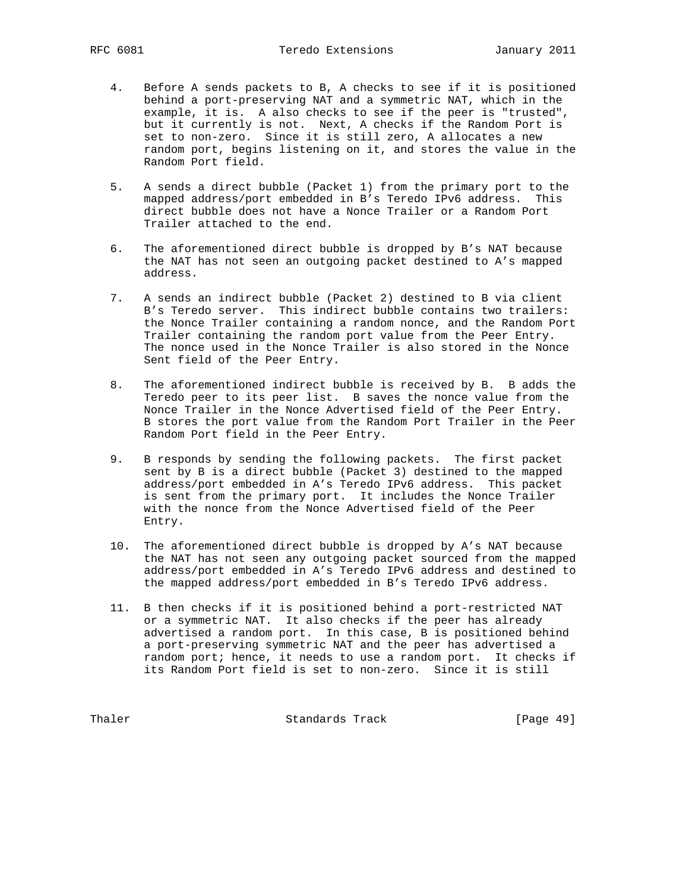- 4. Before A sends packets to B, A checks to see if it is positioned behind a port-preserving NAT and a symmetric NAT, which in the example, it is. A also checks to see if the peer is "trusted", but it currently is not. Next, A checks if the Random Port is set to non-zero. Since it is still zero, A allocates a new random port, begins listening on it, and stores the value in the Random Port field.
- 5. A sends a direct bubble (Packet 1) from the primary port to the mapped address/port embedded in B's Teredo IPv6 address. This direct bubble does not have a Nonce Trailer or a Random Port Trailer attached to the end.
- 6. The aforementioned direct bubble is dropped by B's NAT because the NAT has not seen an outgoing packet destined to A's mapped address.
- 7. A sends an indirect bubble (Packet 2) destined to B via client B's Teredo server. This indirect bubble contains two trailers: the Nonce Trailer containing a random nonce, and the Random Port Trailer containing the random port value from the Peer Entry. The nonce used in the Nonce Trailer is also stored in the Nonce Sent field of the Peer Entry.
- 8. The aforementioned indirect bubble is received by B. B adds the Teredo peer to its peer list. B saves the nonce value from the Nonce Trailer in the Nonce Advertised field of the Peer Entry. B stores the port value from the Random Port Trailer in the Peer Random Port field in the Peer Entry.
- 9. B responds by sending the following packets. The first packet sent by B is a direct bubble (Packet 3) destined to the mapped address/port embedded in A's Teredo IPv6 address. This packet is sent from the primary port. It includes the Nonce Trailer with the nonce from the Nonce Advertised field of the Peer Entry.
- 10. The aforementioned direct bubble is dropped by A's NAT because the NAT has not seen any outgoing packet sourced from the mapped address/port embedded in A's Teredo IPv6 address and destined to the mapped address/port embedded in B's Teredo IPv6 address.
- 11. B then checks if it is positioned behind a port-restricted NAT or a symmetric NAT. It also checks if the peer has already advertised a random port. In this case, B is positioned behind a port-preserving symmetric NAT and the peer has advertised a random port; hence, it needs to use a random port. It checks if its Random Port field is set to non-zero. Since it is still

Thaler **Standards Track** [Page 49]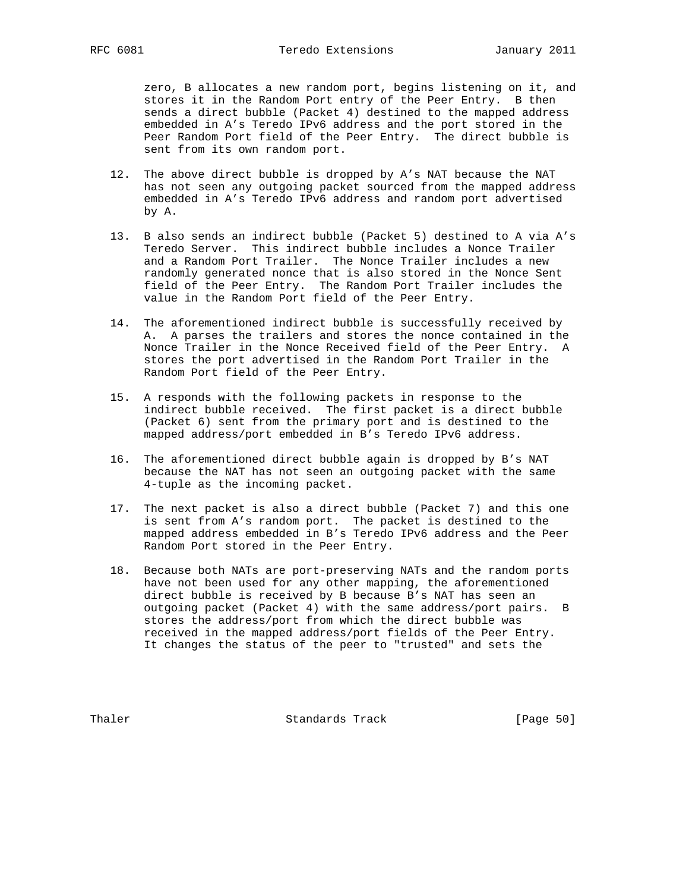zero, B allocates a new random port, begins listening on it, and stores it in the Random Port entry of the Peer Entry. B then sends a direct bubble (Packet 4) destined to the mapped address embedded in A's Teredo IPv6 address and the port stored in the Peer Random Port field of the Peer Entry. The direct bubble is sent from its own random port.

- 12. The above direct bubble is dropped by A's NAT because the NAT has not seen any outgoing packet sourced from the mapped address embedded in A's Teredo IPv6 address and random port advertised by A.
- 13. B also sends an indirect bubble (Packet 5) destined to A via A's Teredo Server. This indirect bubble includes a Nonce Trailer and a Random Port Trailer. The Nonce Trailer includes a new randomly generated nonce that is also stored in the Nonce Sent field of the Peer Entry. The Random Port Trailer includes the value in the Random Port field of the Peer Entry.
- 14. The aforementioned indirect bubble is successfully received by A. A parses the trailers and stores the nonce contained in the Nonce Trailer in the Nonce Received field of the Peer Entry. A stores the port advertised in the Random Port Trailer in the Random Port field of the Peer Entry.
- 15. A responds with the following packets in response to the indirect bubble received. The first packet is a direct bubble (Packet 6) sent from the primary port and is destined to the mapped address/port embedded in B's Teredo IPv6 address.
- 16. The aforementioned direct bubble again is dropped by B's NAT because the NAT has not seen an outgoing packet with the same 4-tuple as the incoming packet.
- 17. The next packet is also a direct bubble (Packet 7) and this one is sent from A's random port. The packet is destined to the mapped address embedded in B's Teredo IPv6 address and the Peer Random Port stored in the Peer Entry.
- 18. Because both NATs are port-preserving NATs and the random ports have not been used for any other mapping, the aforementioned direct bubble is received by B because B's NAT has seen an outgoing packet (Packet 4) with the same address/port pairs. B stores the address/port from which the direct bubble was received in the mapped address/port fields of the Peer Entry. It changes the status of the peer to "trusted" and sets the

Thaler **Standards Track** [Page 50]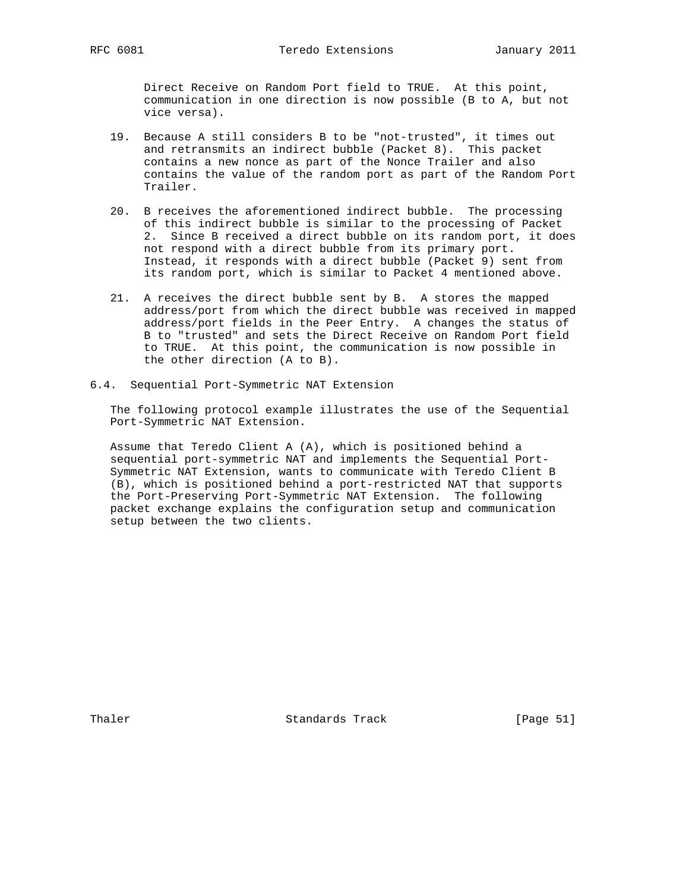Direct Receive on Random Port field to TRUE. At this point, communication in one direction is now possible (B to A, but not vice versa).

- 19. Because A still considers B to be "not-trusted", it times out and retransmits an indirect bubble (Packet 8). This packet contains a new nonce as part of the Nonce Trailer and also contains the value of the random port as part of the Random Port Trailer.
- 20. B receives the aforementioned indirect bubble. The processing of this indirect bubble is similar to the processing of Packet 2. Since B received a direct bubble on its random port, it does not respond with a direct bubble from its primary port. Instead, it responds with a direct bubble (Packet 9) sent from its random port, which is similar to Packet 4 mentioned above.
- 21. A receives the direct bubble sent by B. A stores the mapped address/port from which the direct bubble was received in mapped address/port fields in the Peer Entry. A changes the status of B to "trusted" and sets the Direct Receive on Random Port field to TRUE. At this point, the communication is now possible in the other direction (A to B).
- 6.4. Sequential Port-Symmetric NAT Extension

 The following protocol example illustrates the use of the Sequential Port-Symmetric NAT Extension.

 Assume that Teredo Client A (A), which is positioned behind a sequential port-symmetric NAT and implements the Sequential Port- Symmetric NAT Extension, wants to communicate with Teredo Client B (B), which is positioned behind a port-restricted NAT that supports the Port-Preserving Port-Symmetric NAT Extension. The following packet exchange explains the configuration setup and communication setup between the two clients.

Thaler **Standards Track** [Page 51]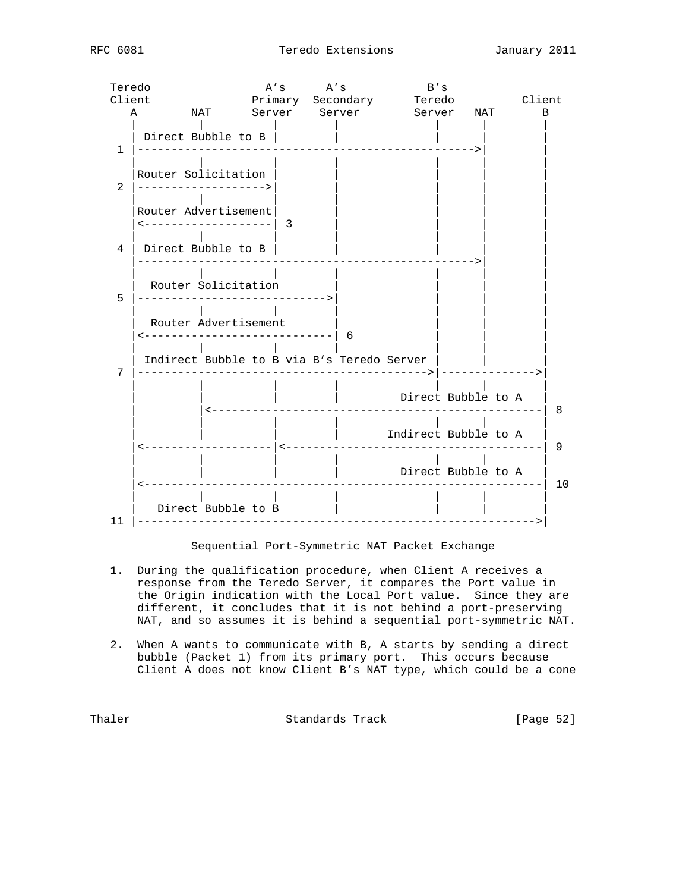| Teredo          |                       |                                | $A's$ $A's$                                | B' s                 |                |
|-----------------|-----------------------|--------------------------------|--------------------------------------------|----------------------|----------------|
| Client          |                       |                                | Primary Secondary Teredo                   |                      | Client         |
| $\mathbf{A}$    |                       |                                | NAT Server Server Server NAT               |                      | $\overline{B}$ |
|                 | Direct Bubble to B    |                                |                                            |                      |                |
| $\mathbf{1}$    |                       |                                |                                            |                      |                |
|                 | Router Solicitation   |                                |                                            |                      |                |
| $\overline{2}$  | --------------------> |                                |                                            |                      |                |
|                 | Router Advertisement  |                                |                                            |                      |                |
|                 |                       | -------------------  3         |                                            |                      |                |
| $4\overline{ }$ | Direct Bubble to B    |                                |                                            |                      |                |
|                 |                       |                                |                                            |                      |                |
|                 |                       |                                |                                            |                      |                |
| 5               | Router Solicitation   | ----------------------------   |                                            |                      |                |
|                 |                       |                                |                                            |                      |                |
|                 | Router Advertisement  | ---------------------------  6 |                                            |                      |                |
|                 |                       |                                |                                            |                      |                |
| 7               |                       |                                | Indirect Bubble to B via B's Teredo Server |                      |                |
|                 |                       |                                |                                            |                      |                |
|                 |                       |                                |                                            | Direct Bubble to A   |                |
|                 |                       |                                |                                            |                      | - 8            |
|                 |                       |                                |                                            | Indirect Bubble to A |                |
|                 |                       | $\leq - - -$                   |                                            | ____________         | 9              |
|                 |                       |                                |                                            | Direct Bubble to A   |                |
|                 |                       |                                |                                            |                      | 10             |
|                 | Direct Bubble to B    |                                |                                            |                      |                |
|                 |                       |                                |                                            |                      |                |

#### Sequential Port-Symmetric NAT Packet Exchange

- 1. During the qualification procedure, when Client A receives a response from the Teredo Server, it compares the Port value in the Origin indication with the Local Port value. Since they are different, it concludes that it is not behind a port-preserving NAT, and so assumes it is behind a sequential port-symmetric NAT.
- 2. When A wants to communicate with B, A starts by sending a direct bubble (Packet 1) from its primary port. This occurs because Client A does not know Client B's NAT type, which could be a cone

Thaler Standards Track [Page 52]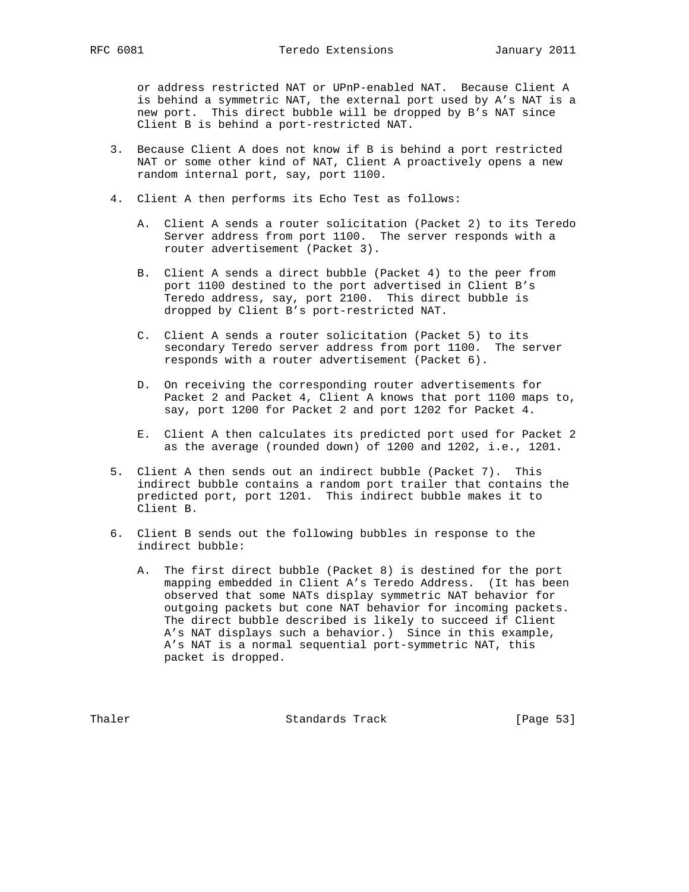or address restricted NAT or UPnP-enabled NAT. Because Client A is behind a symmetric NAT, the external port used by A's NAT is a new port. This direct bubble will be dropped by B's NAT since Client B is behind a port-restricted NAT.

- 3. Because Client A does not know if B is behind a port restricted NAT or some other kind of NAT, Client A proactively opens a new random internal port, say, port 1100.
- 4. Client A then performs its Echo Test as follows:
	- A. Client A sends a router solicitation (Packet 2) to its Teredo Server address from port 1100. The server responds with a router advertisement (Packet 3).
	- B. Client A sends a direct bubble (Packet 4) to the peer from port 1100 destined to the port advertised in Client B's Teredo address, say, port 2100. This direct bubble is dropped by Client B's port-restricted NAT.
	- C. Client A sends a router solicitation (Packet 5) to its secondary Teredo server address from port 1100. The server responds with a router advertisement (Packet 6).
	- D. On receiving the corresponding router advertisements for Packet 2 and Packet 4, Client A knows that port 1100 maps to, say, port 1200 for Packet 2 and port 1202 for Packet 4.
	- E. Client A then calculates its predicted port used for Packet 2 as the average (rounded down) of 1200 and 1202, i.e., 1201.
- 5. Client A then sends out an indirect bubble (Packet 7). This indirect bubble contains a random port trailer that contains the predicted port, port 1201. This indirect bubble makes it to Client B.
- 6. Client B sends out the following bubbles in response to the indirect bubble:
	- A. The first direct bubble (Packet 8) is destined for the port mapping embedded in Client A's Teredo Address. (It has been observed that some NATs display symmetric NAT behavior for outgoing packets but cone NAT behavior for incoming packets. The direct bubble described is likely to succeed if Client A's NAT displays such a behavior.) Since in this example, A's NAT is a normal sequential port-symmetric NAT, this packet is dropped.

Thaler **Standards Track** [Page 53]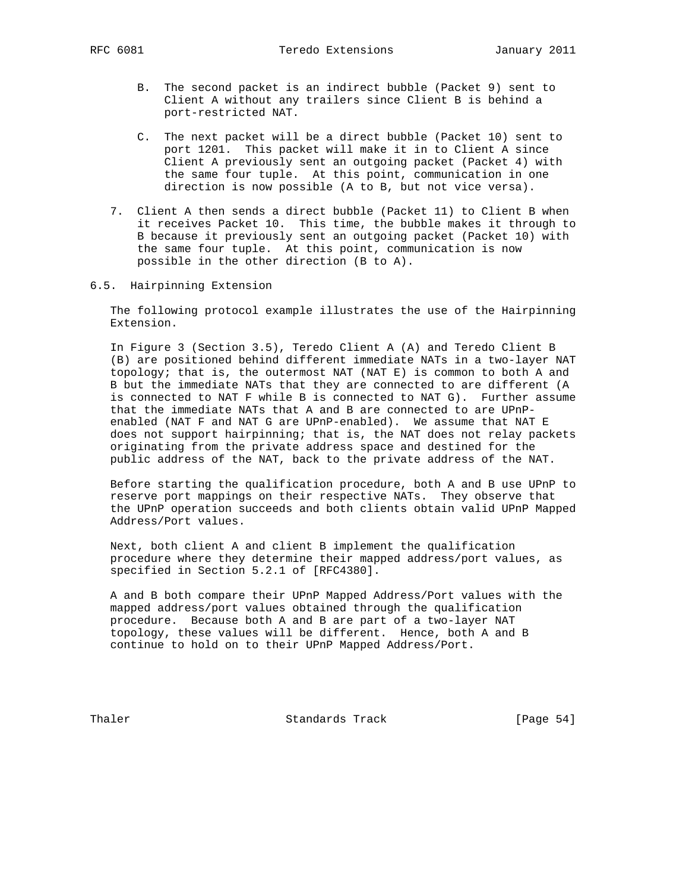- B. The second packet is an indirect bubble (Packet 9) sent to Client A without any trailers since Client B is behind a port-restricted NAT.
- C. The next packet will be a direct bubble (Packet 10) sent to port 1201. This packet will make it in to Client A since Client A previously sent an outgoing packet (Packet 4) with the same four tuple. At this point, communication in one direction is now possible (A to B, but not vice versa).
- 7. Client A then sends a direct bubble (Packet 11) to Client B when it receives Packet 10. This time, the bubble makes it through to B because it previously sent an outgoing packet (Packet 10) with the same four tuple. At this point, communication is now possible in the other direction (B to A).
- 6.5. Hairpinning Extension

 The following protocol example illustrates the use of the Hairpinning Extension.

 In Figure 3 (Section 3.5), Teredo Client A (A) and Teredo Client B (B) are positioned behind different immediate NATs in a two-layer NAT topology; that is, the outermost NAT (NAT E) is common to both A and B but the immediate NATs that they are connected to are different (A is connected to NAT F while B is connected to NAT G). Further assume that the immediate NATs that A and B are connected to are UPnP enabled (NAT F and NAT G are UPnP-enabled). We assume that NAT E does not support hairpinning; that is, the NAT does not relay packets originating from the private address space and destined for the public address of the NAT, back to the private address of the NAT.

 Before starting the qualification procedure, both A and B use UPnP to reserve port mappings on their respective NATs. They observe that the UPnP operation succeeds and both clients obtain valid UPnP Mapped Address/Port values.

 Next, both client A and client B implement the qualification procedure where they determine their mapped address/port values, as specified in Section 5.2.1 of [RFC4380].

 A and B both compare their UPnP Mapped Address/Port values with the mapped address/port values obtained through the qualification procedure. Because both A and B are part of a two-layer NAT topology, these values will be different. Hence, both A and B continue to hold on to their UPnP Mapped Address/Port.

Thaler **Standards Track** [Page 54]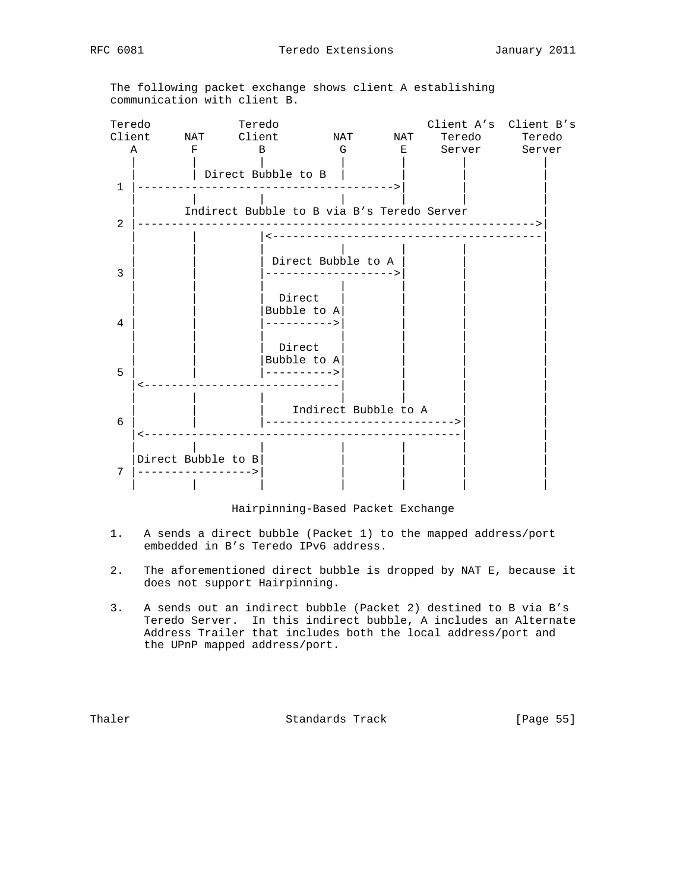The following packet exchange shows client A establishing communication with client B.



Hairpinning-Based Packet Exchange

- 1. A sends a direct bubble (Packet 1) to the mapped address/port embedded in B's Teredo IPv6 address.
- 2. The aforementioned direct bubble is dropped by NAT E, because it does not support Hairpinning.
- 3. A sends out an indirect bubble (Packet 2) destined to B via B's Teredo Server. In this indirect bubble, A includes an Alternate Address Trailer that includes both the local address/port and the UPnP mapped address/port.

Thaler **Standards Track** [Page 55]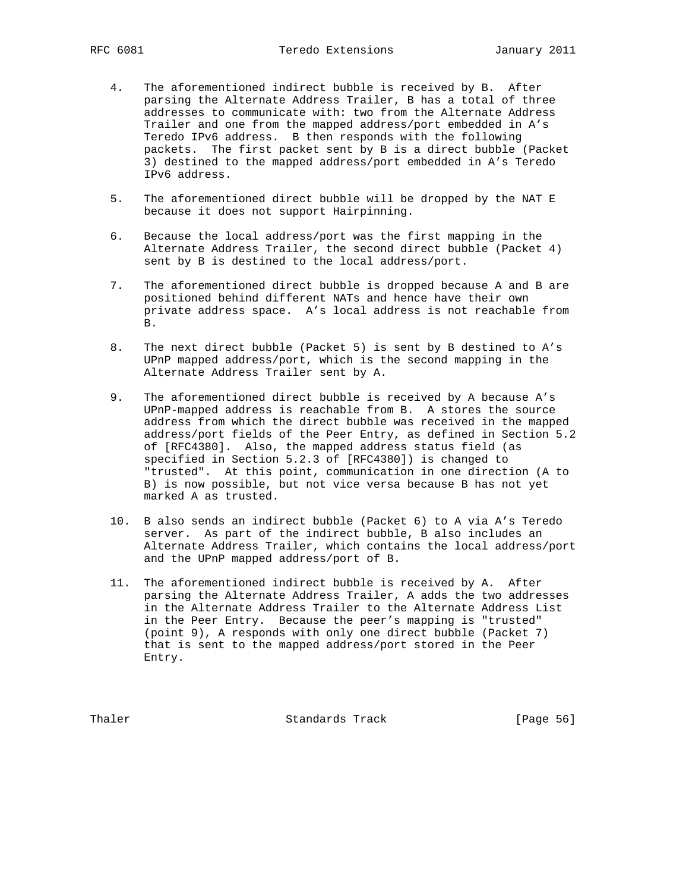- 4. The aforementioned indirect bubble is received by B. After parsing the Alternate Address Trailer, B has a total of three addresses to communicate with: two from the Alternate Address Trailer and one from the mapped address/port embedded in A's Teredo IPv6 address. B then responds with the following packets. The first packet sent by B is a direct bubble (Packet 3) destined to the mapped address/port embedded in A's Teredo IPv6 address.
- 5. The aforementioned direct bubble will be dropped by the NAT E because it does not support Hairpinning.
- 6. Because the local address/port was the first mapping in the Alternate Address Trailer, the second direct bubble (Packet 4) sent by B is destined to the local address/port.
- 7. The aforementioned direct bubble is dropped because A and B are positioned behind different NATs and hence have their own private address space. A's local address is not reachable from B.
- 8. The next direct bubble (Packet 5) is sent by B destined to A's UPnP mapped address/port, which is the second mapping in the Alternate Address Trailer sent by A.
- 9. The aforementioned direct bubble is received by A because A's UPnP-mapped address is reachable from B. A stores the source address from which the direct bubble was received in the mapped address/port fields of the Peer Entry, as defined in Section 5.2 of [RFC4380]. Also, the mapped address status field (as specified in Section 5.2.3 of [RFC4380]) is changed to "trusted". At this point, communication in one direction (A to B) is now possible, but not vice versa because B has not yet marked A as trusted.
- 10. B also sends an indirect bubble (Packet 6) to A via A's Teredo server. As part of the indirect bubble, B also includes an Alternate Address Trailer, which contains the local address/port and the UPnP mapped address/port of B.
- 11. The aforementioned indirect bubble is received by A. After parsing the Alternate Address Trailer, A adds the two addresses in the Alternate Address Trailer to the Alternate Address List in the Peer Entry. Because the peer's mapping is "trusted" (point 9), A responds with only one direct bubble (Packet 7) that is sent to the mapped address/port stored in the Peer Entry.

Thaler **Standards Track** [Page 56]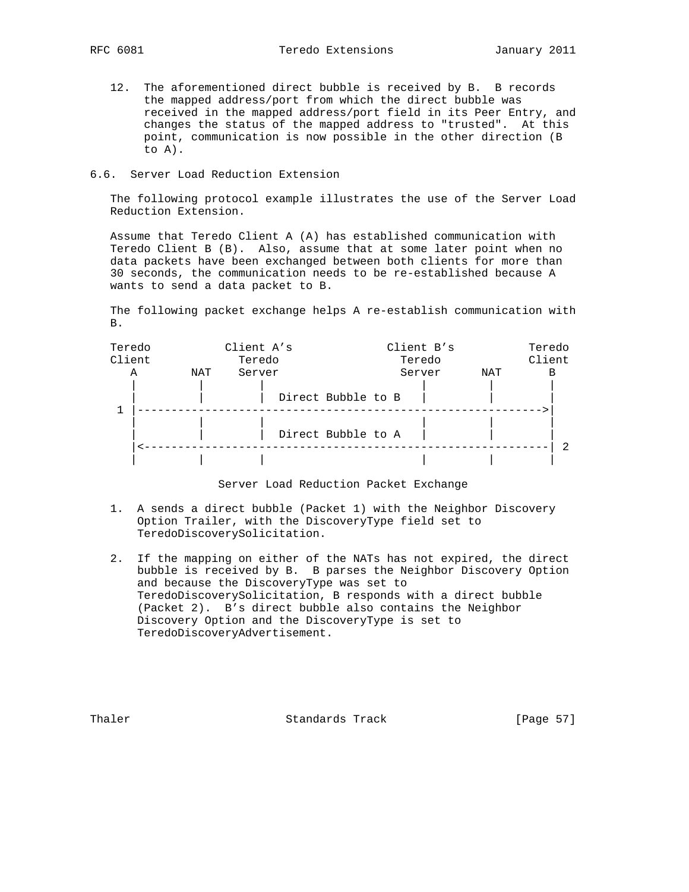- 12. The aforementioned direct bubble is received by B. B records the mapped address/port from which the direct bubble was received in the mapped address/port field in its Peer Entry, and changes the status of the mapped address to "trusted". At this point, communication is now possible in the other direction (B to A).
- 6.6. Server Load Reduction Extension

 The following protocol example illustrates the use of the Server Load Reduction Extension.

 Assume that Teredo Client A (A) has established communication with Teredo Client B (B). Also, assume that at some later point when no data packets have been exchanged between both clients for more than 30 seconds, the communication needs to be re-established because A wants to send a data packet to B.

 The following packet exchange helps A re-establish communication with B.

| Teredo<br>Client |     | Client A's<br>Teredo |                    | Client B's<br>Teredo |     | Teredo<br>Client |
|------------------|-----|----------------------|--------------------|----------------------|-----|------------------|
| Α                | NAT | Server               |                    | Server               | NAT | В                |
|                  |     |                      | Direct Bubble to B |                      |     |                  |
|                  |     |                      | Direct Bubble to A |                      |     |                  |
|                  |     |                      |                    |                      |     |                  |

#### Server Load Reduction Packet Exchange

- 1. A sends a direct bubble (Packet 1) with the Neighbor Discovery Option Trailer, with the DiscoveryType field set to TeredoDiscoverySolicitation.
- 2. If the mapping on either of the NATs has not expired, the direct bubble is received by B. B parses the Neighbor Discovery Option and because the DiscoveryType was set to TeredoDiscoverySolicitation, B responds with a direct bubble (Packet 2). B's direct bubble also contains the Neighbor Discovery Option and the DiscoveryType is set to TeredoDiscoveryAdvertisement.

Thaler **Standards Track** [Page 57]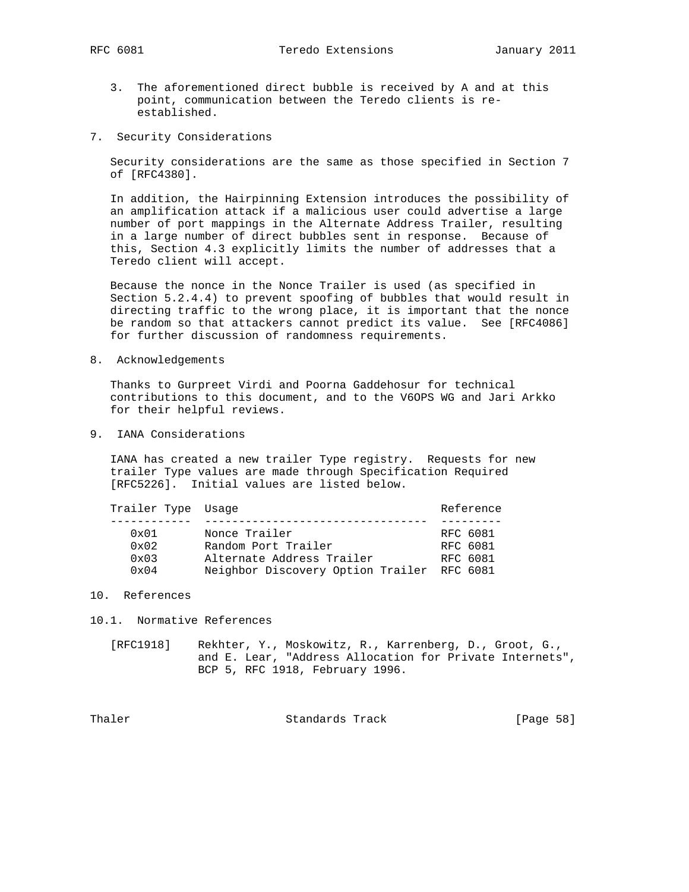- 3. The aforementioned direct bubble is received by A and at this point, communication between the Teredo clients is re established.
- 7. Security Considerations

 Security considerations are the same as those specified in Section 7 of [RFC4380].

 In addition, the Hairpinning Extension introduces the possibility of an amplification attack if a malicious user could advertise a large number of port mappings in the Alternate Address Trailer, resulting in a large number of direct bubbles sent in response. Because of this, Section 4.3 explicitly limits the number of addresses that a Teredo client will accept.

 Because the nonce in the Nonce Trailer is used (as specified in Section 5.2.4.4) to prevent spoofing of bubbles that would result in directing traffic to the wrong place, it is important that the nonce be random so that attackers cannot predict its value. See [RFC4086] for further discussion of randomness requirements.

8. Acknowledgements

 Thanks to Gurpreet Virdi and Poorna Gaddehosur for technical contributions to this document, and to the V6OPS WG and Jari Arkko for their helpful reviews.

9. IANA Considerations

 IANA has created a new trailer Type registry. Requests for new trailer Type values are made through Specification Required [RFC5226]. Initial values are listed below.

| Trailer Type Usage |                                            | Reference |
|--------------------|--------------------------------------------|-----------|
|                    |                                            |           |
| $0 \times 01$      | Nonce Trailer                              | RFC 6081  |
| $0 \times 02$      | Random Port Trailer                        | RFC 6081  |
| $0 \times 03$      | Alternate Address Trailer                  | RFC 6081  |
| $0 \times 04$      | Neighbor Discovery Option Trailer RFC 6081 |           |

10. References

10.1. Normative References

 [RFC1918] Rekhter, Y., Moskowitz, R., Karrenberg, D., Groot, G., and E. Lear, "Address Allocation for Private Internets", BCP 5, RFC 1918, February 1996.

Thaler **Standards Track** [Page 58]